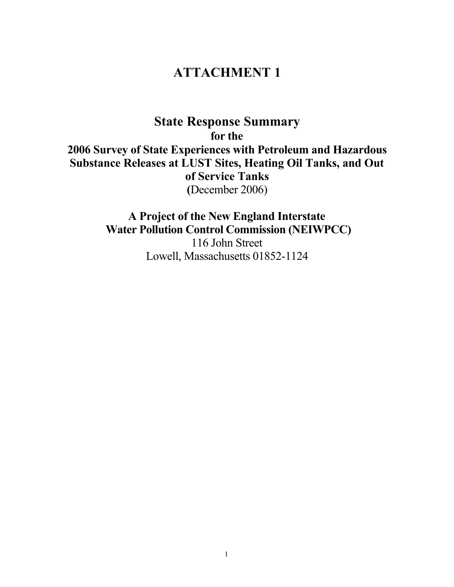# ATTACHMENT 1

State Response Summary for the 2006 Survey of State Experiences with Petroleum and Hazardous Substance Releases at LUST Sites, Heating Oil Tanks, and Out of Service Tanks (December 2006)

> A Project of the New England Interstate Water Pollution Control Commission (NEIWPCC) 116 John Street Lowell, Massachusetts 01852-1124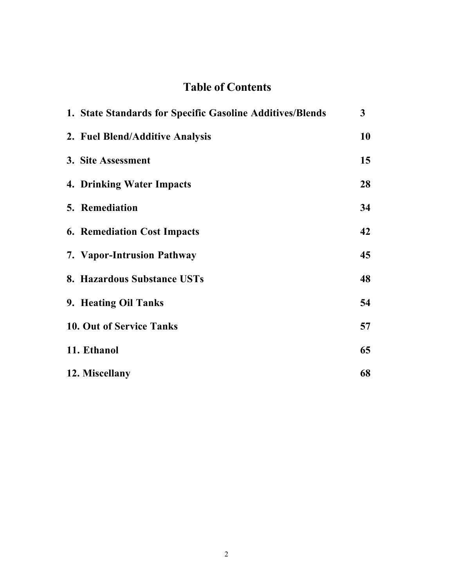# Table of Contents

| 1. State Standards for Specific Gasoline Additives/Blends | 3  |
|-----------------------------------------------------------|----|
| 2. Fuel Blend/Additive Analysis                           | 10 |
| 3. Site Assessment                                        | 15 |
| <b>4. Drinking Water Impacts</b>                          | 28 |
| <b>5. Remediation</b>                                     | 34 |
| <b>6. Remediation Cost Impacts</b>                        | 42 |
| 7. Vapor-Intrusion Pathway                                | 45 |
| 8. Hazardous Substance USTs                               | 48 |
| 9. Heating Oil Tanks                                      | 54 |
| <b>10. Out of Service Tanks</b>                           | 57 |
| 11. Ethanol                                               | 65 |
| 12. Miscellany                                            | 68 |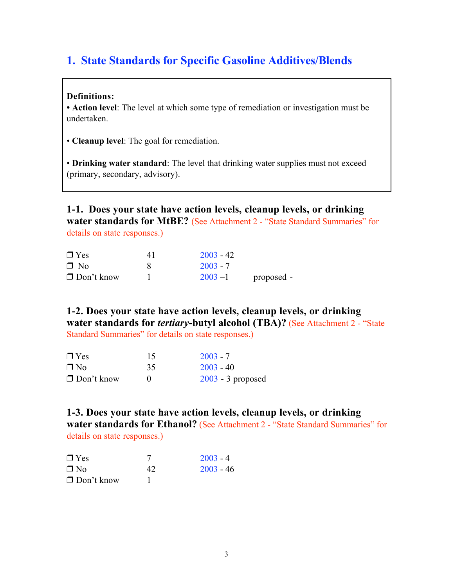# 1. State Standards for Specific Gasoline Additives/Blends

### Definitions:

• Action level: The level at which some type of remediation or investigation must be undertaken.

• Cleanup level: The goal for remediation.

• Drinking water standard: The level that drinking water supplies must not exceed (primary, secondary, advisory).

1-1. Does your state have action levels, cleanup levels, or drinking water standards for MtBE? (See Attachment 2 - "State Standard Summaries" for details on state responses.)

| $\Box$ Yes        | 41 | $2003 - 42$ |            |
|-------------------|----|-------------|------------|
| $\Box$ No         |    | $2003 - 7$  |            |
| $\Box$ Don't know |    | $2003 - 1$  | proposed - |

1-2. Does your state have action levels, cleanup levels, or drinking water standards for *tertiary*-butyl alcohol (TBA)? (See Attachment 2 - "State Standard Summaries" for details on state responses.)

| $\Box$ Yes        | 15 | $2003 - 7$          |
|-------------------|----|---------------------|
| $\Box$ No         | 35 | $2003 - 40$         |
| $\Box$ Don't know |    | $2003 - 3$ proposed |

1-3. Does your state have action levels, cleanup levels, or drinking water standards for Ethanol? (See Attachment 2 - "State Standard Summaries" for details on state responses.)

| $\Box$ Yes        |    | $2003 - 4$  |
|-------------------|----|-------------|
| $\Box$ No         | 42 | $2003 - 46$ |
| $\Box$ Don't know |    |             |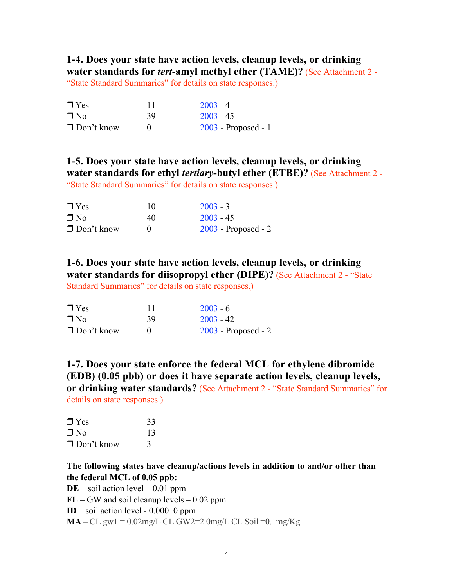1-4. Does your state have action levels, cleanup levels, or drinking water standards for *tert*-amyl methyl ether (TAME)? (See Attachment 2 - "State Standard Summaries" for details on state responses.)

| $\Box$ Yes        |    | $2003 - 4$            |
|-------------------|----|-----------------------|
| $\Box$ No         | 39 | $2003 - 45$           |
| $\Box$ Don't know |    | $2003$ - Proposed - 1 |

1-5. Does your state have action levels, cleanup levels, or drinking water standards for ethyl *tertiary*-butyl ether (ETBE)? (See Attachment 2 -

"State Standard Summaries" for details on state responses.)

| $\Box$ Yes        | 10 | $2003 - 3$            |
|-------------------|----|-----------------------|
| $\Box$ No         | 40 | $2003 - 45$           |
| $\Box$ Don't know |    | $2003$ - Proposed - 2 |

1-6. Does your state have action levels, cleanup levels, or drinking water standards for diisopropyl ether (DIPE)? (See Attachment 2 - "State Standard Summaries" for details on state responses.)

| $\Box$ Yes        | 11 | $2003 - 6$            |
|-------------------|----|-----------------------|
| $\Box$ No         | 39 | $2003 - 42$           |
| $\Box$ Don't know |    | $2003$ - Proposed - 2 |

1-7. Does your state enforce the federal MCL for ethylene dibromide (EDB) (0.05 pbb) or does it have separate action levels, cleanup levels, or drinking water standards? (See Attachment 2 - "State Standard Summaries" for details on state responses.)

| $\Box$ Yes        | 33 |
|-------------------|----|
| $\Box$ No         | 13 |
| $\Box$ Don't know |    |

### The following states have cleanup/actions levels in addition to and/or other than the federal MCL of 0.05 ppb:

 $DE$  – soil action level – 0.01 ppm

 $FL - GW$  and soil cleanup levels  $-0.02$  ppm

 $ID - soil action level - 0.00010 ppm$ 

 $MA - CL$  gw1 = 0.02mg/L CL GW2=2.0mg/L CL Soil = 0.1mg/Kg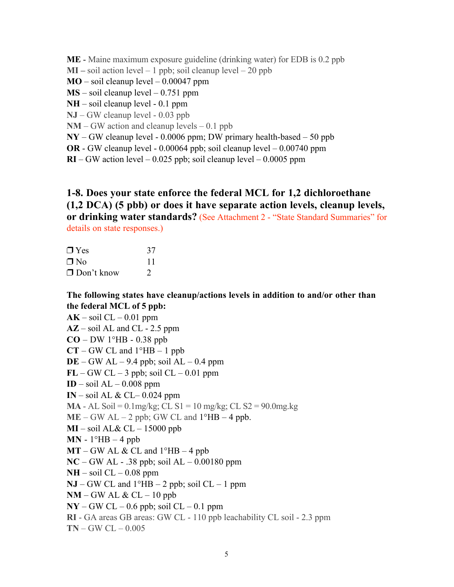ME - Maine maximum exposure guideline (drinking water) for EDB is 0.2 ppb

 $MI$  – soil action level – 1 ppb; soil cleanup level – 20 ppb

### $MO$  – soil cleanup level – 0.00047 ppm

- $MS soil cleanup level 0.751 ppm$
- NH soil cleanup level 0.1 ppm
- NJ GW cleanup level 0.03 ppb
- $NM GW$  action and cleanup levels  $-0.1$  ppb
- NY GW cleanup level 0.0006 ppm; DW primary health-based 50 ppb
- OR GW cleanup level 0.00064 ppb; soil cleanup level 0.00740 ppm
- $RI GW$  action level  $-0.025$  ppb; soil cleanup level  $-0.0005$  ppm

# 1-8. Does your state enforce the federal MCL for 1,2 dichloroethane (1,2 DCA) (5 pbb) or does it have separate action levels, cleanup levels, or drinking water standards? (See Attachment 2 - "State Standard Summaries" for

details on state responses.)

| $\Box$ Yes        | 37            |
|-------------------|---------------|
| $\Box$ No         | 11            |
| $\Box$ Don't know | $\mathcal{D}$ |

### The following states have cleanup/actions levels in addition to and/or other than the federal MCL of 5 ppb:

 $AK - soil CL - 0.01 ppm$  $AZ$  – soil AL and CL - 2.5 ppm  $CO - DW 1^{\circ}HB - 0.38$  ppb  $CT - GW CL$  and  $1^{\circ}HB - 1$  ppb  $DE - GW AL - 9.4$  ppb; soil  $AL - 0.4$  ppm  $FL - GW CL - 3$  ppb; soil  $CL - 0.01$  ppm  $ID - soil AL - 0.008 ppm$ IN – soil AL  $& CL-0.024$  ppm **MA** - AL Soil =  $0.1$ mg/kg; CL S1 =  $10$  mg/kg; CL S2 =  $90.0$ mg.kg  $ME - GW AL - 2$  ppb; GW CL and  $1^{\circ}HB - 4$  ppb.  $MI$  – soil AL& CL – 15000 ppb  $MN - 1^{\circ}HB - 4$  ppb  $MT - GW AL & CL$  and  $1^{\circ}HB - 4$  ppb  $NC - GW AL - .38$  ppb; soil  $AL - 0.00180$  ppm  $NH - soil CL - 0.08 ppm$  $NJ - GW CL$  and  $1^{\circ}HB - 2$  ppb; soil  $CL - 1$  ppm  $NM - GW AL & CL - 10$  ppb  $NY - GW CL - 0.6$  ppb; soil  $CL - 0.1$  ppm RI - GA areas GB areas: GW CL - 110 ppb leachability CL soil - 2.3 ppm  $TN - GW CL - 0.005$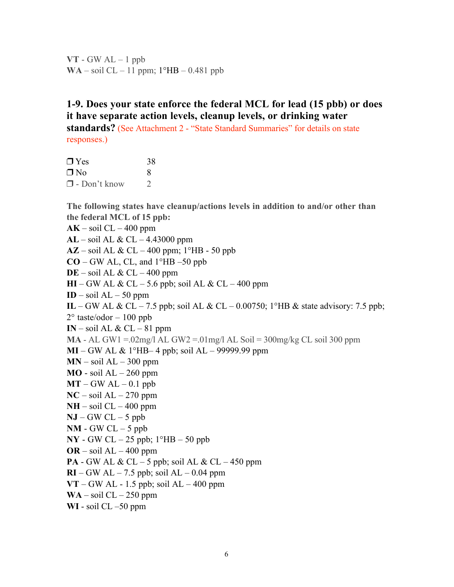$VT - GW AL - 1$  ppb WA – soil  $CL - 11$  ppm;  $1^{\circ}HB - 0.481$  ppb

# 1-9. Does your state enforce the federal MCL for lead (15 pbb) or does it have separate action levels, cleanup levels, or drinking water

standards? (See Attachment 2 - "State Standard Summaries" for details on state responses.)

 $\Box$  Yes 38  $\n **N**$  8  $\Box$  - Don't know 2

The following states have cleanup/actions levels in addition to and/or other than the federal MCL of 15 ppb:

 $AK - soil CL - 400 ppm$ AL – soil AL & CL – 4.43000 ppm AZ – soil AL & CL – 400 ppm; 1°HB - 50 ppb  $CO - GW$  AL, CL, and  $1^{\circ}HB - 50$  ppb  $DE$  – soil AL & CL – 400 ppm  $HI - GW AL & CL - 5.6$  ppb; soil AL & CL – 400 ppm ID – soil  $AL - 50$  ppm IL – GW AL & CL – 7.5 ppb; soil AL & CL – 0.00750; 1°HB & state advisory: 7.5 ppb;  $2^{\circ}$  taste/odor  $-100$  ppb IN – soil AL  $& CL-81$  ppm  $MA - AL GW1 = 02mg/1 AL GW2 = 01mg/1 AL Soil = 300mg/kg CL soil 300 ppm$ MI – GW AL & 1°HB– 4 ppb; soil AL – 99999.99 ppm  $MN - soil AL - 300 ppm$  $MO$  - soil  $AL - 260$  ppm  $MT - GW AL - 0.1$  ppb  $NC - soil AL - 270 ppm$  $NH - soil CL - 400 ppm$  $NJ - GW CL - 5$  ppb  $NM$  - GW CL  $-5$  ppb  $\bf{NY}$  - GW CL – 25 ppb;  $1^{\circ}$ HB – 50 ppb  $OR - soil AL - 400 ppm$ **PA** - GW AL  $& CL - 5$  ppb; soil AL  $& CL - 450$  ppm  $RI - GW AL - 7.5$  ppb; soil  $AL - 0.04$  ppm  $VT - GW AL - 1.5$  ppb; soil  $AL - 400$  ppm  $WA - soil CL - 250 ppm$ WI - soil CL –50 ppm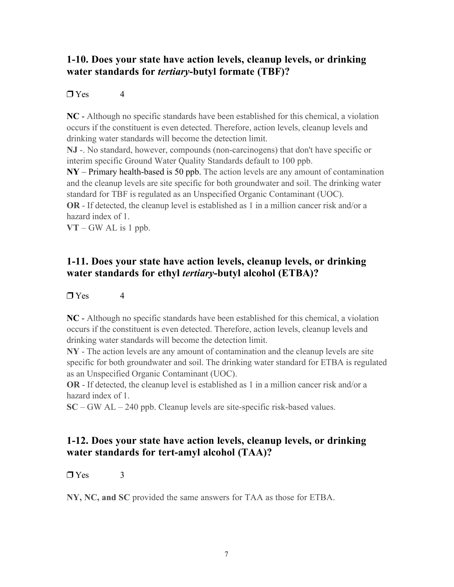# 1-10. Does your state have action levels, cleanup levels, or drinking water standards for *tertiary*-butyl formate (TBF)?

### $\Box$  Yes 4

NC - Although no specific standards have been established for this chemical, a violation occurs if the constituent is even detected. Therefore, action levels, cleanup levels and drinking water standards will become the detection limit.

NJ -. No standard, however, compounds (non-carcinogens) that don't have specific or interim specific Ground Water Quality Standards default to 100 ppb.

NY – Primary health-based is 50 ppb. The action levels are any amount of contamination and the cleanup levels are site specific for both groundwater and soil. The drinking water standard for TBF is regulated as an Unspecified Organic Contaminant (UOC).

OR - If detected, the cleanup level is established as 1 in a million cancer risk and/or a hazard index of 1.

 $VT - GW AL$  is 1 ppb.

## 1-11. Does your state have action levels, cleanup levels, or drinking water standards for ethyl *tertiary*-butyl alcohol (ETBA)?

### $\Box$  Yes 4

NC - Although no specific standards have been established for this chemical, a violation occurs if the constituent is even detected. Therefore, action levels, cleanup levels and drinking water standards will become the detection limit.

NY - The action levels are any amount of contamination and the cleanup levels are site specific for both groundwater and soil. The drinking water standard for ETBA is regulated as an Unspecified Organic Contaminant (UOC).

OR - If detected, the cleanup level is established as 1 in a million cancer risk and/or a hazard index of 1.

SC – GW AL – 240 ppb. Cleanup levels are site-specific risk-based values.

# 1-12. Does your state have action levels, cleanup levels, or drinking water standards for tert-amyl alcohol (TAA)?

### $\Box$  Yes 3

NY, NC, and SC provided the same answers for TAA as those for ETBA.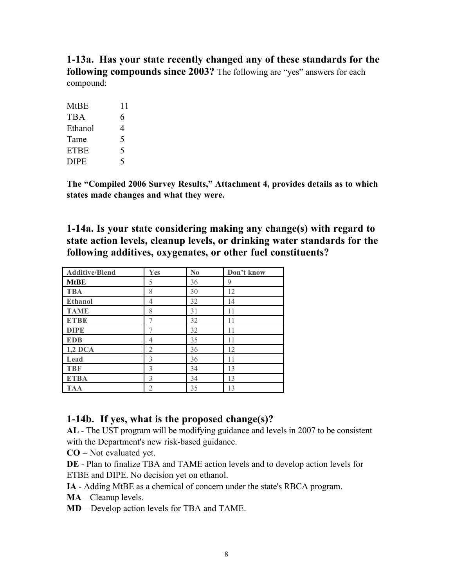1-13a. Has your state recently changed any of these standards for the following compounds since 2003? The following are "yes" answers for each compound:

| <b>MtBE</b> | 11 |
|-------------|----|
| <b>TBA</b>  | 6  |
| Ethanol     | 4  |
| Tame        | 5  |
| <b>ETBE</b> | 5  |
| <b>DIPE</b> | 5  |

The "Compiled 2006 Survey Results," Attachment 4, provides details as to which states made changes and what they were.

1-14a. Is your state considering making any change(s) with regard to state action levels, cleanup levels, or drinking water standards for the following additives, oxygenates, or other fuel constituents?

| <b>Additive/Blend</b> | Yes            | $\mathbf{N}\mathbf{0}$ | Don't know |
|-----------------------|----------------|------------------------|------------|
| <b>MtBE</b>           | 5              | 36                     | 9          |
| <b>TBA</b>            | 8              | 30                     | 12         |
| <b>Ethanol</b>        | 4              | 32                     | 14         |
| <b>TAME</b>           | 8              | 31                     | 11         |
| <b>ETBE</b>           |                | 32                     | 11         |
| <b>DIPE</b>           |                | 32                     | 11         |
| <b>EDB</b>            | 4              | 35                     | 11         |
| $1,2$ DCA             | $\overline{2}$ | 36                     | 12         |
| Lead                  | 3              | 36                     | 11         |
| <b>TBF</b>            | 3              | 34                     | 13         |
| <b>ETBA</b>           | 3              | 34                     | 13         |
| TAA                   | $\overline{2}$ | 35                     | 13         |

# 1-14b. If yes, what is the proposed change(s)?

AL - The UST program will be modifying guidance and levels in 2007 to be consistent with the Department's new risk-based guidance.

CO – Not evaluated yet.

DE - Plan to finalize TBA and TAME action levels and to develop action levels for ETBE and DIPE. No decision yet on ethanol.

IA - Adding MtBE as a chemical of concern under the state's RBCA program.

MA – Cleanup levels.

MD – Develop action levels for TBA and TAME.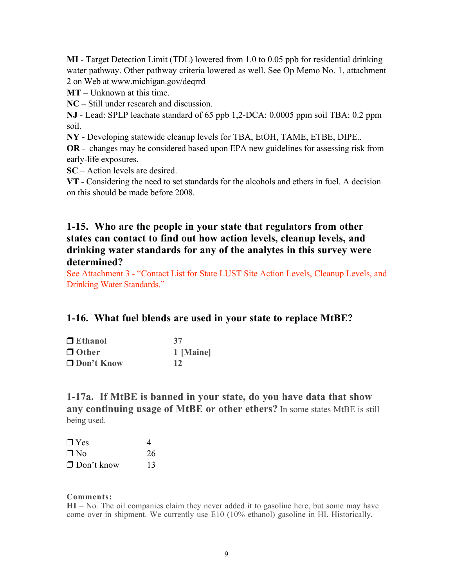MI - Target Detection Limit (TDL) lowered from 1.0 to 0.05 ppb for residential drinking water pathway. Other pathway criteria lowered as well. See Op Memo No. 1, attachment 2 on Web at www.michigan.gov/deqrrd

MT – Unknown at this time.

NC – Still under research and discussion.

NJ - Lead: SPLP leachate standard of 65 ppb 1,2-DCA: 0.0005 ppm soil TBA: 0.2 ppm soil.

NY - Developing statewide cleanup levels for TBA, EtOH, TAME, ETBE, DIPE..

OR - changes may be considered based upon EPA new guidelines for assessing risk from early-life exposures.

SC – Action levels are desired.

VT - Considering the need to set standards for the alcohols and ethers in fuel. A decision on this should be made before 2008.

### 1-15. Who are the people in your state that regulators from other states can contact to find out how action levels, cleanup levels, and drinking water standards for any of the analytes in this survey were determined?

See Attachment 3 - "Contact List for State LUST Site Action Levels, Cleanup Levels, and Drinking Water Standards."

### 1-16. What fuel blends are used in your state to replace MtBE?

| $\Box$ Ethanol | 37        |
|----------------|-----------|
| $\Box$ Other   | 1 [Maine] |
| □ Don't Know   | 12        |

1-17a. If MtBE is banned in your state, do you have data that show any continuing usage of MtBE or other ethers? In some states MtBE is still being used.

| $\Box$ Yes        | 4  |
|-------------------|----|
| $\Box$ No         | 26 |
| $\Box$ Don't know | 13 |

#### Comments:

HI – No. The oil companies claim they never added it to gasoline here, but some may have come over in shipment. We currently use E10 (10% ethanol) gasoline in HI. Historically,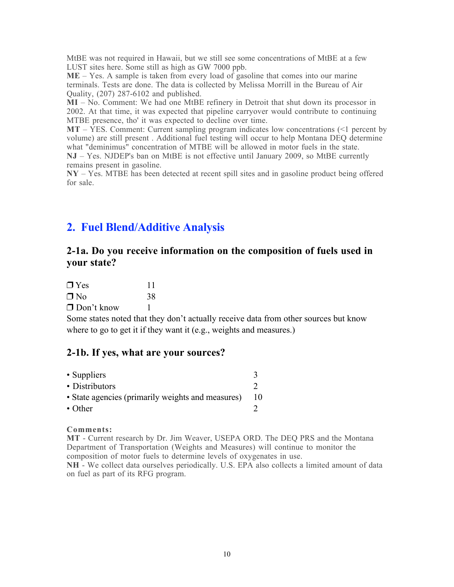MtBE was not required in Hawaii, but we still see some concentrations of MtBE at a few LUST sites here. Some still as high as GW 7000 ppb.

 $ME - Yes$ . A sample is taken from every load of gasoline that comes into our marine terminals. Tests are done. The data is collected by Melissa Morrill in the Bureau of Air Quality, (207) 287-6102 and published.

MI – No. Comment: We had one MtBE refinery in Detroit that shut down its processor in 2002. At that time, it was expected that pipeline carryover would contribute to continuing MTBE presence, tho' it was expected to decline over time.

 $MT - \overline{Y}ES$ . Comment: Current sampling program indicates low concentrations (<1 percent by volume) are still present . Additional fuel testing will occur to help Montana DEQ determine what "deminimus" concentration of MTBE will be allowed in motor fuels in the state. NJ – Yes. NJDEP's ban on MtBE is not effective until January 2009, so MtBE currently remains present in gasoline.

NY – Yes. MTBE has been detected at recent spill sites and in gasoline product being offered for sale.

# 2. Fuel Blend/Additive Analysis

## 2-1a. Do you receive information on the composition of fuels used in your state?

| $\Box$ Yes        | 11 |
|-------------------|----|
| $\Box$ No         | 38 |
| $\Box$ Don't know |    |

Some states noted that they don't actually receive data from other sources but know where to go to get it if they want it (e.g., weights and measures.)

### 2-1b. If yes, what are your sources?

| • Suppliers                                       |  |
|---------------------------------------------------|--|
| • Distributors                                    |  |
| • State agencies (primarily weights and measures) |  |
| $\cdot$ Other                                     |  |

#### Comments:

MT - Current research by Dr. Jim Weaver, USEPA ORD. The DEQ PRS and the Montana Department of Transportation (Weights and Measures) will continue to monitor the composition of motor fuels to determine levels of oxygenates in use.

NH - We collect data ourselves periodically. U.S. EPA also collects a limited amount of data on fuel as part of its RFG program.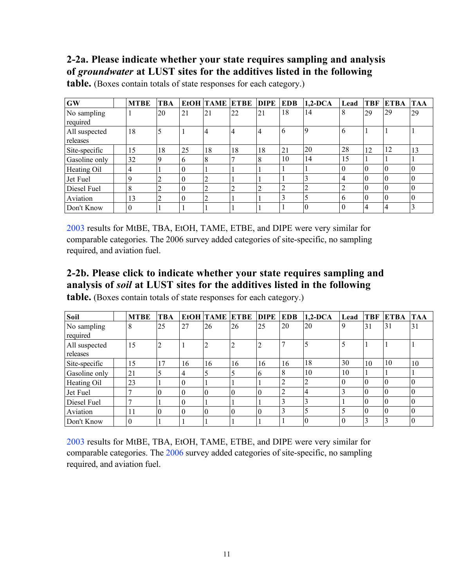# 2-2a. Please indicate whether your state requires sampling and analysis of *groundwater* at LUST sites for the additives listed in the following

| <b>GW</b>                 | <b>MTBE</b> | <b>TBA</b> |          | <b>EtOH TAME ETBE</b> |    | DIPE | <b>EDB</b>     | $1,2-DCA$ | Lead     | <b>TBF</b> | <b>ETBA</b> | <b>TAA</b> |
|---------------------------|-------------|------------|----------|-----------------------|----|------|----------------|-----------|----------|------------|-------------|------------|
| No sampling<br>required   |             | 20         | 21       | 21                    | 22 | 21   | 18             | 14        | 8        | 29         | 29          | 29         |
| All suspected<br>releases | 18          |            |          | 4                     | 4  | 4    | 6              | Q         | 6        |            |             |            |
| Site-specific             | 15          | 18         | 25       | 18                    | 18 | 18   | 21             | 20        | 28       | 12         | 12          | 13         |
| Gasoline only             | 32          | 9          | 6        | 8                     |    | 8    | 10             | 14        | 15       |            |             |            |
| Heating Oil               | 4           |            | $\theta$ |                       |    |      |                |           | $\theta$ |            | 0           | $\Omega$   |
| Jet Fuel                  | 9           | ↑<br>∠     | $\theta$ | $\overline{2}$        |    |      |                |           | 4        |            | 0           |            |
| Diesel Fuel               | 8           | 2          | 0        | 2                     | 2  |      | $\overline{2}$ |           | 2        |            | 0           | $\Omega$   |
| Aviation                  | 13          | 2          | $\theta$ | $\overline{2}$        |    |      | 3              |           | 6        |            | 0           | $\theta$   |
| Don't Know                | $\Omega$    |            |          |                       |    |      |                |           | $\theta$ |            |             |            |

table. (Boxes contain totals of state responses for each category.)

2003 results for MtBE, TBA, EtOH, TAME, ETBE, and DIPE were very similar for comparable categories. The 2006 survey added categories of site-specific, no sampling required, and aviation fuel.

# 2-2b. Please click to indicate whether your state requires sampling and analysis of *soil* at LUST sites for the additives listed in the following

table. (Boxes contain totals of state responses for each category.)

| Soil                      | <b>MTBE</b> | <b>TBA</b> |          | EtOH TAME ETBE |                  | <b>DIPE</b> | <b>EDB</b>     | $1,2-DCA$ | Lead     | <b>TBF</b> | <b>ETBA</b> | <b>TAA</b> |
|---------------------------|-------------|------------|----------|----------------|------------------|-------------|----------------|-----------|----------|------------|-------------|------------|
| No sampling<br>required   | 8           | 25         | 27       | 26             | 26               | 25          | 20             | 20        | 9        | 31         | 31          | 31         |
| All suspected<br>releases | 15          |            |          | $\overline{2}$ | 2                |             |                |           |          |            |             |            |
| Site-specific             | 15          | 17         | 16       | 16             | 16               | 16          | 16             | 18        | 30       | 10         | 10          | 10         |
| Gasoline only             | 21          |            | 4        | .5             | 5                | 6           | 8              | 10        | 10       |            |             |            |
| Heating Oil               | 23          |            | $\theta$ |                |                  |             | $\overline{2}$ | ◠         | $\Omega$ | 0          | 0           |            |
| Jet Fuel                  |             | $\theta$   | $\theta$ | $\theta$       | $\boldsymbol{0}$ | $\theta$    | 2              |           |          |            |             | $\theta$   |
| Diesel Fuel               |             |            | $\theta$ |                |                  |             | 3              |           |          |            |             | $\theta$   |
| Aviation                  | 11          | $\Omega$   | $\theta$ | $\theta$       | $\theta$         | $\Omega$    | 3              |           |          | 0          | $\theta$    | $\theta$   |
| Don't Know                | 0           |            |          |                |                  |             |                |           | $\theta$ |            |             | $\theta$   |

2003 results for MtBE, TBA, EtOH, TAME, ETBE, and DIPE were very similar for comparable categories. The 2006 survey added categories of site-specific, no sampling required, and aviation fuel.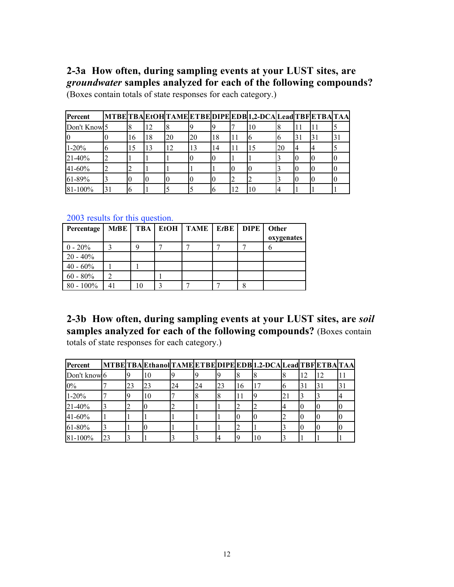## 2-3a How often, during sampling events at your LUST sites, are *groundwater* samples analyzed for each of the following compounds? (Boxes contain totals of state responses for each category.)

Percent MTBE TBA EtOH TAME ETBE DIPE EDB 1,2-DCA Lead TBF ETBA TAA Don't Know 5 8 12 8 9 9 7 10 8 11 11 5 0 | 0 | 16 | 18 | 20 | 20 | 18 | 11 | 6 | 6 | 31 | 31 | 31 1-20% 6 15 13 12 13 14 11 15 20 4 4 5 21-40% 2 1 1 1 0 0 1 1 3 0 0 0 41-60% 2 2 1 1 1 1 0 0 3 0 0 0 61-89% 3 0 0 0 0 0 0 2 2 3 0 0 0 81-100% 31 6 1 5 5 6 12 10 4 1 1

2003 results for this question.

| Percentage   | $M$ t $B$ E    |    | TBA   EtOH   TAME   EtBE   DIPE |  | Other<br>oxygenates |
|--------------|----------------|----|---------------------------------|--|---------------------|
| $0 - 20\%$   | 3              |    |                                 |  |                     |
| $20 - 40\%$  |                |    |                                 |  |                     |
| $40 - 60\%$  |                |    |                                 |  |                     |
| $60 - 80\%$  | $\overline{2}$ |    |                                 |  |                     |
| $80 - 100\%$ | 41             | 10 |                                 |  |                     |

2-3b How often, during sampling events at your LUST sites, are *soil* samples analyzed for each of the following compounds? (Boxes contain totals of state responses for each category.)

| Percent      |    |    |    |    |    |    |    | MTBETBAEthanolTAMEETBEDIPEEDB1.2-DCALeadTBFETBATAA |                 |    |    |  |
|--------------|----|----|----|----|----|----|----|----------------------------------------------------|-----------------|----|----|--|
| Don't know 6 |    |    | 10 |    |    |    |    |                                                    |                 |    | 12 |  |
| $0\%$        |    | 23 | 23 | 24 | 24 | 23 | 16 |                                                    | О               | 31 | 31 |  |
| $1-20%$      |    |    | 10 |    |    |    |    |                                                    | $\mathcal{L}$ . |    |    |  |
| 21-40%       |    |    |    |    |    |    |    |                                                    |                 |    |    |  |
| 41-60%       |    |    |    |    |    |    | IЧ |                                                    |                 |    |    |  |
| 61-80%       |    |    |    |    |    |    |    |                                                    |                 |    |    |  |
| 81-100%      | 23 |    |    |    |    |    | ۱q | 10                                                 |                 |    |    |  |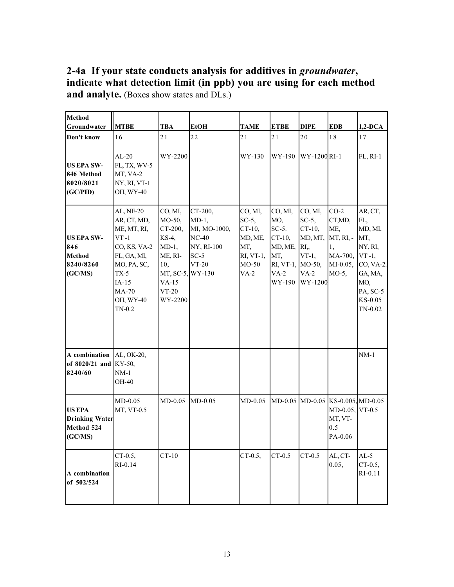2-4a If your state conducts analysis for additives in *groundwater*, indicate what detection limit (in ppb) you are using for each method and analyte. (Boxes show states and DLs.)

| <b>Method</b><br>Groundwater                                      | <b>MTBE</b>                                                                                                                                                     | <b>TBA</b>                                                                                                               | <b>EtOH</b>                                                                       | <b>TAME</b>                                                                            | <b>ETBE</b>                                                                                       | <b>DIPE</b>                                                                         | <b>EDB</b>                                                                       | $1,2$ -DCA                                                                                                                 |
|-------------------------------------------------------------------|-----------------------------------------------------------------------------------------------------------------------------------------------------------------|--------------------------------------------------------------------------------------------------------------------------|-----------------------------------------------------------------------------------|----------------------------------------------------------------------------------------|---------------------------------------------------------------------------------------------------|-------------------------------------------------------------------------------------|----------------------------------------------------------------------------------|----------------------------------------------------------------------------------------------------------------------------|
| Don't know                                                        | 16                                                                                                                                                              | 21                                                                                                                       | 22                                                                                | 21                                                                                     | 21                                                                                                | 20                                                                                  | 18                                                                               | 17                                                                                                                         |
| <b>US EPA SW-</b><br>846 Method<br>8020/8021<br>(GC/PID)          | $AL-20$<br>FL, TX, WV-5<br>MT, VA-2<br>NY, RI, VT-1<br>OH, WY-40                                                                                                | WY-2200                                                                                                                  |                                                                                   | WY-130                                                                                 | WY-190                                                                                            | WY-1200 RI-1                                                                        |                                                                                  | FL, RI-1                                                                                                                   |
| <b>US EPA SW-</b><br>846<br><b>Method</b><br>8240/8260<br>(GC/MS) | <b>AL, NE-20</b><br>AR, CT, MD,<br>ME, MT, RI,<br>$VT - 1$<br>CO, KS, VA-2<br>FL, GA, MI,<br>MO, PA, SC,<br>$TX-5$<br>$IA-15$<br>MA-70<br>OH, WY-40<br>$TN-0.2$ | CO, MI,<br>MO-50,<br>CT-200,<br>KS-4,<br>$MD-1$ ,<br>ME, RI-<br>10,<br>MT, SC-5, WY-130<br>$VA-15$<br>$VT-20$<br>WY-2200 | CT-200,<br>$MD-1$ ,<br>MI, MO-1000,<br>$NC-40$<br>NY, RI-100<br>$SC-5$<br>$VT-20$ | CO, MI,<br>$SC-5$ ,<br>$CT-10$ ,<br>MD, ME,<br>MT,<br>$RI, VT-1,$<br>$MO-50$<br>$VA-2$ | CO, MI,<br>MO,<br>$SC-5$ .<br>$CT-10$ ,<br>MD, ME,<br>MT,<br>RI, VT-1, MO-50,<br>$VA-2$<br>WY-190 | CO, MI,<br>$SC-5$ ,<br>$CT-10$ ,<br>MD, MT,<br>RI,<br>$VT-1$ ,<br>$VA-2$<br>WY-1200 | $CO-2$<br>CT,MD,<br>ME,<br>MT, RI, -<br>1,<br>MA-700,<br>$MI-0.05,$<br>$MO-5$ ,  | AR, CT,<br>FL,<br>MD, MI,<br>MT,<br>NY, RI,<br>$VT -1,$<br>CO, VA-2.<br>GA, MA,<br>MO,<br>PA, SC-5<br>KS-0.05<br>$TN-0.02$ |
| A combination<br>of 8020/21 and<br>8240/60                        | AL, OK-20,<br>KY-50,<br>$NM-1$<br>OH-40                                                                                                                         |                                                                                                                          |                                                                                   |                                                                                        |                                                                                                   |                                                                                     |                                                                                  | $NM-1$                                                                                                                     |
| <b>US EPA</b><br><b>Drinking Water</b><br>Method 524<br>(GC/MS)   | $MD-0.05$<br>MT, VT-0.5                                                                                                                                         | $MD-0.05$                                                                                                                | $MD-0.05$                                                                         | $MD-0.05$                                                                              |                                                                                                   |                                                                                     | MD-0.05 MD-0.05 KS-0.005 MD-0.05<br>MD-0.05, VT-0.5<br>MT, VT-<br>0.5<br>PA-0.06 |                                                                                                                            |
| A combination<br>of 502/524                                       | $CT-0.5$ ,<br>RI-0.14                                                                                                                                           | $CT-10$                                                                                                                  |                                                                                   | $CT-0.5$ ,                                                                             | $CT-0.5$                                                                                          | $CT-0.5$                                                                            | AL, CT-<br>0.05,                                                                 | $AL-5$<br>$CT-0.5$ ,<br>$RI-0.11$                                                                                          |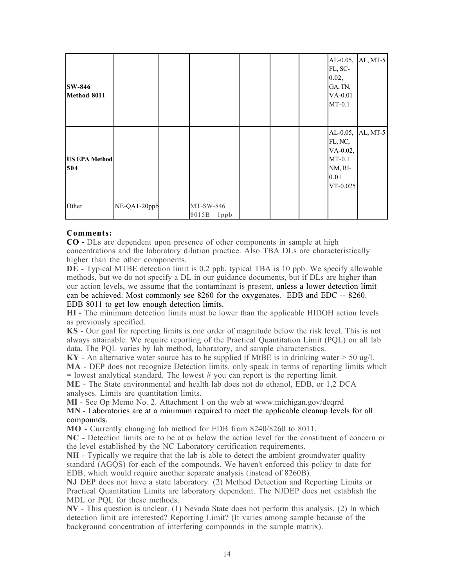| <b>SW-846</b><br>Method 8011 |              |                            |  | $AL-0.05,$<br>FL, SC-<br>0.02,<br>GA, TN,<br>$VA-0.01$<br>$MT-0.1$ | AL, MT-5          |
|------------------------------|--------------|----------------------------|--|--------------------------------------------------------------------|-------------------|
| <b>US EPA Method</b><br>504  |              |                            |  | FL, NC,<br>VA-0.02,<br>$MT-0.1$<br>NM, RI-<br>$0.01\,$<br>VT-0.025 | AL-0.05, AL, MT-5 |
| Other                        | NE-QA1-20ppb | MT-SW-846<br>8015B<br>1ppb |  |                                                                    |                   |

#### Comments:

CO - DLs are dependent upon presence of other components in sample at high concentrations and the laboratory dilution practice. Also TBA DLs are characteristically higher than the other components.

DE - Typical MTBE detection limit is 0.2 ppb, typical TBA is 10 ppb. We specify allowable methods, but we do not specify a DL in our guidance documents, but if DLs are higher than our action levels, we assume that the contaminant is present, unless a lower detection limit can be achieved. Most commonly see 8260 for the oxygenates. EDB and EDC -- 8260. EDB 8011 to get low enough detection limits.

HI - The minimum detection limits must be lower than the applicable HIDOH action levels as previously specified.

KS - Our goal for reporting limits is one order of magnitude below the risk level. This is not always attainable. We require reporting of the Practical Quantitation Limit (PQL) on all lab data. The PQL varies by lab method, laboratory, and sample characteristics.

 $KY$  - An alternative water source has to be supplied if MtBE is in drinking water  $> 50$  ug/l.

MA - DEP does not recognize Detection limits. only speak in terms of reporting limits which  $=$  lowest analytical standard. The lowest  $\#$  you can report is the reporting limit.

ME - The State environmental and health lab does not do ethanol, EDB, or 1,2 DCA analyses. Limits are quantitation limits.

MI - See Op Memo No. 2. Attachment 1 on the web at www.michigan.gov/deqrrd

MN - Laboratories are at a minimum required to meet the applicable cleanup levels for all compounds.

MO - Currently changing lab method for EDB from 8240/8260 to 8011.

NC - Detection limits are to be at or below the action level for the constituent of concern or the level established by the NC Laboratory certification requirements.

NH - Typically we require that the lab is able to detect the ambient groundwater quality standard (AGQS) for each of the compounds. We haven't enforced this policy to date for EDB, which would require another separate analysis (instead of 8260B).

NJ DEP does not have a state laboratory. (2) Method Detection and Reporting Limits or Practical Quantitation Limits are laboratory dependent. The NJDEP does not establish the MDL or PQL for these methods.

NV - This question is unclear. (1) Nevada State does not perform this analysis. (2) In which detection limit are interested? Reporting Limit? (It varies among sample because of the background concentration of interfering compounds in the sample matrix).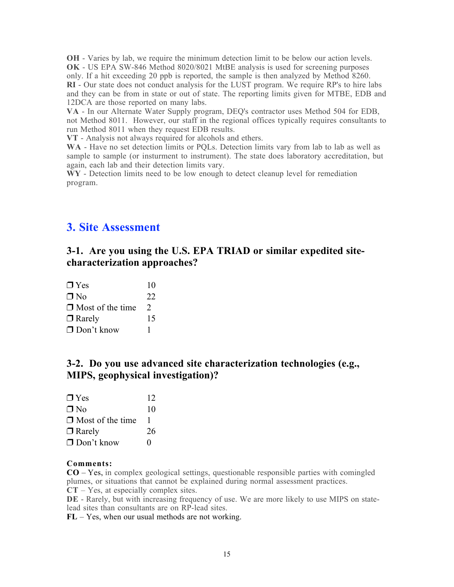OH - Varies by lab, we require the minimum detection limit to be below our action levels. OK - US EPA SW-846 Method 8020/8021 MtBE analysis is used for screening purposes only. If a hit exceeding 20 ppb is reported, the sample is then analyzed by Method 8260. RI - Our state does not conduct analysis for the LUST program. We require RP's to hire labs and they can be from in state or out of state. The reporting limits given for MTBE, EDB and 12DCA are those reported on many labs.

VA - In our Alternate Water Supply program, DEQ's contractor uses Method 504 for EDB, not Method 8011. However, our staff in the regional offices typically requires consultants to run Method 8011 when they request EDB results.

VT - Analysis not always required for alcohols and ethers.

WA - Have no set detection limits or POLs. Detection limits vary from lab to lab as well as sample to sample (or insturment to instrument). The state does laboratory accreditation, but again, each lab and their detection limits vary.

W<sub>Y</sub> - Detection limits need to be low enough to detect cleanup level for remediation program.

# 3. Site Assessment

## 3-1. Are you using the U.S. EPA TRIAD or similar expedited sitecharacterization approaches?

| $\Box$ Yes              | 10            |
|-------------------------|---------------|
| $\Box$ No               | 22            |
| $\Box$ Most of the time | $\mathcal{L}$ |
| $\Box$ Rarely           | 15            |
| $\Box$ Don't know       |               |

## 3-2. Do you use advanced site characterization technologies (e.g., MIPS, geophysical investigation)?

| $\Box$ Yes              | 12 |
|-------------------------|----|
| $\Box$ No               | 10 |
| $\Box$ Most of the time |    |
| $\Box$ Rarely           | 26 |
| $\Box$ Don't know       | 0  |

#### Comments:

CO – Yes, in complex geological settings, questionable responsible parties with comingled plumes, or situations that cannot be explained during normal assessment practices.

CT – Yes, at especially complex sites.

DE - Rarely, but with increasing frequency of use. We are more likely to use MIPS on statelead sites than consultants are on RP-lead sites.

FL – Yes, when our usual methods are not working.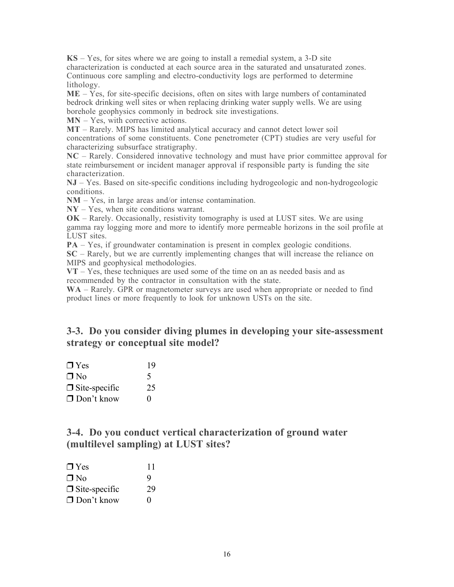KS – Yes, for sites where we are going to install a remedial system, a 3-D site characterization is conducted at each source area in the saturated and unsaturated zones. Continuous core sampling and electro-conductivity logs are performed to determine lithology.

 $ME - Yes$ , for site-specific decisions, often on sites with large numbers of contaminated bedrock drinking well sites or when replacing drinking water supply wells. We are using borehole geophysics commonly in bedrock site investigations.

MN – Yes, with corrective actions.

MT – Rarely. MIPS has limited analytical accuracy and cannot detect lower soil concentrations of some constituents. Cone penetrometer (CPT) studies are very useful for characterizing subsurface stratigraphy.

NC – Rarely. Considered innovative technology and must have prior committee approval for state reimbursement or incident manager approval if responsible party is funding the site characterization.

NJ – Yes. Based on site-specific conditions including hydrogeologic and non-hydrogeologic conditions.

NM – Yes, in large areas and/or intense contamination.

NY – Yes, when site conditions warrant.

OK – Rarely. Occasionally, resistivity tomography is used at LUST sites. We are using gamma ray logging more and more to identify more permeable horizons in the soil profile at LUST sites.

PA – Yes, if groundwater contamination is present in complex geologic conditions.

SC – Rarely, but we are currently implementing changes that will increase the reliance on MIPS and geophysical methodologies.

 $VT - Yes$ , these techniques are used some of the time on an as needed basis and as recommended by the contractor in consultation with the state.

WA – Rarely. GPR or magnetometer surveys are used when appropriate or needed to find product lines or more frequently to look for unknown USTs on the site.

## 3-3. Do you consider diving plumes in developing your site-assessment strategy or conceptual site model?

| $\Box$ Yes           | 19       |
|----------------------|----------|
| $\Box$ No            | 5        |
| $\Box$ Site-specific | 25       |
| $\Box$ Don't know    | $\Omega$ |

### 3-4. Do you conduct vertical characterization of ground water (multilevel sampling) at LUST sites?

| $\Box$ Yes           | 11                |
|----------------------|-------------------|
| $\Box$ No            | 9                 |
| $\Box$ Site-specific | 29                |
| $\Box$ Don't know    | $\mathbf{\Omega}$ |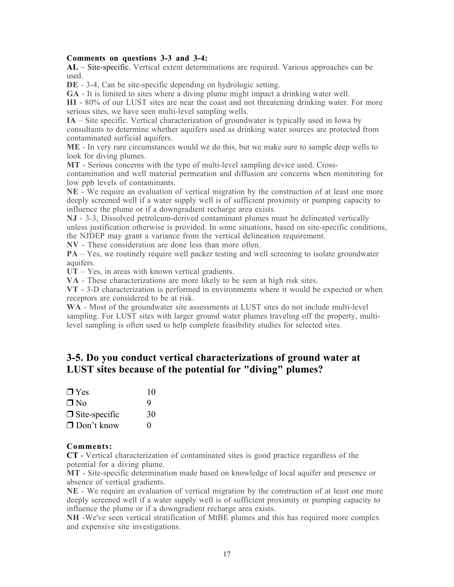#### Comments on questions 3-3 and 3-4:

AL – Site-specific. Vertical extent determinations are required. Various approaches can be used.

DE - 3-4, Can be site-specific depending on hydrologic setting.

GA - It is limited to sites where a diving plume might impact a drinking water well.

HI - 80% of our LUST sites are near the coast and not threatening drinking water. For more serious sites, we have seen multi-level sampling wells.

IA – Site specific. Vertical characterization of groundwater is typically used in Iowa by consultants to determine whether aquifers used as drinking water sources are protected from contaminated surficial aquifers.

ME - In very rare circumstances would we do this, but we make sure to sample deep wells to look for diving plumes.

MT - Serious concerns with the type of multi-level sampling device used. Crosscontamination and well material permeation and diffusion are concerns when monitoring for low ppb levels of contaminants.

NE - We require an evaluation of vertical migration by the construction of at least one more deeply screened well if a water supply well is of sufficient proximity or pumping capacity to influence the plume or if a downgradient recharge area exists.

NJ - 3-3, Dissolved petroleum-derived contaminant plumes must be delineated vertically unless justification otherwise is provided. In some situations, based on site-specific conditions, the NJDEP may grant a variance from the vertical delineation requirement.

NV - These consideration are done less than more often.

PA – Yes, we routinely require well packer testing and well screening to isolate groundwater aquifers.

UT – Yes, in areas with known vertical gradients.

VA - These characterizations are more likely to be seen at high risk sites.

VT - 3-D characterization is performed in environments where it would be expected or when receptors are considered to be at risk.

WA - Most of the groundwater site assessments at LUST sites do not include multi-level sampling. For LUST sites with larger ground water plumes traveling off the property, multilevel sampling is often used to help complete feasibility studies for selected sites.

### 3-5. Do you conduct vertical characterizations of ground water at LUST sites because of the potential for "diving" plumes?

| $\Box$ Yes           | 10       |
|----------------------|----------|
| $\Box$ No            | 9        |
| $\Box$ Site-specific | 30       |
| $\Box$ Don't know    | $\Omega$ |

#### Comments:

CT - Vertical characterization of contaminated sites is good practice regardless of the potential for a diving plume.

MT - Site-specific determination made based on knowledge of local aquifer and presence or absence of vertical gradients.

NE - We require an evaluation of vertical migration by the construction of at least one more deeply screened well if a water supply well is of sufficient proximity or pumping capacity to influence the plume or if a downgradient recharge area exists.

NH -We've seen vertical stratification of MtBE plumes and this has required more complex and expensive site investigations.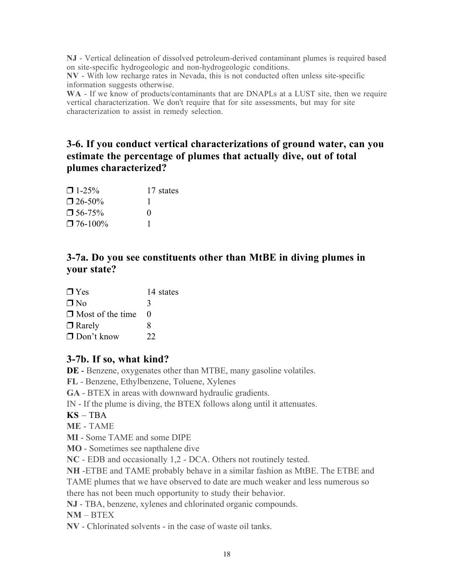NJ - Vertical delineation of dissolved petroleum-derived contaminant plumes is required based on site-specific hydrogeologic and non-hydrogeologic conditions.

NV - With low recharge rates in Nevada, this is not conducted often unless site-specific information suggests otherwise.

WA - If we know of products/contaminants that are DNAPLs at a LUST site, then we require vertical characterization. We don't require that for site assessments, but may for site characterization to assist in remedy selection.

# 3-6. If you conduct vertical characterizations of ground water, can you estimate the percentage of plumes that actually dive, out of total plumes characterized?

| $\Box$ 1-25%     | 17 states    |
|------------------|--------------|
| $\square$ 26-50% |              |
| $\Box$ 56-75%    | $\mathbf{0}$ |
| $\Box$ 76-100%   |              |

# 3-7a. Do you see constituents other than MtBE in diving plumes in your state?

| $\Box$ Yes              | 14 states |
|-------------------------|-----------|
| $\Box$ No               | 3         |
| $\Box$ Most of the time | 0         |
| $\Box$ Rarely           | 8         |
| $\Box$ Don't know       | 22        |
|                         |           |

## 3-7b. If so, what kind?

DE - Benzene, oxygenates other than MTBE, many gasoline volatiles.

FL - Benzene, Ethylbenzene, Toluene, Xylenes

GA - BTEX in areas with downward hydraulic gradients.

IN - If the plume is diving, the BTEX follows along until it attenuates.

KS – TBA

ME - TAME

MI - Some TAME and some DIPE

MO - Sometimes see napthalene dive

NC - EDB and occasionally 1,2 - DCA. Others not routinely tested.

NH -ETBE and TAME probably behave in a similar fashion as MtBE. The ETBE and

TAME plumes that we have observed to date are much weaker and less numerous so there has not been much opportunity to study their behavior.

NJ - TBA, benzene, xylenes and chlorinated organic compounds.

 $NM - BTEX$ 

NV - Chlorinated solvents - in the case of waste oil tanks.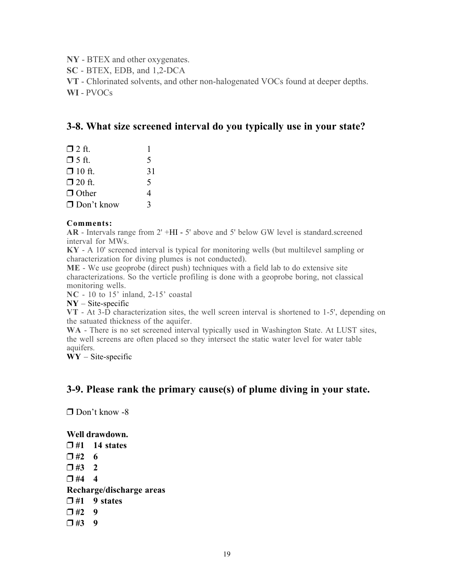NY - BTEX and other oxygenates.

SC - BTEX, EDB, and 1,2-DCA

VT - Chlorinated solvents, and other non-halogenated VOCs found at deeper depths.

WI - PVOCs

### 3-8. What size screened interval do you typically use in your state?

| $\Box$ 2 ft.      |    |
|-------------------|----|
| $\Box$ 5 ft.      | 5  |
| $\Box$ 10 ft.     | 31 |
| $\Box$ 20 ft.     | 5  |
| $\Box$ Other      | 4  |
| $\Box$ Don't know | ζ  |

#### Comments:

AR - Intervals range from 2' +HI - 5' above and 5' below GW level is standard.screened interval for MWs.

KY - A 10' screened interval is typical for monitoring wells (but multilevel sampling or characterization for diving plumes is not conducted).

ME - We use geoprobe (direct push) techniques with a field lab to do extensive site characterizations. So the verticle profiling is done with a geoprobe boring, not classical monitoring wells.

NC - 10 to 15' inland, 2-15' coastal

 $NY - Site-specific$ 

VT - At 3-D characterization sites, the well screen interval is shortened to 1-5', depending on the satuated thickness of the aquifer.

WA - There is no set screened interval typically used in Washington State. At LUST sites, the well screens are often placed so they intersect the static water level for water table aquifers.

 $\bf{WY}$  – Site-specific

### 3-9. Please rank the primary cause(s) of plume diving in your state.

Don't know -8

#### Well drawdown.

 $\Box$ #1 14 states  $\Box$ #2 6  $\Box$ #3 2  $\Box$  #4 4 Recharge/discharge areas  $\square$ #1 9 states  $\Box$ #2 9  $\Box$ #3 9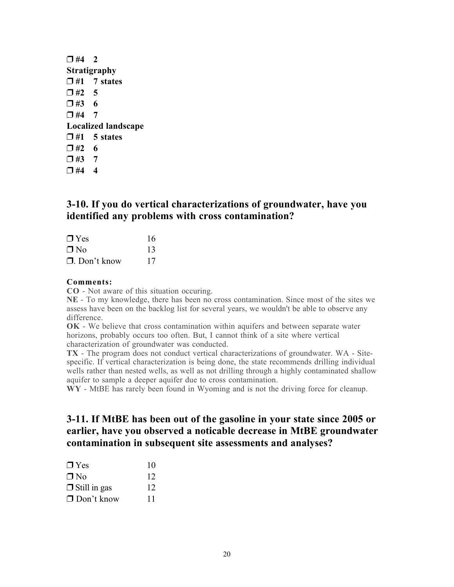| $\Box$ #4 2 |                            |  |
|-------------|----------------------------|--|
|             | Stratigraphy               |  |
|             | $\square$ #1 7 states      |  |
| $\Box$ #2 5 |                            |  |
| $\Box$ #3 6 |                            |  |
| $\Box$ #4 7 |                            |  |
|             | <b>Localized landscape</b> |  |
|             | $\Box$ #1 5 states         |  |
| $\Box$ #2 6 |                            |  |
| $\Box$ #3 7 |                            |  |
| $\Box$ #4   | 4                          |  |

### 3-10. If you do vertical characterizations of groundwater, have you identified any problems with cross contamination?

| $\Box$ Yes          | 16  |
|---------------------|-----|
| $\Box$ No           | -13 |
| $\Box$ . Don't know | 17  |

#### Comments:

CO - Not aware of this situation occuring.

NE - To my knowledge, there has been no cross contamination. Since most of the sites we assess have been on the backlog list for several years, we wouldn't be able to observe any difference.

OK - We believe that cross contamination within aquifers and between separate water horizons, probably occurs too often. But, I cannot think of a site where vertical characterization of groundwater was conducted.

TX - The program does not conduct vertical characterizations of groundwater. WA - Sitespecific. If vertical characterization is being done, the state recommends drilling individual wells rather than nested wells, as well as not drilling through a highly contaminated shallow aquifer to sample a deeper aquifer due to cross contamination.

WY - MtBE has rarely been found in Wyoming and is not the driving force for cleanup.

## 3-11. If MtBE has been out of the gasoline in your state since 2005 or earlier, have you observed a noticable decrease in MtBE groundwater contamination in subsequent site assessments and analyses?

| $\Box$ Yes          | 10 |
|---------------------|----|
| $\Box$ No           | 12 |
| $\Box$ Still in gas | 12 |
| $\Box$ Don't know   | 11 |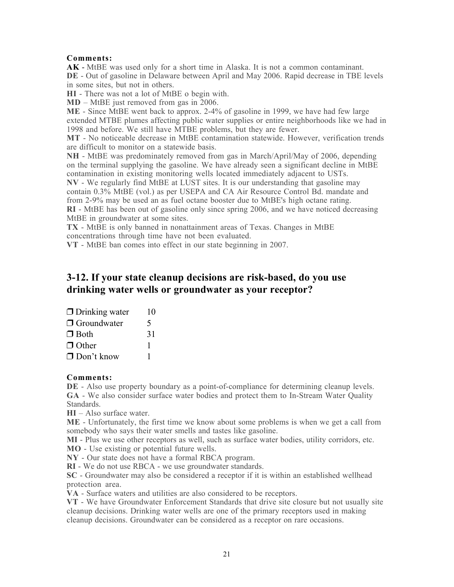#### Comments:

AK - MtBE was used only for a short time in Alaska. It is not a common contaminant. DE - Out of gasoline in Delaware between April and May 2006. Rapid decrease in TBE levels in some sites, but not in others.

HI - There was not a lot of MtBE o begin with.

MD – MtBE just removed from gas in 2006.

ME - Since MtBE went back to approx. 2-4% of gasoline in 1999, we have had few large extended MTBE plumes affecting public water supplies or entire neighborhoods like we had in 1998 and before. We still have MTBE problems, but they are fewer.

MT - No noticeable decrease in MtBE contamination statewide. However, verification trends are difficult to monitor on a statewide basis.

NH - MtBE was predominately removed from gas in March/April/May of 2006, depending on the terminal supplying the gasoline. We have already seen a significant decline in MtBE contamination in existing monitoring wells located immediately adjacent to USTs.

NV - We regularly find MtBE at LUST sites. It is our understanding that gasoline may contain 0.3% MtBE (vol.) as per USEPA and CA Air Resource Control Bd. mandate and from 2-9% may be used an as fuel octane booster due to MtBE's high octane rating. RI - MtBE has been out of gasoline only since spring 2006, and we have noticed decreasing

MtBE in groundwater at some sites.

TX - MtBE is only banned in nonattainment areas of Texas. Changes in MtBE concentrations through time have not been evaluated.

VT - MtBE ban comes into effect in our state beginning in 2007.

## 3-12. If your state cleanup decisions are risk-based, do you use drinking water wells or groundwater as your receptor?

| $\Box$ Drinking water | 10           |
|-----------------------|--------------|
| $\Box$ Groundwater    | 5            |
| $\Box$ Both           | 31           |
| $\Box$ Other          | ı            |
| $\Box$ Don't know     | <sup>1</sup> |
|                       |              |

#### Comments:

DE - Also use property boundary as a point-of-compliance for determining cleanup levels. GA - We also consider surface water bodies and protect them to In-Stream Water Quality Standards.

HI – Also surface water.

ME - Unfortunately, the first time we know about some problems is when we get a call from somebody who says their water smells and tastes like gasoline.

MI - Plus we use other receptors as well, such as surface water bodies, utility corridors, etc.

MO - Use existing or potential future wells.

NY - Our state does not have a formal RBCA program.

RI - We do not use RBCA - we use groundwater standards.

SC - Groundwater may also be considered a receptor if it is within an established wellhead protection area.

VA - Surface waters and utilities are also considered to be receptors.

VT - We have Groundwater Enforcement Standards that drive site closure but not usually site cleanup decisions. Drinking water wells are one of the primary receptors used in making cleanup decisions. Groundwater can be considered as a receptor on rare occasions.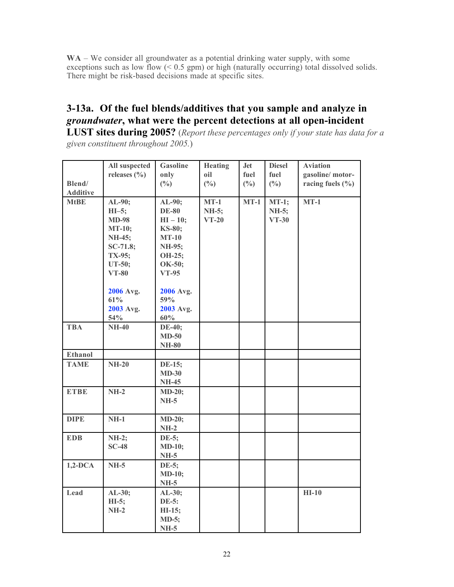WA – We consider all groundwater as a potential drinking water supply, with some exceptions such as low flow  $(0.5 \text{ gpm})$  or high (naturally occurring) total dissolved solids. There might be risk-based decisions made at specific sites.

# 3-13a. Of the fuel blends/additives that you sample and analyze in *groundwater*, what were the percent detections at all open-incident

LUST sites during 2005? (*Report these percentages only if your state has data for a given constituent throughout 2005.*)

|                 | All suspected    | <b>Gasoline</b> | <b>Heating</b>  | <b>Jet</b>      | <b>Diesel</b>   | <b>Aviation</b>      |
|-----------------|------------------|-----------------|-----------------|-----------------|-----------------|----------------------|
|                 | releases $(\% )$ | only            | oil             | fuel            | fuel            | gasoline/motor-      |
| Blend/          |                  | $(^{0}/_{0})$   | $(\frac{0}{0})$ | $(\frac{0}{0})$ | $(\frac{0}{0})$ | racing fuels $(\% )$ |
| <b>Additive</b> |                  |                 |                 |                 |                 |                      |
| <b>MtBE</b>     | $AL-90;$         | AL-90;          | $MT-1$          | $MT-1$          | $MT-1;$         | $MT-1$               |
|                 | $HI-5;$          | <b>DE-80</b>    | <b>NH-5;</b>    |                 | NH-5;           |                      |
|                 | <b>MD-98</b>     | $HI - 10;$      | $VT-20$         |                 | $VT-30$         |                      |
|                 | <b>MT-10;</b>    | KS-80;          |                 |                 |                 |                      |
|                 | NH-45;           | $MT-10$         |                 |                 |                 |                      |
|                 | $SC-71.8;$       | NH-95;          |                 |                 |                 |                      |
|                 | TX-95;           | OH-25;          |                 |                 |                 |                      |
|                 | UT-50;           | OK-50;          |                 |                 |                 |                      |
|                 | $VT-80$          | <b>VT-95</b>    |                 |                 |                 |                      |
|                 |                  |                 |                 |                 |                 |                      |
|                 | 2006 Avg.        | 2006 Avg.       |                 |                 |                 |                      |
|                 | 61%              | 59%             |                 |                 |                 |                      |
|                 | 2003 Avg.        | 2003 Avg.       |                 |                 |                 |                      |
|                 | 54%              | $60\%$          |                 |                 |                 |                      |
| <b>TBA</b>      | <b>NH-40</b>     | DE-40;          |                 |                 |                 |                      |
|                 |                  | $MD-50$         |                 |                 |                 |                      |
|                 |                  | <b>NH-80</b>    |                 |                 |                 |                      |
| Ethanol         |                  |                 |                 |                 |                 |                      |
| <b>TAME</b>     | $NH-20$          | DE-15;          |                 |                 |                 |                      |
|                 |                  | $MD-30$         |                 |                 |                 |                      |
|                 |                  | <b>NH-45</b>    |                 |                 |                 |                      |
| <b>ETBE</b>     | $NH-2$           | $MD-20;$        |                 |                 |                 |                      |
|                 |                  | $NH-5$          |                 |                 |                 |                      |
|                 |                  |                 |                 |                 |                 |                      |
| <b>DIPE</b>     | $NH-1$           | <b>MD-20;</b>   |                 |                 |                 |                      |
|                 |                  | $NH-2$          |                 |                 |                 |                      |
| <b>EDB</b>      | $NH-2;$          | DE-5;           |                 |                 |                 |                      |
|                 | $SC-48$          | <b>MD-10;</b>   |                 |                 |                 |                      |
|                 |                  | $NH-5$          |                 |                 |                 |                      |
| $1,2-DCA$       | $NH-5$           | DE-5;           |                 |                 |                 |                      |
|                 |                  | <b>MD-10;</b>   |                 |                 |                 |                      |
|                 |                  | $NH-5$          |                 |                 |                 |                      |
| Lead            | AL-30;           | AL-30;          |                 |                 |                 | $HI-10$              |
|                 | $HI-5;$          | <b>DE-5:</b>    |                 |                 |                 |                      |
|                 | $NH-2$           | HI-15;          |                 |                 |                 |                      |
|                 |                  | MD-5;           |                 |                 |                 |                      |
|                 |                  | <b>NH-5</b>     |                 |                 |                 |                      |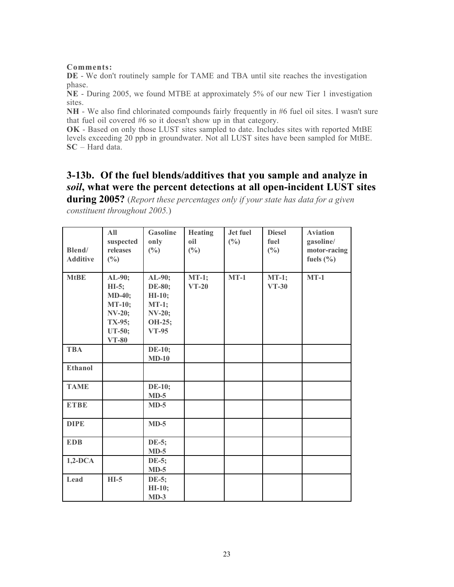#### Comments:

DE - We don't routinely sample for TAME and TBA until site reaches the investigation phase.

NE - During 2005, we found MTBE at approximately 5% of our new Tier 1 investigation sites.

NH - We also find chlorinated compounds fairly frequently in #6 fuel oil sites. I wasn't sure that fuel oil covered #6 so it doesn't show up in that category.

OK - Based on only those LUST sites sampled to date. Includes sites with reported MtBE levels exceeding 20 ppb in groundwater. Not all LUST sites have been sampled for MtBE. SC – Hard data.

# 3-13b. Of the fuel blends/additives that you sample and analyze in *soil*, what were the percent detections at all open-incident LUST sites

during 2005? (*Report these percentages only if your state has data for a given constituent throughout 2005.*)

| Blend/<br><b>Additive</b> | All<br>suspected<br>releases<br>(%)                                                                  | <b>Gasoline</b><br>only<br>(%)                                                     | <b>Heating</b><br>oil<br>$(\%)$ | Jet fuel<br>(%) | <b>Diesel</b><br>fuel<br>(%) | <b>Aviation</b><br>gasoline/<br>motor-racing<br>fuels $(\% )$ |
|---------------------------|------------------------------------------------------------------------------------------------------|------------------------------------------------------------------------------------|---------------------------------|-----------------|------------------------------|---------------------------------------------------------------|
| <b>MtBE</b>               | AL-90;<br>$HI-5$ ;<br><b>MD-40;</b><br><b>MT-10;</b><br><b>NV-20;</b><br>TX-95;<br>UT-50;<br>$VT-80$ | AL-90;<br>DE-80;<br>$HI-10;$<br>$MT-1;$<br><b>NV-20;</b><br>OH-25;<br><b>VT-95</b> | $MT-1;$<br>$VT-20$              | $MT-1$          | $MT-1;$<br>$VT-30$           | $MT-1$                                                        |
| <b>TBA</b>                |                                                                                                      | <b>DE-10;</b><br>$MD-10$                                                           |                                 |                 |                              |                                                               |
| Ethanol                   |                                                                                                      |                                                                                    |                                 |                 |                              |                                                               |
| <b>TAME</b>               |                                                                                                      | <b>DE-10;</b><br>$MD-5$                                                            |                                 |                 |                              |                                                               |
| <b>ETBE</b>               |                                                                                                      | $MD-5$                                                                             |                                 |                 |                              |                                                               |
| <b>DIPE</b>               |                                                                                                      | $MD-5$                                                                             |                                 |                 |                              |                                                               |
| <b>EDB</b>                |                                                                                                      | DE-5;<br>$MD-5$                                                                    |                                 |                 |                              |                                                               |
| $1,2-DCA$                 |                                                                                                      | DE-5;<br>$MD-5$                                                                    |                                 |                 |                              |                                                               |
| Lead                      | $HI-5$                                                                                               | DE-5;<br>HI-10;<br>$MD-3$                                                          |                                 |                 |                              |                                                               |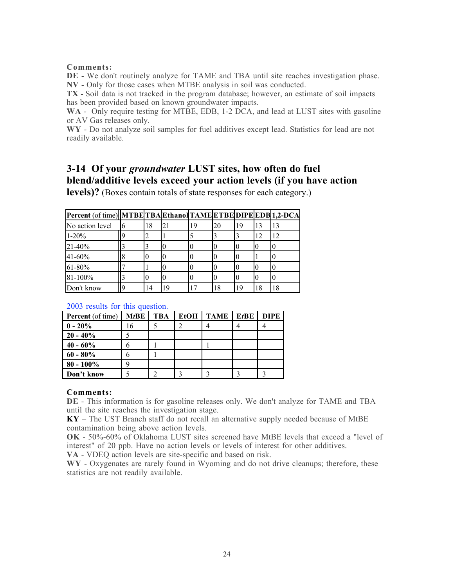#### Comments:

DE - We don't routinely analyze for TAME and TBA until site reaches investigation phase. NV - Only for those cases when MTBE analysis in soil was conducted.

TX - Soil data is not tracked in the program database; however, an estimate of soil impacts has been provided based on known groundwater impacts.

WA - Only require testing for MTBE, EDB, 1-2 DCA, and lead at LUST sites with gasoline or AV Gas releases only.

WY - Do not analyze soil samples for fuel additives except lead. Statistics for lead are not readily available.

# 3-14 Of your *groundwater* LUST sites, how often do fuel blend/additive levels exceed your action levels (if you have action

levels)? (Boxes contain totals of state responses for each category.)

| Percent (of time)  MTBE  TBA  Ethanol  TAME  ETBE  DIPE  EDB  1,2-DCA |          |    |    |    |    |    |    |    |
|-----------------------------------------------------------------------|----------|----|----|----|----|----|----|----|
| No action level                                                       | 16       | 18 | 21 | 19 | 20 | 19 | 13 |    |
| $1 - 20%$                                                             | <b>Q</b> | 2  |    |    |    |    | 12 | 12 |
| 21-40%                                                                |          |    |    |    |    |    |    |    |
| 41-60%                                                                |          |    |    |    |    |    |    |    |
| $61 - 80%$                                                            |          |    |    |    |    |    |    |    |
| 81-100%                                                               |          |    |    |    |    |    |    |    |
| Don't know                                                            | <b>Q</b> | 14 | 19 |    | 18 | 19 | 18 |    |

#### 2003 results for this question.

| <b>Percent</b> (of time) | $M$ t $B$ E | <b>TBA</b> | EtOH | <b>TAME</b> | EtBE | <b>DIPE</b> |
|--------------------------|-------------|------------|------|-------------|------|-------------|
| $0 - 20\%$               | 16          |            |      |             |      |             |
| $20 - 40\%$              |             |            |      |             |      |             |
| $40 - 60\%$              |             |            |      |             |      |             |
| $60 - 80\%$              |             |            |      |             |      |             |
| $80 - 100\%$             |             |            |      |             |      |             |
| Don't know               |             |            |      |             |      |             |

#### Comments:

DE - This information is for gasoline releases only. We don't analyze for TAME and TBA until the site reaches the investigation stage.

KY – The UST Branch staff do not recall an alternative supply needed because of MtBE contamination being above action levels.

OK - 50%-60% of Oklahoma LUST sites screened have MtBE levels that exceed a "level of interest" of 20 ppb. Have no action levels or levels of interest for other additives.

VA - VDEQ action levels are site-specific and based on risk.

WY - Oxygenates are rarely found in Wyoming and do not drive cleanups; therefore, these statistics are not readily available.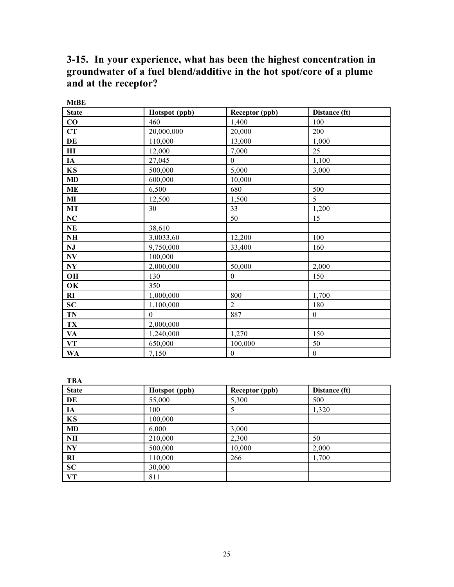# 3-15. In your experience, what has been the highest concentration in groundwater of a fuel blend/additive in the hot spot/core of a plume and at the receptor?

| <b>MtBE</b>        |               |                  |                  |
|--------------------|---------------|------------------|------------------|
| <b>State</b>       | Hotspot (ppb) | Receptor (ppb)   | Distance (ft)    |
| $\bf CO$           | 460           | 1,400            | 100              |
| CT                 | 20,000,000    | 20,000           | 200              |
| DE                 | 110,000       | 13,000           | 1,000            |
| H <sub>I</sub>     | 12,000        | 7,000            | 25               |
| <b>IA</b>          | 27,045        | $\mathbf{0}$     | 1,100            |
| KS                 | 500,000       | 5,000            | 3,000            |
| MD                 | 600,000       | 10,000           |                  |
| <b>ME</b>          | 6,500         | 680              | 500              |
| MI                 | 12,500        | 1,500            | 5                |
| MT                 | 30            | 33               | 1,200            |
| $\bf NC$           |               | 50               | 15               |
| $\bf NE$           | 38,610        |                  |                  |
| NH                 | 3,0033,60     | 12,200           | 100              |
| NJ                 | 9,750,000     | 33,400           | 160              |
| $N\!V$             | 100,000       |                  |                  |
| $\bold{N}\bold{Y}$ | 2,000,000     | 50,000           | 2,000            |
| OH                 | 130           | $\boldsymbol{0}$ | 150              |
| OK                 | 350           |                  |                  |
| RI                 | 1,000,000     | 800              | 1,700            |
| SC                 | 1,100,000     | $\overline{2}$   | 180              |
| <b>TN</b>          | $\theta$      | 887              | $\boldsymbol{0}$ |
| TX                 | 2,000,000     |                  |                  |
| VA                 | 1,240,000     | 1,270            | 150              |
| VT                 | 650,000       | 100,000          | 50               |
| <b>WA</b>          | 7,150         | $\boldsymbol{0}$ | $\boldsymbol{0}$ |

**TRA** 

| <b>State</b>           | Hotspot (ppb) | Receptor (ppb) | Distance (ft) |
|------------------------|---------------|----------------|---------------|
| DE                     | 55,000        | 5,300          | 500           |
| IA                     | 100           | 5              | 1,320         |
| KS                     | 100,000       |                |               |
| <b>MD</b>              | 6,000         | 3,000          |               |
| NH                     | 210,000       | 2,300          | 50            |
| $\mathbf{N}\mathbf{Y}$ | 500,000       | 10,000         | 2,000         |
| RI                     | 110,000       | 266            | 1,700         |
| <b>SC</b>              | 30,000        |                |               |
| VT                     | 811           |                |               |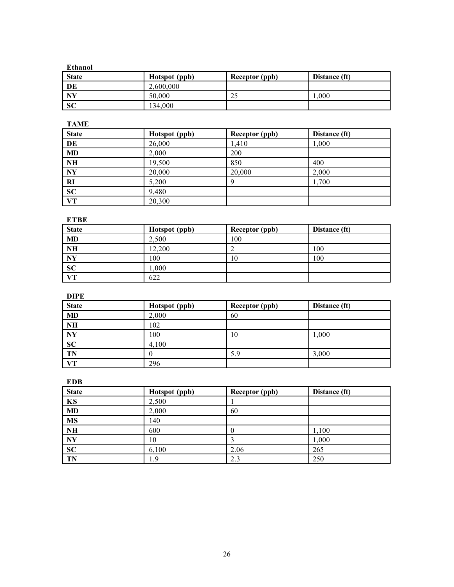| Ethanol      |               |                       |               |  |  |
|--------------|---------------|-----------------------|---------------|--|--|
| <b>State</b> | Hotspot (ppb) | <b>Receptor (ppb)</b> | Distance (ft) |  |  |
| DE           | 2,600,000     |                       |               |  |  |
| NY           | 50,000        | 25                    | .000          |  |  |
| <b>SC</b>    | 134,000       |                       |               |  |  |

TAME

| <b>State</b>    | Hotspot (ppb) | Receptor (ppb) | Distance (ft) |
|-----------------|---------------|----------------|---------------|
| DE              | 26,000        | 1,410          | 1,000         |
| <b>MD</b>       | 2,000         | 200            |               |
| NH              | 19,500        | 850            | 400           |
| <b>NY</b>       | 20,000        | 20,000         | 2,000         |
| <b>RI</b>       | 5,200         | Q              | 1,700         |
| $\overline{SC}$ | 9,480         |                |               |
| VT              | 20,300        |                |               |

#### ETBE

| <b>State</b> | Hotspot (ppb) | <b>Receptor</b> (ppb) | Distance (ft) |
|--------------|---------------|-----------------------|---------------|
| <b>MD</b>    | 2.500         | 100                   |               |
| <b>NH</b>    | 12,200        |                       | 100           |
| <b>NY</b>    | 100           | 10                    | 100           |
| <b>SC</b>    | .000          |                       |               |
| <b>VT</b>    | 622           |                       |               |

DIPE

| <b>State</b> | Hotspot (ppb) | <b>Receptor</b> (ppb) | Distance (ft) |
|--------------|---------------|-----------------------|---------------|
| <b>MD</b>    | 2,000         | 60                    |               |
| <b>NH</b>    | 102           |                       |               |
| <b>NY</b>    | 100           | 10                    | 1,000         |
| SC           | 4,100         |                       |               |
| <b>TN</b>    |               | 5.9                   | 3,000         |
| VТ           | 296           |                       |               |

EDB

| <b>State</b>            | Hotspot (ppb) | Receptor (ppb) | Distance (ft) |
|-------------------------|---------------|----------------|---------------|
| KS                      | 2,500         |                |               |
| MD                      | 2,000         | 60             |               |
| <b>MS</b>               | 140           |                |               |
| NH                      | 600           |                | 1,100         |
| $\overline{\mathbf{N}}$ | 10            |                | 1,000         |
| <b>SC</b>               | 6,100         | 2.06           | 265           |
| TN                      | .9            | 2.3            | 250           |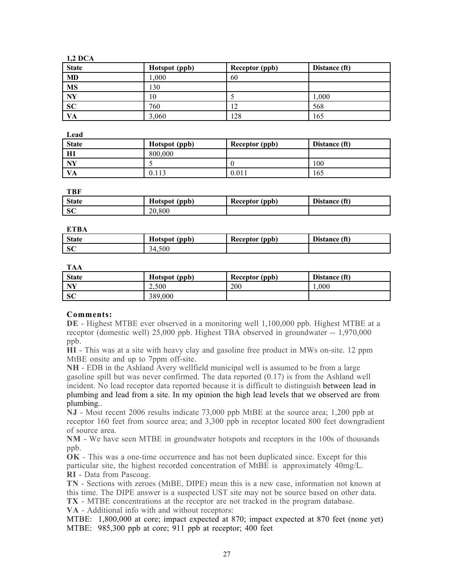| ï |
|---|
|   |
|   |

| <b>State</b> | Hotspot (ppb) | <b>Receptor</b> (ppb) | Distance (ft) |
|--------------|---------------|-----------------------|---------------|
| <b>MD</b>    | 0.001         | 60                    |               |
| <b>MS</b>    | 130           |                       |               |
| NY           | 10            |                       | .000          |
| <b>SC</b>    | 760           | ◠<br>$\overline{1}$   | 568           |
| VA           | 3,060         | 128                   | 165           |

Lead

| <b>State</b> | Hotspot (ppb) | Receptor (ppb) | Distance (ft) |
|--------------|---------------|----------------|---------------|
| Ш            | 800,000       |                |               |
| NY           |               |                | 100           |
| VA           | 0.113         | 0.011          | 165           |

TBF

| <b>State</b> | ŦТ<br>Hotspot (ppb) | Receptor (ppb) | Distance (ft) |
|--------------|---------------------|----------------|---------------|
| -SC          | 20.800              |                |               |

**ETBA** 

| <b>State</b> | Hotspot (ppb) | Receptor (ppb) | Distance (ft) |
|--------------|---------------|----------------|---------------|
| SC           | 34.500        |                |               |

TAA

| <b>State</b> | Hotspot (ppb) | Receptor (ppb) | Distance (ft) |
|--------------|---------------|----------------|---------------|
| NV           | 2.500         | 200            | .000          |
| SC           | 389,000       |                |               |

#### Comments:

DE - Highest MTBE ever observed in a monitoring well 1,100,000 ppb. Highest MTBE at a receptor (domestic well) 25,000 ppb. Highest TBA observed in groundwater -- 1,970,000 ppb.

HI - This was at a site with heavy clay and gasoline free product in MWs on-site. 12 ppm MtBE onsite and up to 7ppm off-site.

NH - EDB in the Ashland Avery wellfield municipal well is assumed to be from a large gasoline spill but was never confirmed. The data reported (0.17) is from the Ashland well incident. No lead receptor data reported because it is difficult to distinguish between lead in plumbing and lead from a site. In my opinion the high lead levels that we observed are from plumbing..

NJ - Most recent 2006 results indicate 73,000 ppb MtBE at the source area; 1,200 ppb at receptor 160 feet from source area; and 3,300 ppb in receptor located 800 feet downgradient of source area.

NM - We have seen MTBE in groundwater hotspots and receptors in the 100s of thousands ppb.

OK - This was a one-time occurrence and has not been duplicated since. Except for this particular site, the highest recorded concentration of MtBE is approximately 40mg/L. RI - Data from Pascoag.

TN - Sections with zeroes (MtBE, DIPE) mean this is a new case, information not known at this time. The DIPE answer is a suspected UST site may not be source based on other data.

TX - MTBE concentrations at the receptor are not tracked in the program database.

VA - Additional info with and without receptors:

MTBE: 1,800,000 at core; impact expected at 870; impact expected at 870 feet (none yet) MTBE: 985,300 ppb at core; 911 ppb at receptor; 400 feet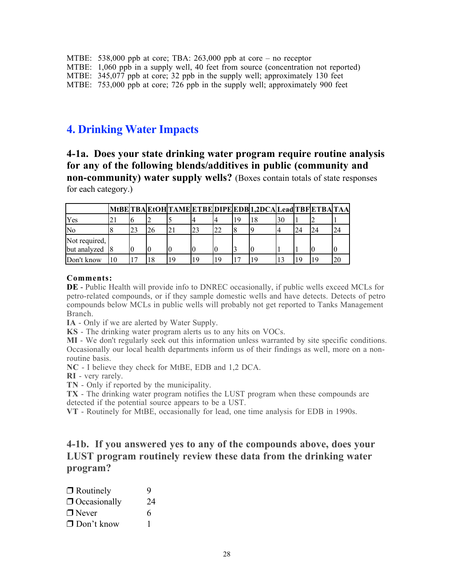| MTBE: 538,000 ppb at core; TBA: 263,000 ppb at core – no receptor                  |
|------------------------------------------------------------------------------------|
| MTBE: 1,060 ppb in a supply well, 40 feet from source (concentration not reported) |
| MTBE: 345,077 ppb at core; 32 ppb in the supply well; approximately 130 feet       |
| MTBE: 753,000 ppb at core; 726 ppb in the supply well; approximately 900 feet      |

# 4. Drinking Water Impacts

4-1a. Does your state drinking water program require routine analysis for any of the following blends/additives in public (community and non-community) water supply wells? (Boxes contain totals of state responses for each category.)

|                |    |    |    |    |    |    | MtBE TBA EtOH TAME ETBE DIPE EDB 1,2DCA Lead TBF ETBA TAA |    |    |  |
|----------------|----|----|----|----|----|----|-----------------------------------------------------------|----|----|--|
| Yes            | 21 |    |    |    |    |    |                                                           | 30 |    |  |
| <b>No</b>      |    | 23 | 26 |    | 23 | 22 |                                                           |    | 24 |  |
| Not required,  |    |    |    |    |    |    |                                                           |    |    |  |
| but analyzed 8 |    |    |    |    |    |    |                                                           |    |    |  |
| Don't know     | 10 |    | 18 | 19 | 19 | 19 |                                                           |    |    |  |

#### Comments:

DE - Public Health will provide info to DNREC occasionally, if public wells exceed MCLs for petro-related compounds, or if they sample domestic wells and have detects. Detects of petro compounds below MCLs in public wells will probably not get reported to Tanks Management Branch.

IA - Only if we are alerted by Water Supply.

KS - The drinking water program alerts us to any hits on VOCs.

MI - We don't regularly seek out this information unless warranted by site specific conditions. Occasionally our local health departments inform us of their findings as well, more on a nonroutine basis.

NC - I believe they check for MtBE, EDB and 1,2 DCA.

RI - very rarely.

TN - Only if reported by the municipality.

TX - The drinking water program notifies the LUST program when these compounds are detected if the potential source appears to be a UST.

VT - Routinely for MtBE, occasionally for lead, one time analysis for EDB in 1990s.

4-1b. If you answered yes to any of the compounds above, does your LUST program routinely review these data from the drinking water program?

| $\Box$ Routinely    | 9  |
|---------------------|----|
| $\Box$ Occasionally | 24 |
| $\Box$ Never        | 6  |
| $\Box$ Don't know   |    |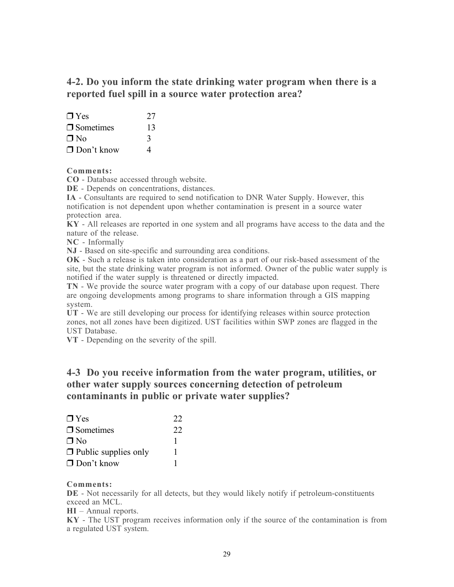## 4-2. Do you inform the state drinking water program when there is a reported fuel spill in a source water protection area?

| $\Box$ Yes        | 27 |
|-------------------|----|
| $\Box$ Sometimes  | 13 |
| $\Box$ No         | 3  |
| $\Box$ Don't know | 4  |

#### Comments:

CO - Database accessed through website.

DE - Depends on concentrations, distances.

IA - Consultants are required to send notification to DNR Water Supply. However, this notification is not dependent upon whether contamination is present in a source water protection area.

KY - All releases are reported in one system and all programs have access to the data and the nature of the release.

NC - Informally

NJ - Based on site-specific and surrounding area conditions.

OK - Such a release is taken into consideration as a part of our risk-based assessment of the site, but the state drinking water program is not informed. Owner of the public water supply is notified if the water supply is threatened or directly impacted.

TN - We provide the source water program with a copy of our database upon request. There are ongoing developments among programs to share information through a GIS mapping system.

UT - We are still developing our process for identifying releases within source protection zones, not all zones have been digitized. UST facilities within SWP zones are flagged in the UST Database.

VT - Depending on the severity of the spill.

### 4-3 Do you receive information from the water program, utilities, or other water supply sources concerning detection of petroleum contaminants in public or private water supplies?

| $\Box$ Yes                  | 22 |
|-----------------------------|----|
| $\Box$ Sometimes            | 22 |
| $\Box$ No                   |    |
| $\Box$ Public supplies only |    |
| $\Box$ Don't know           |    |

#### Comments:

DE - Not necessarily for all detects, but they would likely notify if petroleum-constituents exceed an MCL.

HI – Annual reports.

KY - The UST program receives information only if the source of the contamination is from a regulated UST system.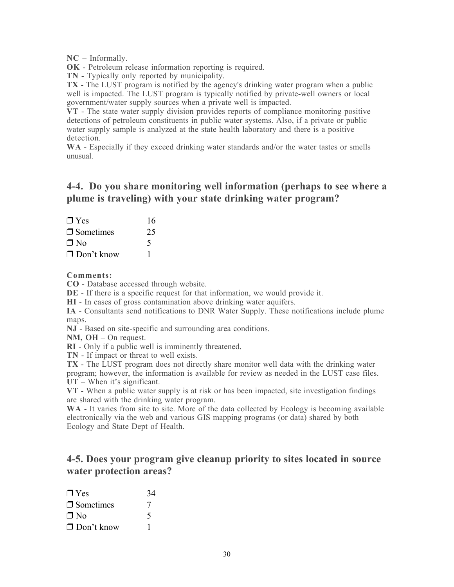NC – Informally.

OK - Petroleum release information reporting is required.

TN - Typically only reported by municipality.

TX - The LUST program is notified by the agency's drinking water program when a public well is impacted. The LUST program is typically notified by private-well owners or local government/water supply sources when a private well is impacted.

VT - The state water supply division provides reports of compliance monitoring positive detections of petroleum constituents in public water systems. Also, if a private or public water supply sample is analyzed at the state health laboratory and there is a positive detection.

WA - Especially if they exceed drinking water standards and/or the water tastes or smells unusual.

### 4-4. Do you share monitoring well information (perhaps to see where a plume is traveling) with your state drinking water program?

| $\Box$ Yes        | 16 |
|-------------------|----|
| $\Box$ Sometimes  | 25 |
| $\Box$ No         |    |
| $\Box$ Don't know |    |

Comments:

CO - Database accessed through website.

DE - If there is a specific request for that information, we would provide it.

HI - In cases of gross contamination above drinking water aquifers.

IA - Consultants send notifications to DNR Water Supply. These notifications include plume maps.

NJ - Based on site-specific and surrounding area conditions.

NM, OH – On request.

RI - Only if a public well is imminently threatened.

TN - If impact or threat to well exists.

TX - The LUST program does not directly share monitor well data with the drinking water program; however, the information is available for review as needed in the LUST case files. UT – When it's significant.

VT - When a public water supply is at risk or has been impacted, site investigation findings are shared with the drinking water program.

WA - It varies from site to site. More of the data collected by Ecology is becoming available electronically via the web and various GIS mapping programs (or data) shared by both Ecology and State Dept of Health.

### 4-5. Does your program give cleanup priority to sites located in source water protection areas?

| $\Box$ Yes          | 34 |
|---------------------|----|
| $\square$ Sometimes |    |
| $\Box$ No           | 5  |
| $\Box$ Don't know   |    |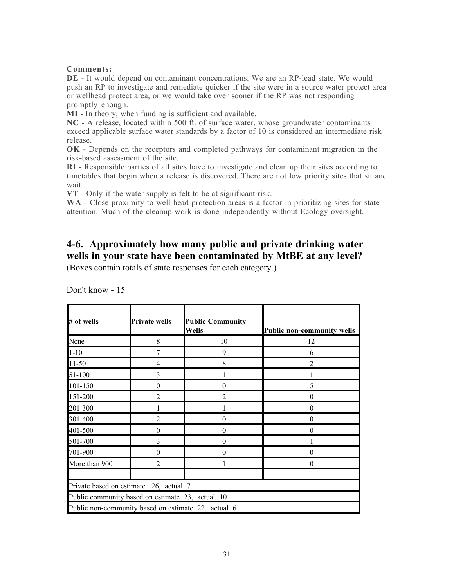#### Comments:

DE - It would depend on contaminant concentrations. We are an RP-lead state. We would push an RP to investigate and remediate quicker if the site were in a source water protect area or wellhead protect area, or we would take over sooner if the RP was not responding promptly enough.

MI - In theory, when funding is sufficient and available.

NC - A release, located within 500 ft. of surface water, whose groundwater contaminants exceed applicable surface water standards by a factor of 10 is considered an intermediate risk release.

OK - Depends on the receptors and completed pathways for contaminant migration in the risk-based assessment of the site.

RI - Responsible parties of all sites have to investigate and clean up their sites according to timetables that begin when a release is discovered. There are not low priority sites that sit and wait.

VT - Only if the water supply is felt to be at significant risk.

WA - Close proximity to well head protection areas is a factor in prioritizing sites for state attention. Much of the cleanup work is done independently without Ecology oversight.

# 4-6. Approximately how many public and private drinking water wells in your state have been contaminated by MtBE at any level?

(Boxes contain totals of state responses for each category.)

| # of wells    | <b>Private wells</b>                             | <b>Public Community</b><br><b>Wells</b>             | <b>Public non-community wells</b> |
|---------------|--------------------------------------------------|-----------------------------------------------------|-----------------------------------|
| None          | 8                                                | 10                                                  | 12                                |
| $1 - 10$      |                                                  | 9                                                   | 6                                 |
| $11-50$       | 4                                                | 8                                                   |                                   |
| 51-100        | 3                                                |                                                     |                                   |
| 101-150       | $\theta$                                         | $\boldsymbol{0}$                                    | 5                                 |
| 151-200       | $\overline{2}$                                   | $\overline{2}$                                      | $\theta$                          |
| 201-300       |                                                  |                                                     | $\Omega$                          |
| 301-400       | 2                                                | $\theta$                                            | $\theta$                          |
| 401-500       | $\theta$                                         | $\theta$                                            | $\theta$                          |
| 501-700       | 3                                                | $\theta$                                            |                                   |
| 701-900       | $\boldsymbol{0}$                                 | $\theta$                                            | $\Omega$                          |
| More than 900 | $\overline{2}$                                   |                                                     | $\Omega$                          |
|               | Private based on estimate 26, actual 7           |                                                     |                                   |
|               | Public community based on estimate 23, actual 10 |                                                     |                                   |
|               |                                                  | Public non-community based on estimate 22, actual 6 |                                   |

Don't know - 15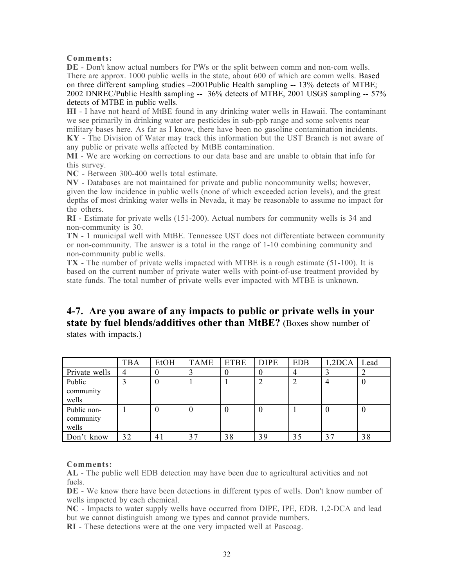#### Comments:

DE - Don't know actual numbers for PWs or the split between comm and non-com wells. There are approx. 1000 public wells in the state, about 600 of which are comm wells. Based on three different sampling studies –2001Public Health sampling -- 13% detects of MTBE; 2002 DNREC/Public Health sampling -- 36% detects of MTBE, 2001 USGS sampling -- 57% detects of MTBE in public wells.

HI - I have not heard of MtBE found in any drinking water wells in Hawaii. The contaminant we see primarily in drinking water are pesticides in sub-ppb range and some solvents near military bases here. As far as I know, there have been no gasoline contamination incidents. KY - The Division of Water may track this information but the UST Branch is not aware of any public or private wells affected by MtBE contamination.

MI - We are working on corrections to our data base and are unable to obtain that info for this survey.

NC - Between 300-400 wells total estimate.

NV - Databases are not maintained for private and public noncommunity wells; however, given the low incidence in public wells (none of which exceeded action levels), and the great depths of most drinking water wells in Nevada, it may be reasonable to assume no impact for the others.

RI - Estimate for private wells (151-200). Actual numbers for community wells is 34 and non-community is 30.

TN - 1 municipal well with MtBE. Tennessee UST does not differentiate between community or non-community. The answer is a total in the range of 1-10 combining community and non-community public wells.

TX - The number of private wells impacted with MTBE is a rough estimate (51-100). It is based on the current number of private water wells with point-of-use treatment provided by state funds. The total number of private wells ever impacted with MTBE is unknown.

# 4-7. Are you aware of any impacts to public or private wells in your state by fuel blends/additives other than MtBE? (Boxes show number of

states with impacts.)

|                                   | TBA | EtOH | TAME | <b>ETBE</b> | <b>DIPE</b> | <b>EDB</b> | 1,2DCA | Lead             |
|-----------------------------------|-----|------|------|-------------|-------------|------------|--------|------------------|
| Private wells                     | 4   |      |      |             |             | 4          |        |                  |
| Public<br>community<br>wells      |     | 0    |      |             |             | っ          |        | $\boldsymbol{0}$ |
| Public non-<br>community<br>wells |     | 0    | 0    | $\theta$    |             |            | υ      | $\boldsymbol{0}$ |
| Don't know                        | 32  | 41   | 37   | 38          | 39          | 35         | 37     | 38               |

#### Comments:

AL - The public well EDB detection may have been due to agricultural activities and not fuels.

DE - We know there have been detections in different types of wells. Don't know number of wells impacted by each chemical.

NC - Impacts to water supply wells have occurred from DIPE, IPE, EDB. 1,2-DCA and lead but we cannot distinguish among we types and cannot provide numbers.

RI - These detections were at the one very impacted well at Pascoag.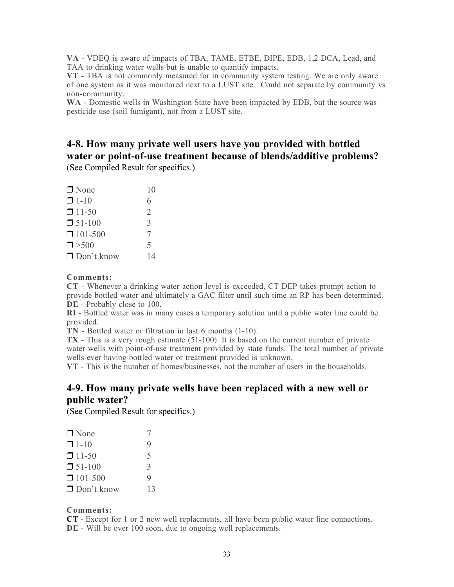VA - VDEQ is aware of impacts of TBA, TAME, ETBE, DIPE, EDB, 1,2 DCA, Lead, and TAA to drinking water wells but is unable to quantify impacts.

VT - TBA is not commonly measured for in community system testing. We are only aware of one system as it was monitored next to a LUST site. Could not separate by community vs non-community.

WA - Domestic wells in Washington State have been impacted by EDB, but the source was pesticide use (soil fumigant), not from a LUST site.

# 4-8. How many private well users have you provided with bottled water or point-of-use treatment because of blends/additive problems?

(See Compiled Result for specifics.)

| $\Box$ None       | 10                       |
|-------------------|--------------------------|
| $\Box$ 1-10       | 6                        |
| $\Box$ 11-50      | 2                        |
| $\Box$ 51-100     | 3                        |
| $\Box$ 101-500    | 7                        |
| $\Box$ > 500      | $\overline{\mathcal{L}}$ |
| $\Box$ Don't know | 14                       |
|                   |                          |

#### Comments:

CT - Whenever a drinking water action level is exceeded, CT DEP takes prompt action to provide bottled water and ultimately a GAC filter until such time an RP has been determined. DE - Probably close to 100.

RI - Bottled water was in many cases a temporary solution until a public water line could be provided.

TN - Bottled water or filtration in last 6 months (1-10).

TX - This is a very rough estimate (51-100). It is based on the current number of private water wells with point-of-use treatment provided by state funds. The total number of private wells ever having bottled water or treatment provided is unknown.

VT - This is the number of homes/businesses, not the number of users in the households.

### 4-9. How many private wells have been replaced with a new well or public water?

(See Compiled Result for specifics.)

| $\Box$ None       |    |
|-------------------|----|
| $\Box$ 1-10       | 9  |
| $\Box$ 11-50      | 5  |
| $\Box$ 51-100     | 3  |
| $\Box$ 101-500    | 9  |
| $\Box$ Don't know | 13 |

#### Comments:

CT - Except for 1 or 2 new well replacments, all have been public water line connections. DE - Will be over 100 soon, due to ongoing well replacements.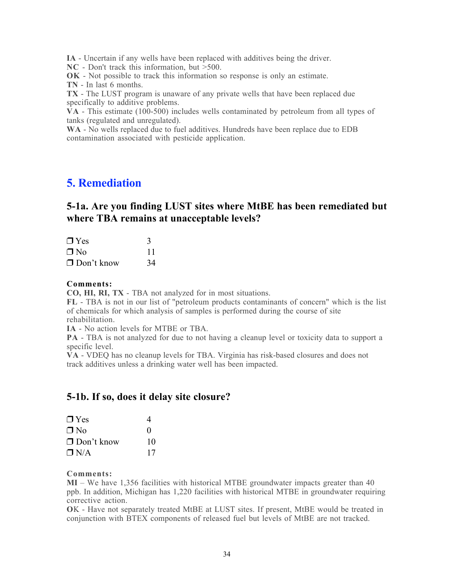IA - Uncertain if any wells have been replaced with additives being the driver.

NC - Don't track this information, but >500.

OK - Not possible to track this information so response is only an estimate.

TN - In last 6 months.

TX - The LUST program is unaware of any private wells that have been replaced due specifically to additive problems.

 $\rm VA$  - This estimate (100-500) includes wells contaminated by petroleum from all types of tanks (regulated and unregulated).

WA - No wells replaced due to fuel additives. Hundreds have been replace due to EDB contamination associated with pesticide application.

# 5. Remediation

### 5-1a. Are you finding LUST sites where MtBE has been remediated but where TBA remains at unacceptable levels?

| $\Box$ Yes        |         |
|-------------------|---------|
| $\Box$ No         | $\perp$ |
| $\Box$ Don't know | 34      |

#### Comments:

CO, HI, RI, TX - TBA not analyzed for in most situations.

FL - TBA is not in our list of "petroleum products contaminants of concern" which is the list of chemicals for which analysis of samples is performed during the course of site rehabilitation.

IA - No action levels for MTBE or TBA.

PA - TBA is not analyzed for due to not having a cleanup level or toxicity data to support a specific level.

VA - VDEQ has no cleanup levels for TBA. Virginia has risk-based closures and does not track additives unless a drinking water well has been impacted.

### 5-1b. If so, does it delay site closure?

| $\Box$ Yes        | 4                 |
|-------------------|-------------------|
| $\Box$ No         | $\mathbf{\Omega}$ |
| $\Box$ Don't know | 10                |
| $\Box$ N/A        | 17                |

#### Comments:

MI – We have 1,356 facilities with historical MTBE groundwater impacts greater than 40 ppb. In addition, Michigan has 1,220 facilities with historical MTBE in groundwater requiring corrective action.

OK - Have not separately treated MtBE at LUST sites. If present, MtBE would be treated in conjunction with BTEX components of released fuel but levels of MtBE are not tracked.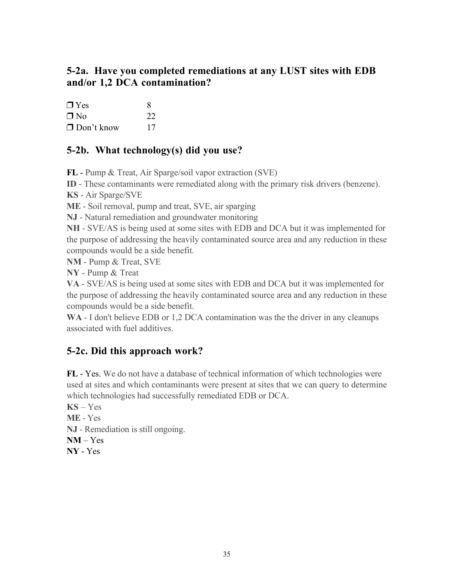# 5-2a. Have you completed remediations at any LUST sites with EDB and/or 1,2 DCA contamination?

| $\Box$ Yes        | 8  |
|-------------------|----|
| $\Box$ No         | 22 |
| $\Box$ Don't know | 17 |

# 5-2b. What technology(s) did you use?

FL - Pump & Treat, Air Sparge/soil vapor extraction (SVE)

ID - These contaminants were remediated along with the primary risk drivers (benzene).

KS - Air Sparge/SVE

ME - Soil removal, pump and treat, SVE, air sparging

NJ - Natural remediation and groundwater monitoring

NH - SVE/AS is being used at some sites with EDB and DCA but it was implemented for the purpose of addressing the heavily contaminated source area and any reduction in these compounds would be a side benefit.

NM - Pump & Treat, SVE

NY - Pump & Treat

VA - SVE/AS is being used at some sites with EDB and DCA but it was implemented for the purpose of addressing the heavily contaminated source area and any reduction in these compounds would be a side benefit.

WA - I don't believe EDB or 1,2 DCA contamination was the the driver in any cleanups associated with fuel additives.

# 5-2c. Did this approach work?

FL - Yes. We do not have a database of technical information of which technologies were used at sites and which contaminants were present at sites that we can query to determine which technologies had successfully remediated EDB or DCA.

 $KS - Yes$ ME - Yes NJ - Remediation is still ongoing.  $NM - Yes$ NY - Yes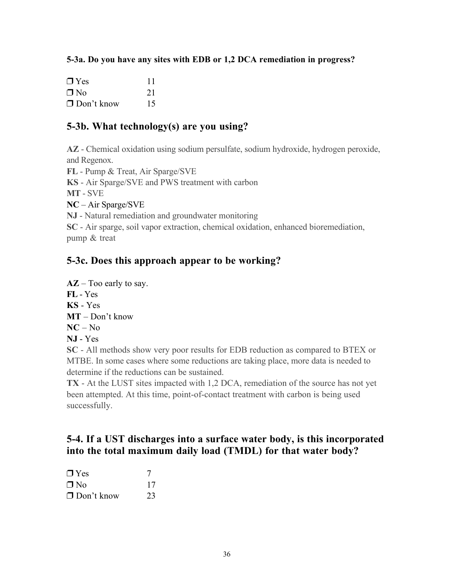### 5-3a. Do you have any sites with EDB or 1,2 DCA remediation in progress?

| $\Box$ Yes        | 11 |
|-------------------|----|
| $\Box$ No         | 21 |
| $\Box$ Don't know | 15 |

### 5-3b. What technology(s) are you using?

AZ - Chemical oxidation using sodium persulfate, sodium hydroxide, hydrogen peroxide, and Regenox.

FL - Pump & Treat, Air Sparge/SVE

KS - Air Sparge/SVE and PWS treatment with carbon

MT - SVE

NC – Air Sparge/SVE

NJ - Natural remediation and groundwater monitoring

SC - Air sparge, soil vapor extraction, chemical oxidation, enhanced bioremediation, pump & treat

## 5-3c. Does this approach appear to be working?

 $AZ$  – Too early to say. FL - Yes

- KS Yes
- MT Don't know
- $NC No$
- NJ Yes

SC - All methods show very poor results for EDB reduction as compared to BTEX or MTBE. In some cases where some reductions are taking place, more data is needed to determine if the reductions can be sustained.

TX - At the LUST sites impacted with 1,2 DCA, remediation of the source has not yet been attempted. At this time, point-of-contact treatment with carbon is being used successfully.

## 5-4. If a UST discharges into a surface water body, is this incorporated into the total maximum daily load (TMDL) for that water body?

| $\Box$ Yes        |    |
|-------------------|----|
| ∩ No              | 17 |
| $\Box$ Don't know | 23 |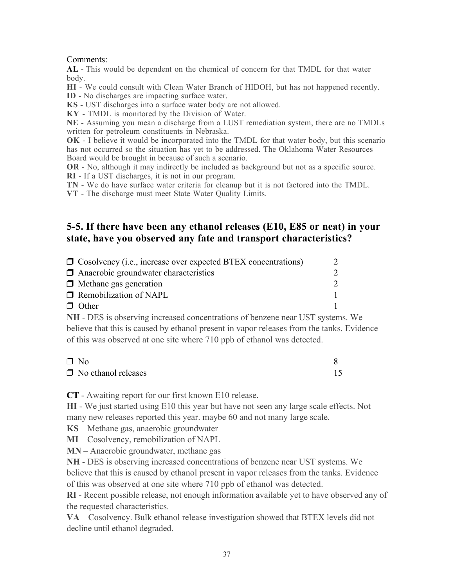### Comments:

AL - This would be dependent on the chemical of concern for that TMDL for that water body.

HI - We could consult with Clean Water Branch of HIDOH, but has not happened recently.

ID - No discharges are impacting surface water.

KS - UST discharges into a surface water body are not allowed.

KY - TMDL is monitored by the Division of Water.

NE - Assuming you mean a discharge from a LUST remediation system, there are no TMDLs written for petroleum constituents in Nebraska.

OK - I believe it would be incorporated into the TMDL for that water body, but this scenario has not occurred so the situation has yet to be addressed. The Oklahoma Water Resources Board would be brought in because of such a scenario.

OR - No, although it may indirectly be included as background but not as a specific source. RI - If a UST discharges, it is not in our program.

TN - We do have surface water criteria for cleanup but it is not factored into the TMDL.

VT - The discharge must meet State Water Quality Limits.

# 5-5. If there have been any ethanol releases (E10, E85 or neat) in your state, have you observed any fate and transport characteristics?

| $\Box$ Cosolvency (i.e., increase over expected BTEX concentrations) |  |
|----------------------------------------------------------------------|--|
| $\Box$ Anaerobic groundwater characteristics                         |  |
| $\Box$ Methane gas generation                                        |  |
| $\Box$ Remobilization of NAPL                                        |  |
| $\Box$ Other                                                         |  |

NH - DES is observing increased concentrations of benzene near UST systems. We believe that this is caused by ethanol present in vapor releases from the tanks. Evidence of this was observed at one site where 710 ppb of ethanol was detected.

| $\Box$ No |                            |  |
|-----------|----------------------------|--|
|           | $\Box$ No ethanol releases |  |

CT - Awaiting report for our first known E10 release.

HI - We just started using E10 this year but have not seen any large scale effects. Not many new releases reported this year. maybe 60 and not many large scale.

KS – Methane gas, anaerobic groundwater

MI – Cosolvency, remobilization of NAPL

MN – Anaerobic groundwater, methane gas

NH - DES is observing increased concentrations of benzene near UST systems. We believe that this is caused by ethanol present in vapor releases from the tanks. Evidence of this was observed at one site where 710 ppb of ethanol was detected.

RI - Recent possible release, not enough information available yet to have observed any of the requested characteristics.

VA – Cosolvency. Bulk ethanol release investigation showed that BTEX levels did not decline until ethanol degraded.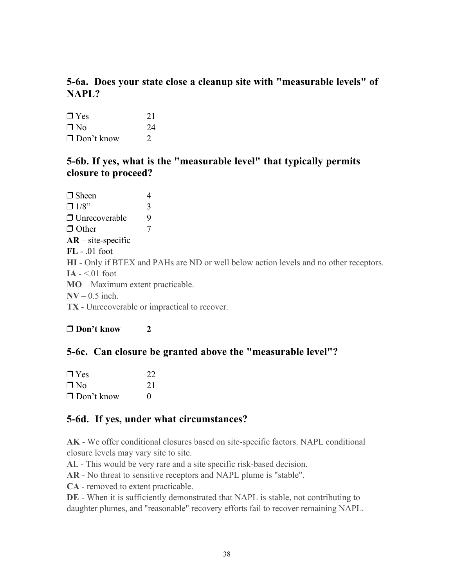# 5-6a. Does your state close a cleanup site with "measurable levels" of NAPL?

| $\Box$ Yes        | 21            |
|-------------------|---------------|
| ∩ No              | 24            |
| $\Box$ Don't know | $\mathcal{L}$ |

### 5-6b. If yes, what is the "measurable level" that typically permits closure to proceed?

 $\Box$  Sheen 4  $\Box$  1/8" 3  $\Box$  Unrecoverable 9 Other 7  $AR - site-specific$ FL - .01 foot HI - Only if BTEX and PAHs are ND or well below action levels and no other receptors. IA  $-$  <.01 foot MO – Maximum extent practicable.  $\text{NV} - 0.5$  inch. TX - Unrecoverable or impractical to recover.

### Don't know 2

# 5-6c. Can closure be granted above the "measurable level"?

| $\Box$ Yes        | 22           |
|-------------------|--------------|
| $\Box$ No         | 21           |
| $\Box$ Don't know | $\mathbf{0}$ |

# 5-6d. If yes, under what circumstances?

AK - We offer conditional closures based on site-specific factors. NAPL conditional closure levels may vary site to site.

AL - This would be very rare and a site specific risk-based decision.

AR - No threat to sensitive receptors and NAPL plume is "stable".

CA - removed to extent practicable.

DE - When it is sufficiently demonstrated that NAPL is stable, not contributing to daughter plumes, and "reasonable" recovery efforts fail to recover remaining NAPL.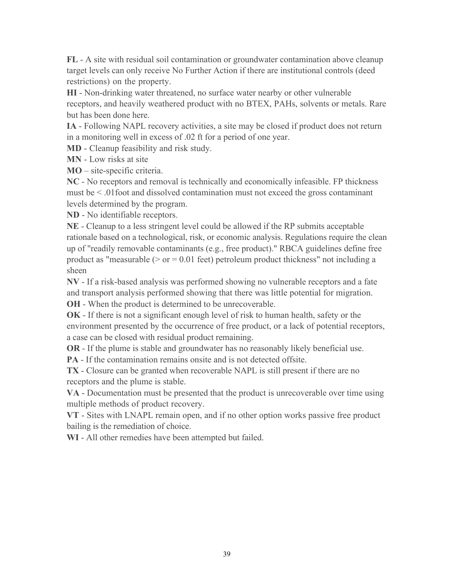FL - A site with residual soil contamination or groundwater contamination above cleanup target levels can only receive No Further Action if there are institutional controls (deed restrictions) on the property.

HI - Non-drinking water threatened, no surface water nearby or other vulnerable receptors, and heavily weathered product with no BTEX, PAHs, solvents or metals. Rare but has been done here.

IA - Following NAPL recovery activities, a site may be closed if product does not return in a monitoring well in excess of .02 ft for a period of one year.

MD - Cleanup feasibility and risk study.

MN - Low risks at site

MO – site-specific criteria.

NC - No receptors and removal is technically and economically infeasible. FP thickness must be < .01foot and dissolved contamination must not exceed the gross contaminant levels determined by the program.

ND - No identifiable receptors.

NE - Cleanup to a less stringent level could be allowed if the RP submits acceptable rationale based on a technological, risk, or economic analysis. Regulations require the clean up of "readily removable contaminants (e.g., free product)." RBCA guidelines define free product as "measurable ( $>$  or  $=$  0.01 feet) petroleum product thickness" not including a sheen

NV - If a risk-based analysis was performed showing no vulnerable receptors and a fate and transport analysis performed showing that there was little potential for migration. OH - When the product is determined to be unrecoverable.

OK - If there is not a significant enough level of risk to human health, safety or the environment presented by the occurrence of free product, or a lack of potential receptors, a case can be closed with residual product remaining.

OR - If the plume is stable and groundwater has no reasonably likely beneficial use.

PA - If the contamination remains onsite and is not detected offsite.

TX - Closure can be granted when recoverable NAPL is still present if there are no receptors and the plume is stable.

VA - Documentation must be presented that the product is unrecoverable over time using multiple methods of product recovery.

VT - Sites with LNAPL remain open, and if no other option works passive free product bailing is the remediation of choice.

WI - All other remedies have been attempted but failed.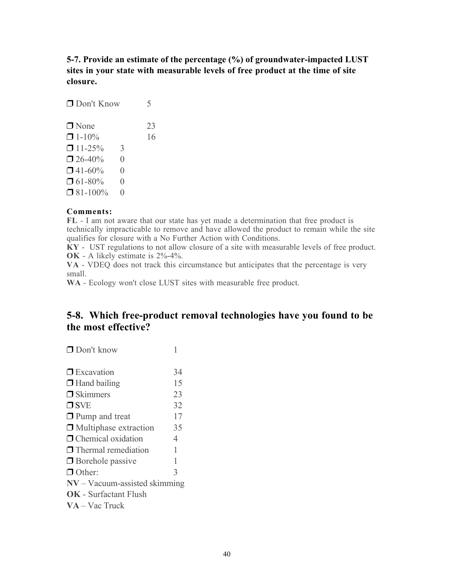5-7. Provide an estimate of the percentage (%) of groundwater-impacted LUST sites in your state with measurable levels of free product at the time of site closure.

| $\Box$ Don't Know |                  | 5  |
|-------------------|------------------|----|
| $\Box$ None       |                  | 23 |
| $\Box$ 1-10%      |                  | 16 |
| $\Box$ 11-25%     | 3                |    |
| $26-40%$          | 0                |    |
| $\Box$ 41-60%     | 0                |    |
| $\Box$ 61-80%     | $\left( \right)$ |    |
| $\Box$ 81-100%    | 0                |    |
|                   |                  |    |

### Comments:

FL - I am not aware that our state has yet made a determination that free product is technically impracticable to remove and have allowed the product to remain while the site qualifies for closure with a No Further Action with Conditions.

KY - UST regulations to not allow closure of a site with measurable levels of free product. OK - A likely estimate is 2%-4%.

VA - VDEQ does not track this circumstance but anticipates that the percentage is very small.

WA - Ecology won't close LUST sites with measurable free product.

### 5-8. Which free-product removal technologies have you found to be the most effective?

□ Excavation 34  $\Box$  Hand bailing 15  $\Box$  Skimmers 23  $\Box$  SVE 32  $\Box$  Pump and treat 17  $\Box$  Multiphase extraction  $35$  $\Box$  Chemical oxidation 4  $\Box$  Thermal remediation 1  $\Box$  Borehole passive 1 Other: 3 NV – Vacuum-assisted skimming OK - Surfactant Flush VA – Vac Truck

Don't know 1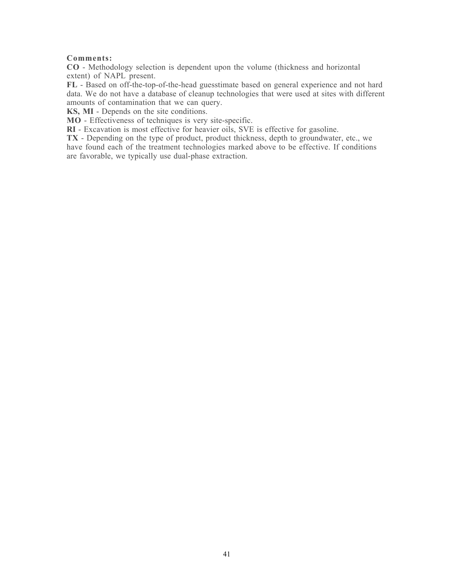### Comments:

CO - Methodology selection is dependent upon the volume (thickness and horizontal extent) of NAPL present.

FL - Based on off-the-top-of-the-head guesstimate based on general experience and not hard data. We do not have a database of cleanup technologies that were used at sites with different amounts of contamination that we can query.

KS, MI - Depends on the site conditions.

MO - Effectiveness of techniques is very site-specific.

RI - Excavation is most effective for heavier oils, SVE is effective for gasoline.

TX - Depending on the type of product, product thickness, depth to groundwater, etc., we have found each of the treatment technologies marked above to be effective. If conditions are favorable, we typically use dual-phase extraction.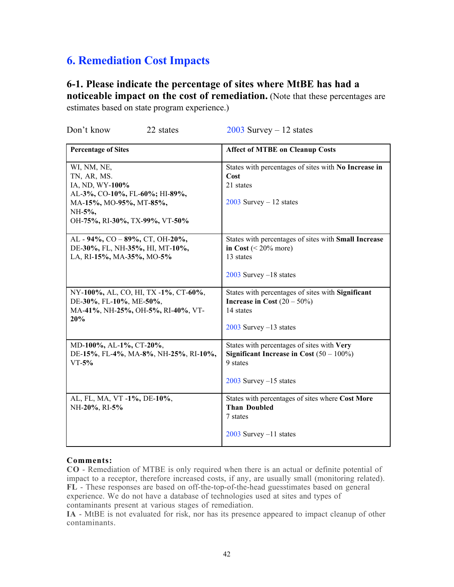# 6. Remediation Cost Impacts

# 6-1. Please indicate the percentage of sites where MtBE has had a

noticeable impact on the cost of remediation. (Note that these percentages are estimates based on state program experience.)

| <b>Percentage of Sites</b>                                                                                                                             | <b>Affect of MTBE on Cleanup Costs</b>                                                                                              |
|--------------------------------------------------------------------------------------------------------------------------------------------------------|-------------------------------------------------------------------------------------------------------------------------------------|
| WI, NM, NE,<br>TN, AR, MS.<br>IA, ND, WY-100%<br>AL-3%, CO-10%, FL-60%; HI-89%,<br>MA-15%, MO-95%, MT-85%,<br>NH-5%,<br>OH-75%, RI-30%, TX-99%, VT-50% | States with percentages of sites with No Increase in<br>Cost<br>21 states<br>$2003$ Survey - 12 states                              |
| AL - 94%, CO - 89%, CT, OH-20%,<br>DE-30%, FL, NH-35%, HI, MT-10%,<br>LA, RI-15%, MA-35%, MO-5%                                                        | States with percentages of sites with Small Increase<br>in Cost $(< 20\%$ more)<br>13 states<br>$2003$ Survey $-18$ states          |
| NY-100%, AL, CO, HI, TX-1%, CT-60%,<br>DE-30%, FL-10%, ME-50%,<br>MA-41%, NH-25%, OH-5%, RI-40%, VT-<br>20%                                            | States with percentages of sites with Significant<br>Increase in Cost $(20 – 50\%)$<br>14 states<br>$2003$ Survey $-13$ states      |
| MD-100%, AL-1%, CT-20%,<br>DE-15%, FL-4%, MA-8%, NH-25%, RI-10%,<br>$VT-5%$                                                                            | States with percentages of sites with Very<br>Significant Increase in Cost $(50 - 100\%)$<br>9 states<br>$2003$ Survey $-15$ states |
| AL, FL, MA, VT -1%, DE-10%,<br>NH-20%, RI-5%                                                                                                           | States with percentages of sites where Cost More<br><b>Than Doubled</b><br>7 states<br>$2003$ Survey $-11$ states                   |

# Don't know 22 states 2003 Survey – 12 states

### Comments:

CO - Remediation of MTBE is only required when there is an actual or definite potential of impact to a receptor, therefore increased costs, if any, are usually small (monitoring related). FL - These responses are based on off-the-top-of-the-head guesstimates based on general experience. We do not have a database of technologies used at sites and types of contaminants present at various stages of remediation.

IA - MtBE is not evaluated for risk, nor has its presence appeared to impact cleanup of other contaminants.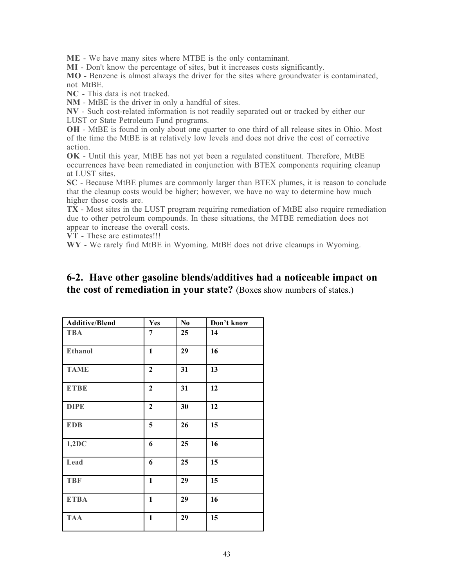ME - We have many sites where MTBE is the only contaminant.

MI - Don't know the percentage of sites, but it increases costs significantly.

MO - Benzene is almost always the driver for the sites where groundwater is contaminated, not MtBE.

NC - This data is not tracked.

NM - MtBE is the driver in only a handful of sites.

NV - Such cost-related information is not readily separated out or tracked by either our LUST or State Petroleum Fund programs.

OH - MtBE is found in only about one quarter to one third of all release sites in Ohio. Most of the time the MtBE is at relatively low levels and does not drive the cost of corrective action.

OK - Until this year, MtBE has not yet been a regulated constituent. Therefore, MtBE occurrences have been remediated in conjunction with BTEX components requiring cleanup at LUST sites.

SC - Because MtBE plumes are commonly larger than BTEX plumes, it is reason to conclude that the cleanup costs would be higher; however, we have no way to determine how much higher those costs are.

TX - Most sites in the LUST program requiring remediation of MtBE also require remediation due to other petroleum compounds. In these situations, the MTBE remediation does not appear to increase the overall costs.

VT - These are estimates!!!

WY - We rarely find MtBE in Wyoming. MtBE does not drive cleanups in Wyoming.

### 6-2. Have other gasoline blends/additives had a noticeable impact on the cost of remediation in your state? (Boxes show numbers of states.)

| <b>Additive/Blend</b> | <b>Yes</b>       | N <sub>0</sub> | Don't know |
|-----------------------|------------------|----------------|------------|
| <b>TBA</b>            | 7                | 25             | 14         |
| Ethanol               | $\mathbf{1}$     | 29             | 16         |
| <b>TAME</b>           | $\boldsymbol{2}$ | 31             | 13         |
| <b>ETBE</b>           | $\boldsymbol{2}$ | 31             | 12         |
| <b>DIPE</b>           | $\mathbf{2}$     | 30             | 12         |
| <b>EDB</b>            | 5                | 26             | 15         |
| 1,2DC                 | 6                | 25             | 16         |
| Lead                  | 6                | 25             | 15         |
| <b>TBF</b>            | $\mathbf{1}$     | 29             | 15         |
| <b>ETBA</b>           | $\mathbf{1}$     | 29             | 16         |
| <b>TAA</b>            | $\mathbf{1}$     | 29             | 15         |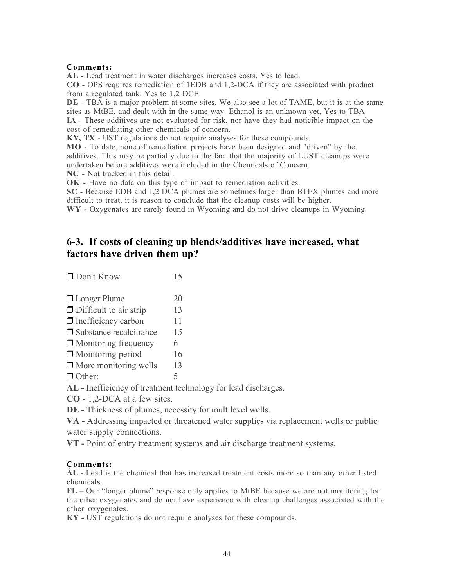### Comments:

AL - Lead treatment in water discharges increases costs. Yes to lead.

CO - OPS requires remediation of 1EDB and 1,2-DCA if they are associated with product from a regulated tank. Yes to 1,2 DCE.

DE - TBA is a major problem at some sites. We also see a lot of TAME, but it is at the same sites as MtBE, and dealt with in the same way. Ethanol is an unknown yet, Yes to TBA. IA - These additives are not evaluated for risk, nor have they had noticible impact on the cost of remediating other chemicals of concern.

KY, TX - UST regulations do not require analyses for these compounds.

MO - To date, none of remediation projects have been designed and "driven" by the additives. This may be partially due to the fact that the majority of LUST cleanups were undertaken before additives were included in the Chemicals of Concern.

NC - Not tracked in this detail.

OK - Have no data on this type of impact to remediation activities.

SC - Because EDB and 1,2 DCA plumes are sometimes larger than BTEX plumes and more difficult to treat, it is reason to conclude that the cleanup costs will be higher.

WY - Oxygenates are rarely found in Wyoming and do not drive cleanups in Wyoming.

### 6-3. If costs of cleaning up blends/additives have increased, what factors have driven them up?

- □ Longer Plume 20  $\Box$  Difficult to air strip 13  $\Box$  Inefficiency carbon 11  $\Box$  Substance recalcitrance 15  $\Box$  Monitoring frequency 6
- □ Monitoring period 16
- $\Box$  More monitoring wells 13

 $\Box$  Other:  $\Box$  5

AL - Inefficiency of treatment technology for lead discharges.

CO - 1,2-DCA at a few sites.

DE - Thickness of plumes, necessity for multilevel wells.

VA - Addressing impacted or threatened water supplies via replacement wells or public water supply connections.

VT - Point of entry treatment systems and air discharge treatment systems.

### Comments:

ÅL - Lead is the chemical that has increased treatment costs more so than any other listed chemicals.

FL – Our "longer plume" response only applies to MtBE because we are not monitoring for the other oxygenates and do not have experience with cleanup challenges associated with the other oxygenates.

KY - UST regulations do not require analyses for these compounds.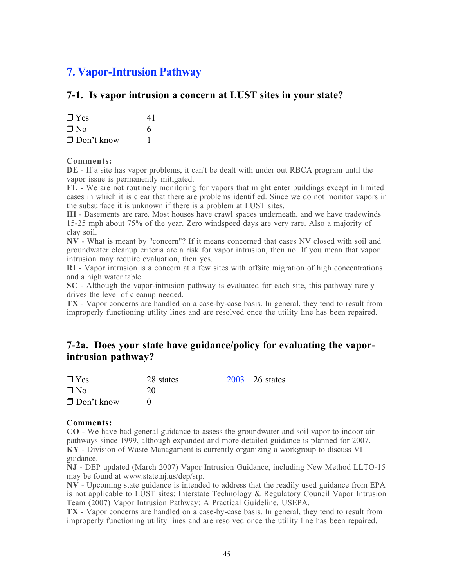# 7. Vapor-Intrusion Pathway

### 7-1. Is vapor intrusion a concern at LUST sites in your state?

| $\Box$ Yes        | 41 |
|-------------------|----|
| $\Box$ No         | 6  |
| $\Box$ Don't know |    |

### Comments:

DE - If a site has vapor problems, it can't be dealt with under out RBCA program until the vapor issue is permanently mitigated.

FL - We are not routinely monitoring for vapors that might enter buildings except in limited cases in which it is clear that there are problems identified. Since we do not monitor vapors in the subsurface it is unknown if there is a problem at LUST sites.

HI - Basements are rare. Most houses have crawl spaces underneath, and we have tradewinds 15-25 mph about 75% of the year. Zero windspeed days are very rare. Also a majority of clay soil.

NV - What is meant by "concern"? If it means concerned that cases NV closed with soil and groundwater cleanup criteria are a risk for vapor intrusion, then no. If you mean that vapor intrusion may require evaluation, then yes.

RI - Vapor intrusion is a concern at a few sites with offsite migration of high concentrations and a high water table.

SC - Although the vapor-intrusion pathway is evaluated for each site, this pathway rarely drives the level of cleanup needed.

TX - Vapor concerns are handled on a case-by-case basis. In general, they tend to result from improperly functioning utility lines and are resolved once the utility line has been repaired.

### 7-2a. Does your state have guidance/policy for evaluating the vaporintrusion pathway?

| $\Box$ Yes        | 28 states | 2003 26 states |
|-------------------|-----------|----------------|
| $\Box$ No         | 20        |                |
| $\Box$ Don't know |           |                |

### Comments:

CO - We have had general guidance to assess the groundwater and soil vapor to indoor air pathways since 1999, although expanded and more detailed guidance is planned for 2007. KY - Division of Waste Managament is currently organizing a workgroup to discuss VI guidance.

NJ - DEP updated (March 2007) Vapor Intrusion Guidance, including New Method LLTO-15 may be found at www.state.nj.us/dep/srp.

 $\overline{NV}$  - Upcoming state guidance is intended to address that the readily used guidance from EPA is not applicable to LUST sites: Interstate Technology & Regulatory Council Vapor Intrusion Team (2007) Vapor Intrusion Pathway: A Practical Guideline. USEPA.

TX - Vapor concerns are handled on a case-by-case basis. In general, they tend to result from improperly functioning utility lines and are resolved once the utility line has been repaired.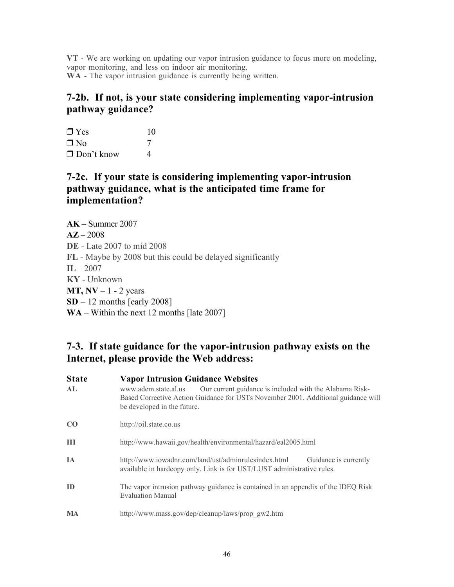VT - We are working on updating our vapor intrusion guidance to focus more on modeling, vapor monitoring, and less on indoor air monitoring. WA - The vapor intrusion guidance is currently being written.

### 7-2b. If not, is your state considering implementing vapor-intrusion pathway guidance?

 $\Box$  Yes 10  $\n **Two** 7\n$  $\Box$  Don't know 4

### 7-2c. If your state is considering implementing vapor-intrusion pathway guidance, what is the anticipated time frame for implementation?

| $AK - Summer 2007$                                         |
|------------------------------------------------------------|
| $A\mathbb{Z} - 2008$                                       |
| <b>DE</b> - Late 2007 to mid 2008                          |
| FL - Maybe by 2008 but this could be delayed significantly |
| $IL - 2007$                                                |
| <b>KY</b> - Unknown                                        |
| $MT, NV - 1 - 2$ years                                     |
| $SD - 12$ months [early 2008]                              |
| $WA - Within the next 12 months [late 2007]$               |

# 7-3. If state guidance for the vapor-intrusion pathway exists on the Internet, please provide the Web address:

| Our current guidance is included with the Alabama Risk-<br>Based Corrective Action Guidance for USTs November 2001. Additional guidance will |
|----------------------------------------------------------------------------------------------------------------------------------------------|
|                                                                                                                                              |
|                                                                                                                                              |
| Guidance is currently                                                                                                                        |
| The vapor intrusion pathway guidance is contained in an appendix of the IDEQ Risk                                                            |
|                                                                                                                                              |
|                                                                                                                                              |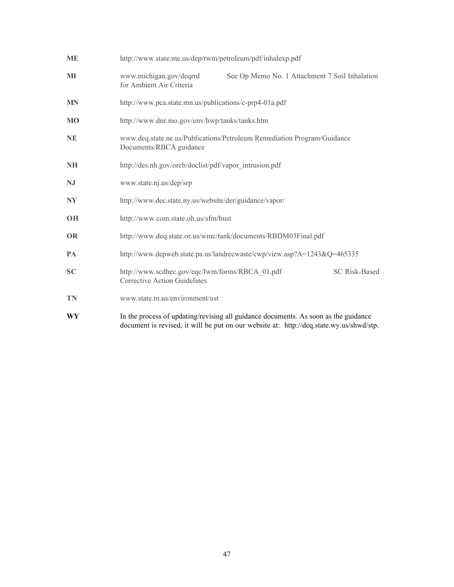| <b>ME</b> | http://www.state.me.us/dep/rwm/petroleum/pdf/inhalexp.pdf                                                                                                                      |  |  |  |  |  |
|-----------|--------------------------------------------------------------------------------------------------------------------------------------------------------------------------------|--|--|--|--|--|
| MI        | www.michigan.gov/deqrrd<br>See Op Memo No. 1 Attachment 7 Soil Inhalation<br>for Ambient Air Criteria                                                                          |  |  |  |  |  |
| <b>MN</b> | http://www.pca.state.mn.us/publications/c-prp4-01a.pdf                                                                                                                         |  |  |  |  |  |
| <b>MO</b> | http://www.dnr.mo.gov/env/hwp/tanks/tanks.htm                                                                                                                                  |  |  |  |  |  |
| <b>NE</b> | www.deq.state.ne.us/Publications/Petroleum Remediation Program/Guidance<br>Documents/RBCA guidance                                                                             |  |  |  |  |  |
| NH        | http://des.nh.gov/orcb/doclist/pdf/vapor_intrusion.pdf                                                                                                                         |  |  |  |  |  |
| NJ        | www.state.nj.us/dep/srp                                                                                                                                                        |  |  |  |  |  |
| NY        | http://www.dec.state.ny.us/website/der/guidance/vapor/                                                                                                                         |  |  |  |  |  |
| <b>OH</b> | http://www.com.state.oh.us/sfm/bust                                                                                                                                            |  |  |  |  |  |
| <b>OR</b> | http://www.deq.state.or.us/wmc/tank/documents/RBDM03Final.pdf                                                                                                                  |  |  |  |  |  |
| PA        | http://www.depweb.state.pa.us/landrecwaste/cwp/view.asp?A=1243&Q=465335                                                                                                        |  |  |  |  |  |
| <b>SC</b> | http://www.scdhec.gov/eqc/lwm/forms/RBCA_01.pdf<br><b>SC Risk-Based</b><br><b>Corrective Action Guidelines</b>                                                                 |  |  |  |  |  |
| <b>TN</b> | www.state.tn.us/environment/ust                                                                                                                                                |  |  |  |  |  |
| WY        | In the process of updating/revising all guidance documents. As soon as the guidance<br>document is revised, it will be put on our website at: http://deq.state.wy.us/shwd/stp. |  |  |  |  |  |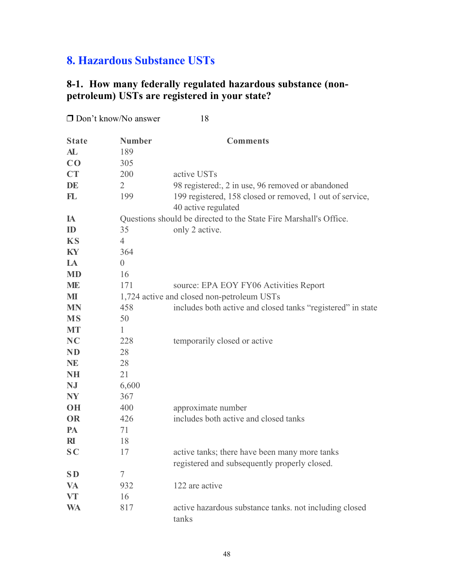# 8. Hazardous Substance USTs

# 8-1. How many federally regulated hazardous substance (nonpetroleum) USTs are registered in your state?

| $\Box$ Don't know/No answer |                | 18                                                                                            |
|-----------------------------|----------------|-----------------------------------------------------------------------------------------------|
| <b>State</b>                | <b>Number</b>  | <b>Comments</b>                                                                               |
| AL                          | 189            |                                                                                               |
| CO                          | 305            |                                                                                               |
| <b>CT</b>                   | 200            | active USTs                                                                                   |
| DE                          | $\overline{2}$ | 98 registered:, 2 in use, 96 removed or abandoned                                             |
| FL                          | 199            | 199 registered, 158 closed or removed, 1 out of service,                                      |
|                             |                | 40 active regulated                                                                           |
| IA                          |                | Questions should be directed to the State Fire Marshall's Office.                             |
| ID                          | 35             | only 2 active.                                                                                |
| <b>KS</b>                   | $\overline{4}$ |                                                                                               |
| KY                          | 364            |                                                                                               |
| <b>LA</b>                   | $\overline{0}$ |                                                                                               |
| <b>MD</b>                   | 16             |                                                                                               |
| <b>ME</b>                   | 171            | source: EPA EOY FY06 Activities Report                                                        |
| MI                          |                | 1,724 active and closed non-petroleum USTs                                                    |
| <b>MN</b>                   | 458            | includes both active and closed tanks "registered" in state                                   |
| <b>MS</b>                   | 50             |                                                                                               |
| <b>MT</b>                   | 1              |                                                                                               |
| NC                          | 228            | temporarily closed or active                                                                  |
| <b>ND</b>                   | 28             |                                                                                               |
| <b>NE</b>                   | 28             |                                                                                               |
| <b>NH</b>                   | 21             |                                                                                               |
| NJ                          | 6,600          |                                                                                               |
| <b>NY</b>                   | 367            |                                                                                               |
| <b>OH</b>                   | 400            | approximate number                                                                            |
| <b>OR</b>                   | 426            | includes both active and closed tanks                                                         |
| PA                          | 71             |                                                                                               |
| R <sub>I</sub>              | 18             |                                                                                               |
| S <sub>C</sub>              | 17             | active tanks; there have been many more tanks<br>registered and subsequently properly closed. |
| <b>SD</b>                   | 7              |                                                                                               |
| <b>VA</b>                   | 932            | 122 are active                                                                                |
| <b>VT</b>                   | 16             |                                                                                               |
| <b>WA</b>                   | 817            | active hazardous substance tanks, not including closed<br>tanks                               |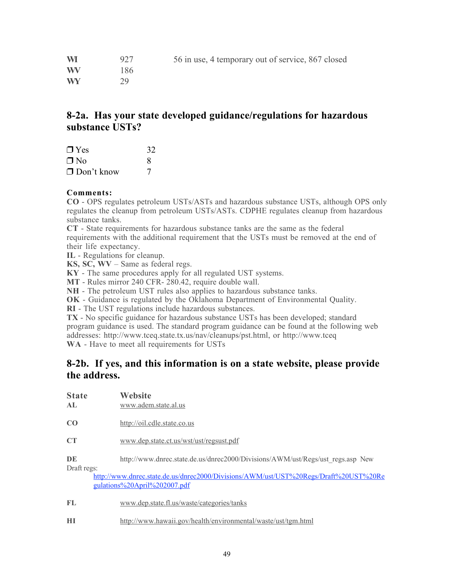| <b>WI</b> | 927 | 56 in use, 4 temporary out of service, 867 closed |
|-----------|-----|---------------------------------------------------|
| <b>WV</b> | 186 |                                                   |
| <b>WY</b> | 29  |                                                   |

### 8-2a. Has your state developed guidance/regulations for hazardous substance USTs?

| $\Box$ Yes        | 32 |
|-------------------|----|
| ∩ No              | 8  |
| $\Box$ Don't know |    |

### Comments:

CO - OPS regulates petroleum USTs/ASTs and hazardous substance USTs, although OPS only regulates the cleanup from petroleum USTs/ASTs. CDPHE regulates cleanup from hazardous substance tanks.

CT - State requirements for hazardous substance tanks are the same as the federal requirements with the additional requirement that the USTs must be removed at the end of their life expectancy.

IL - Regulations for cleanup.

KS, SC, WV – Same as federal regs.

KY - The same procedures apply for all regulated UST systems.

MT - Rules mirror 240 CFR- 280.42, require double wall.

NH - The petroleum UST rules also applies to hazardous substance tanks.

OK - Guidance is regulated by the Oklahoma Department of Environmental Quality.

RI - The UST regulations include hazardous substances.

TX - No specific guidance for hazardous substance USTs has been developed; standard program guidance is used. The standard program guidance can be found at the following web addresses: http://www.tceq.state.tx.us/nav/cleanups/pst.html, or http://www.tceq WA - Have to meet all requirements for USTs

### 8-2b. If yes, and this information is on a state website, please provide the address.

| <b>State</b><br>AL. | Website<br>www.adem.state.al.us                                                                                      |
|---------------------|----------------------------------------------------------------------------------------------------------------------|
| CO                  | http://oil.cdle.state.co.us                                                                                          |
| CT                  | www.dep.state.ct.us/wst/ust/regsust.pdf                                                                              |
| DE<br>Draft regs:   | http://www.dnrec.state.de.us/dnrec2000/Divisions/AWM/ust/Regs/ust regs.asp New                                       |
|                     | http://www.dnrec.state.de.us/dnrec2000/Divisions/AWM/ust/UST%20Regs/Draft%20UST%20Re<br>gulations%20April%202007.pdf |
| FL.                 | www.dep.state.fl.us/waste/categories/tanks                                                                           |

HI http://www.hawaii.gov/health/environmental/waste/ust/tgm.html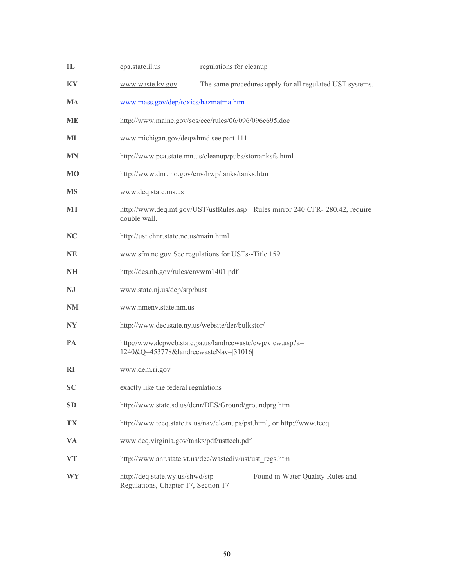| IL        | epa.state.il.us                                                                                    | regulations for cleanup |                                                                             |  |  |  |
|-----------|----------------------------------------------------------------------------------------------------|-------------------------|-----------------------------------------------------------------------------|--|--|--|
| KY        | www.waste.ky.gov                                                                                   |                         | The same procedures apply for all regulated UST systems.                    |  |  |  |
| <b>MA</b> | www.mass.gov/dep/toxics/hazmatma.htm                                                               |                         |                                                                             |  |  |  |
| ME        | http://www.maine.gov/sos/cec/rules/06/096/096c695.doc                                              |                         |                                                                             |  |  |  |
| MI        | www.michigan.gov/deqwhmd see part 111                                                              |                         |                                                                             |  |  |  |
| MN        | http://www.pca.state.mn.us/cleanup/pubs/stortanksfs.html                                           |                         |                                                                             |  |  |  |
| <b>MO</b> | http://www.dnr.mo.gov/env/hwp/tanks/tanks.htm                                                      |                         |                                                                             |  |  |  |
| <b>MS</b> | www.deq.state.ms.us                                                                                |                         |                                                                             |  |  |  |
| <b>MT</b> | double wall.                                                                                       |                         | http://www.deq.mt.gov/UST/ustRules.asp Rules mirror 240 CFR-280.42, require |  |  |  |
| NC        | http://ust.ehnr.state.nc.us/main.html                                                              |                         |                                                                             |  |  |  |
| <b>NE</b> | www.sfm.ne.gov See regulations for USTs--Title 159                                                 |                         |                                                                             |  |  |  |
| <b>NH</b> | http://des.nh.gov/rules/envwm1401.pdf                                                              |                         |                                                                             |  |  |  |
| NJ        | www.state.nj.us/dep/srp/bust                                                                       |                         |                                                                             |  |  |  |
| NM        | www.nmenv.state.nm.us                                                                              |                         |                                                                             |  |  |  |
| <b>NY</b> | http://www.dec.state.ny.us/website/der/bulkstor/                                                   |                         |                                                                             |  |  |  |
| PA        | http://www.depweb.state.pa.us/landrecwaste/cwp/view.asp?a=<br>1240&Q=453778&landrecwasteNav= 31016 |                         |                                                                             |  |  |  |
| RI        | www.dem.ri.gov                                                                                     |                         |                                                                             |  |  |  |
| <b>SC</b> | exactly like the federal regulations                                                               |                         |                                                                             |  |  |  |
| <b>SD</b> | http://www.state.sd.us/denr/DES/Ground/groundprg.htm                                               |                         |                                                                             |  |  |  |
| TX        | http://www.tceq.state.tx.us/nav/cleanups/pst.html, or http://www.tceq                              |                         |                                                                             |  |  |  |
| VA        | www.deq.virginia.gov/tanks/pdf/usttech.pdf                                                         |                         |                                                                             |  |  |  |
| VT        | http://www.anr.state.vt.us/dec/wastediv/ust/ust regs.htm                                           |                         |                                                                             |  |  |  |
| WY        | http://deq.state.wy.us/shwd/stp<br>Regulations, Chapter 17, Section 17                             |                         | Found in Water Quality Rules and                                            |  |  |  |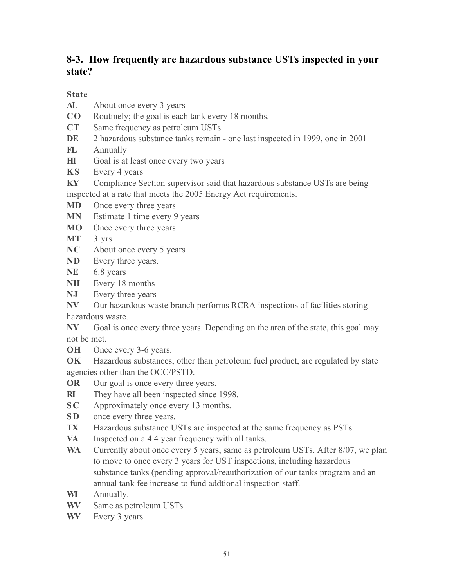# 8-3. How frequently are hazardous substance USTs inspected in your state?

### State

- AL About once every 3 years
- CO Routinely; the goal is each tank every 18 months.
- CT Same frequency as petroleum USTs
- DE 2 hazardous substance tanks remain one last inspected in 1999, one in 2001
- FL Annually
- HI Goal is at least once every two years
- KS Every 4 years
- KY Compliance Section supervisor said that hazardous substance USTs are being inspected at a rate that meets the 2005 Energy Act requirements.
- MD Once every three years
- MN Estimate 1 time every 9 years
- MO Once every three years
- MT 3 yrs
- NC About once every 5 years
- ND Every three years.
- NE 6.8 years
- NH Every 18 months
- NJ Every three years
- NV Our hazardous waste branch performs RCRA inspections of facilities storing hazardous waste.
- NY Goal is once every three years. Depending on the area of the state, this goal may not be met.
- **OH** Once every 3-6 years.

OK Hazardous substances, other than petroleum fuel product, are regulated by state agencies other than the OCC/PSTD.

- OR Our goal is once every three years.
- RI They have all been inspected since 1998.
- SC Approximately once every 13 months.
- SD once every three years.
- TX Hazardous substance USTs are inspected at the same frequency as PSTs.
- VA Inspected on a 4.4 year frequency with all tanks.
- WA Currently about once every 5 years, same as petroleum USTs. After 8/07, we plan to move to once every 3 years for UST inspections, including hazardous substance tanks (pending approval/reauthorization of our tanks program and an annual tank fee increase to fund addtional inspection staff.
- WI Annually.
- WV Same as petroleum USTs
- WY Every 3 years.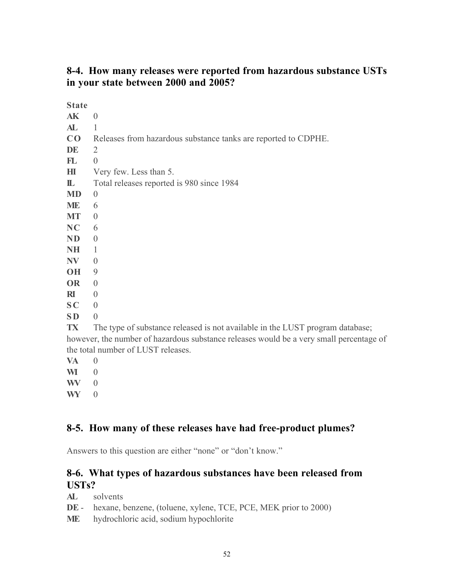# 8-4. How many releases were reported from hazardous substance USTs in your state between 2000 and 2005?

State<sub>1</sub>

| ⇔ταττ         |                                                                                         |
|---------------|-----------------------------------------------------------------------------------------|
| AK            | $\Omega$                                                                                |
| AL            |                                                                                         |
| $\bf CO$      | Releases from hazardous substance tanks are reported to CDPHE.                          |
| DE            | 2                                                                                       |
| $\mathbf{FL}$ | $\overline{0}$                                                                          |
| $H\!I$        | Very few. Less than 5.                                                                  |
| $\mathbb L$   | Total releases reported is 980 since 1984                                               |
| <b>MD</b>     | $\overline{0}$                                                                          |
| ME            | 6                                                                                       |
| <b>MT</b>     | $\overline{0}$                                                                          |
| NC            | 6                                                                                       |
| <b>ND</b>     | $\theta$                                                                                |
| NH            | 1                                                                                       |
| $N\!V$        | $\theta$                                                                                |
| OH            | 9                                                                                       |
| <b>OR</b>     | $\overline{0}$                                                                          |
| $\mathbf{R}$  | $\theta$                                                                                |
| SC            | $\theta$                                                                                |
| <b>SD</b>     | $\theta$                                                                                |
| <b>TX</b>     | The type of substance released is not available in the LUST program database;           |
|               | however, the number of hazardous substance releases would be a very small percentage of |
|               | the total number of LUST releases.                                                      |
|               |                                                                                         |

- VA 0
- $\mathbf{W} = 0$
- $\mathbf{W} = 0$
- WY 0

# 8-5. How many of these releases have had free-product plumes?

Answers to this question are either "none" or "don't know."

### 8-6. What types of hazardous substances have been released from USTs?

- AL solvents
- DE hexane, benzene, (toluene, xylene, TCE, PCE, MEK prior to 2000)
- ME hydrochloric acid, sodium hypochlorite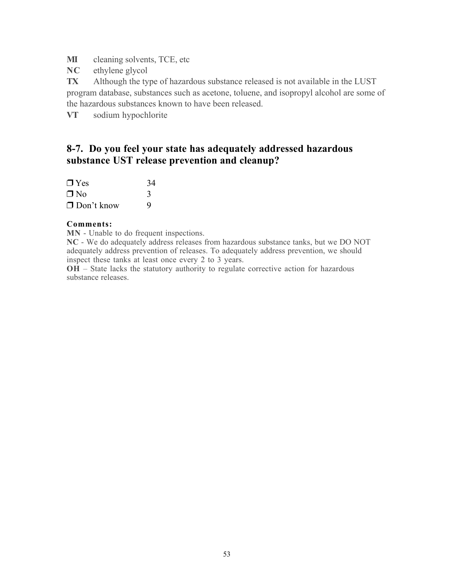MI cleaning solvents, TCE, etc

NC ethylene glycol

TX Although the type of hazardous substance released is not available in the LUST program database, substances such as acetone, toluene, and isopropyl alcohol are some of the hazardous substances known to have been released.

VT sodium hypochlorite

# 8-7. Do you feel your state has adequately addressed hazardous substance UST release prevention and cleanup?

| $\Box$ Yes        | 34 |
|-------------------|----|
| $\Box$ No         | 3  |
| $\Box$ Don't know | 9  |

### Comments:

MN - Unable to do frequent inspections.

NC - We do adequately address releases from hazardous substance tanks, but we DO NOT adequately address prevention of releases. To adequately address prevention, we should inspect these tanks at least once every 2 to 3 years.

OH – State lacks the statutory authority to regulate corrective action for hazardous substance releases.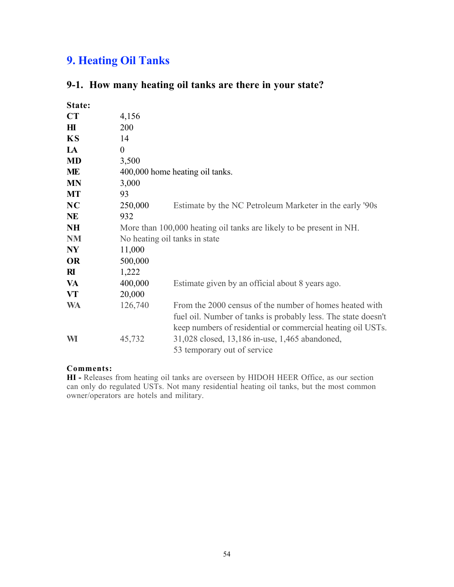# 9. Heating Oil Tanks

### 9-1. How many heating oil tanks are there in your state?

| State:         |          |                                                                     |
|----------------|----------|---------------------------------------------------------------------|
| CT             | 4,156    |                                                                     |
| $\mathbf{H}$   | 200      |                                                                     |
| <b>KS</b>      | 14       |                                                                     |
| LA             | $\theta$ |                                                                     |
| <b>MD</b>      | 3,500    |                                                                     |
| ME             |          | 400,000 home heating oil tanks.                                     |
| <b>MN</b>      | 3,000    |                                                                     |
| <b>MT</b>      | 93       |                                                                     |
| NC             | 250,000  | Estimate by the NC Petroleum Marketer in the early '90s             |
| NE             | 932      |                                                                     |
| <b>NH</b>      |          | More than 100,000 heating oil tanks are likely to be present in NH. |
| <b>NM</b>      |          | No heating oil tanks in state                                       |
| N <sub>Y</sub> | 11,000   |                                                                     |
| <b>OR</b>      | 500,000  |                                                                     |
| $\mathbf{R}$   | 1,222    |                                                                     |
| VA             | 400,000  | Estimate given by an official about 8 years ago.                    |
| VT             | 20,000   |                                                                     |
| <b>WA</b>      | 126,740  | From the 2000 census of the number of homes heated with             |
|                |          | fuel oil. Number of tanks is probably less. The state doesn't       |
|                |          | keep numbers of residential or commercial heating oil USTs.         |
| WI             | 45,732   | 31,028 closed, 13,186 in-use, 1,465 abandoned,                      |
|                |          | 53 temporary out of service                                         |
|                |          |                                                                     |

### Comments:

HI - Releases from heating oil tanks are overseen by HIDOH HEER Office, as our section can only do regulated USTs. Not many residential heating oil tanks, but the most common owner/operators are hotels and military.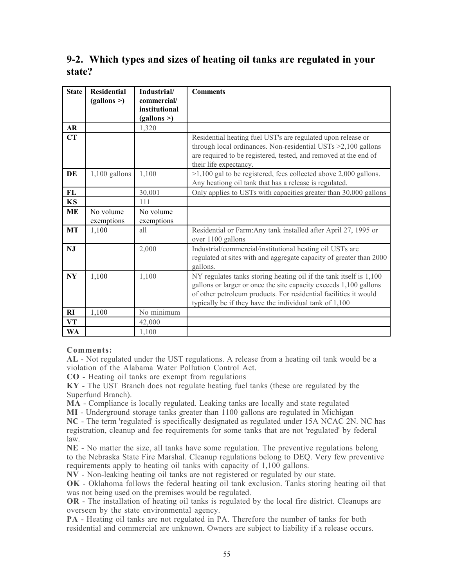# 9-2. Which types and sizes of heating oil tanks are regulated in your state?

| <b>State</b> | <b>Residential</b><br>(gallons >) | Industrial/<br>commercial/<br>institutional<br>(gallons >) | <b>Comments</b>                                                                                                                                                                                                                                                       |
|--------------|-----------------------------------|------------------------------------------------------------|-----------------------------------------------------------------------------------------------------------------------------------------------------------------------------------------------------------------------------------------------------------------------|
| AR           |                                   | 1,320                                                      |                                                                                                                                                                                                                                                                       |
| CT           |                                   |                                                            | Residential heating fuel UST's are regulated upon release or<br>through local ordinances. Non-residential USTs $>2,100$ gallons<br>are required to be registered, tested, and removed at the end of<br>their life expectancy.                                         |
| DE           | $1,100$ gallons                   | 1,100                                                      | $>1,100$ gal to be registered, fees collected above 2,000 gallons.<br>Any heationg oil tank that has a release is regulated.                                                                                                                                          |
| FL           |                                   | 30,001                                                     | Only applies to USTs with capacities greater than 30,000 gallons                                                                                                                                                                                                      |
| <b>KS</b>    |                                   | 111                                                        |                                                                                                                                                                                                                                                                       |
| <b>ME</b>    | No volume<br>exemptions           | No volume<br>exemptions                                    |                                                                                                                                                                                                                                                                       |
| MT           | 1,100                             | all                                                        | Residential or Farm: Any tank installed after April 27, 1995 or<br>over 1100 gallons                                                                                                                                                                                  |
| <b>NJ</b>    |                                   | 2,000                                                      | Industrial/commercial/institutional heating oil USTs are<br>regulated at sites with and aggregate capacity of greater than 2000<br>gallons.                                                                                                                           |
| NY           | 1,100                             | 1,100                                                      | NY regulates tanks storing heating oil if the tank itself is 1,100<br>gallons or larger or once the site capacity exceeds 1,100 gallons<br>of other petroleum products. For residential facilities it would<br>typically be if they have the individual tank of 1,100 |
| RI           | 1,100                             | No minimum                                                 |                                                                                                                                                                                                                                                                       |
| VT           |                                   | 42,000                                                     |                                                                                                                                                                                                                                                                       |
| <b>WA</b>    |                                   | 1,100                                                      |                                                                                                                                                                                                                                                                       |

### Comments:

AL - Not regulated under the UST regulations. A release from a heating oil tank would be a violation of the Alabama Water Pollution Control Act.

CO - Heating oil tanks are exempt from regulations

KY - The UST Branch does not regulate heating fuel tanks (these are regulated by the Superfund Branch).

MA - Compliance is locally regulated. Leaking tanks are locally and state regulated

MI - Underground storage tanks greater than 1100 gallons are regulated in Michigan

NC - The term 'regulated' is specifically designated as regulated under 15A NCAC 2N. NC has registration, cleanup and fee requirements for some tanks that are not 'regulated' by federal law.

NE - No matter the size, all tanks have some regulation. The preventive regulations belong to the Nebraska State Fire Marshal. Cleanup regulations belong to DEQ. Very few preventive requirements apply to heating oil tanks with capacity of 1,100 gallons.

NV - Non-leaking heating oil tanks are not registered or regulated by our state.

OK - Oklahoma follows the federal heating oil tank exclusion. Tanks storing heating oil that was not being used on the premises would be regulated.

OR - The installation of heating oil tanks is regulated by the local fire district. Cleanups are overseen by the state environmental agency.

PA - Heating oil tanks are not regulated in PA. Therefore the number of tanks for both residential and commercial are unknown. Owners are subject to liability if a release occurs.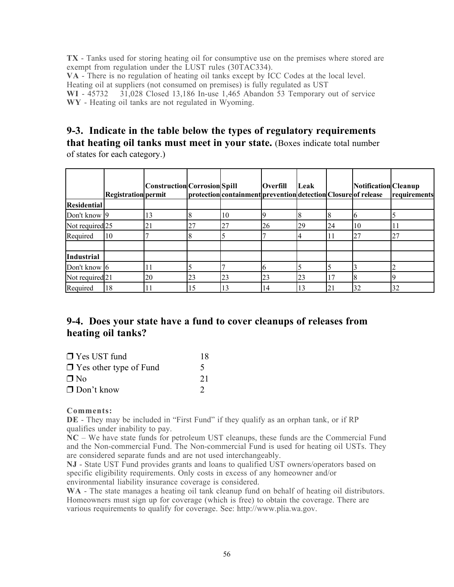TX - Tanks used for storing heating oil for consumptive use on the premises where stored are exempt from regulation under the LUST rules (30TAC334). VA - There is no regulation of heating oil tanks except by ICC Codes at the local level. Heating oil at suppliers (not consumed on premises) is fully regulated as UST WI - 45732 31.028 Closed 13.186 In-use 1.465 Abandon 53 Temporary of  $31,028$  Closed 13,186 In-use 1,465 Abandon 53 Temporary out of service WY - Heating oil tanks are not regulated in Wyoming.

### 9-3. Indicate in the table below the types of regulatory requirements that heating oil tanks must meet in your state. (Boxes indicate total number

of states for each category.)

|                    | <b>Registration permit</b> | <b>Construction Corrosion Spill</b> |    | protection containment prevention detection Closure of release | <b>Overfill</b> | Leak |    | <b>Notification Cleanup</b> | requirements |
|--------------------|----------------------------|-------------------------------------|----|----------------------------------------------------------------|-----------------|------|----|-----------------------------|--------------|
| <b>Residential</b> |                            |                                     |    |                                                                |                 |      |    |                             |              |
| Don't know 9       |                            | $\overline{.}$                      |    | 10                                                             |                 | ıδ   |    | Ю                           |              |
| Not required 25    |                            | 21                                  | 27 | 27                                                             | 26              | 29   | 24 | 10                          |              |
| Required           | 10                         |                                     |    |                                                                |                 |      |    | 27                          | 27           |
| <b>Industrial</b>  |                            |                                     |    |                                                                |                 |      |    |                             |              |
| Don't know 6       |                            |                                     |    |                                                                |                 |      |    |                             |              |
| Not required 21    |                            | 20                                  | 23 | 23                                                             | 23              | 23   | 17 |                             |              |
| Required           | 18                         |                                     | 15 | 13                                                             | 14              | 13   | 21 | 32                          | 32           |

# 9-4. Does your state have a fund to cover cleanups of releases from heating oil tanks?

| $\Box$ Yes UST fund           | 18 |
|-------------------------------|----|
| $\Box$ Yes other type of Fund |    |
| $\Box$ No                     | 21 |
| $\Box$ Don't know             |    |

### Comments:

DE - They may be included in "First Fund" if they qualify as an orphan tank, or if RP qualifies under inability to pay.

NC – We have state funds for petroleum UST cleanups, these funds are the Commercial Fund and the Non-commercial Fund. The Non-commercial Fund is used for heating oil USTs. They are considered separate funds and are not used interchangeably.

NJ - State UST Fund provides grants and loans to qualified UST owners/operators based on specific eligibility requirements. Only costs in excess of any homeowner and/or environmental liability insurance coverage is considered.

WA - The state manages a heating oil tank cleanup fund on behalf of heating oil distributors. Homeowners must sign up for coverage (which is free) to obtain the coverage. There are various requirements to qualify for coverage. See: http://www.plia.wa.gov.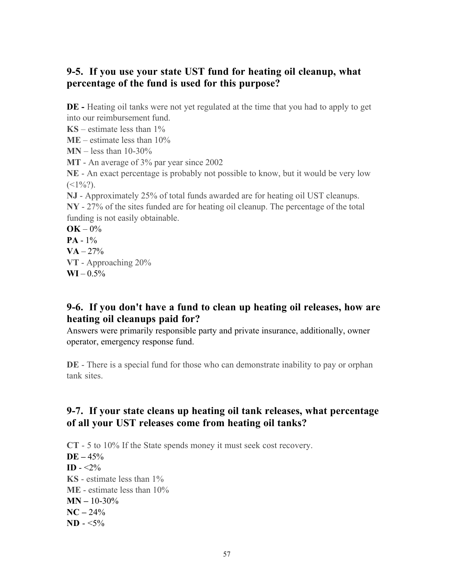### 9-5. If you use your state UST fund for heating oil cleanup, what percentage of the fund is used for this purpose?

DE - Heating oil tanks were not yet regulated at the time that you had to apply to get into our reimbursement fund.

 $\text{KS}$  – estimate less than 1%

 $ME - estimate$  less than  $10\%$ 

 $MN - less than 10-30%$ 

MT - An average of 3% par year since 2002

NE - An exact percentage is probably not possible to know, but it would be very low  $(<1\frac{9}{6}$ .

NJ - Approximately 25% of total funds awarded are for heating oil UST cleanups. NY - 27% of the sites funded are for heating oil cleanup. The percentage of the total funding is not easily obtainable.

 $OK - 0\%$ 

 $PA - 1%$ 

 $VA - 27%$ 

VT - Approaching 20%

 $\text{WI} - 0.5\%$ 

### 9-6. If you don't have a fund to clean up heating oil releases, how are heating oil cleanups paid for?

Answers were primarily responsible party and private insurance, additionally, owner operator, emergency response fund.

DE - There is a special fund for those who can demonstrate inability to pay or orphan tank sites.

# 9-7. If your state cleans up heating oil tank releases, what percentage of all your UST releases come from heating oil tanks?

CT - 5 to 10% If the State spends money it must seek cost recovery.  $DE - 45%$ **ID** -  $\langle 2\%$ KS - estimate less than 1% ME - estimate less than 10%  $MN - 10-30%$  $NC - 24%$  $ND - 5\%$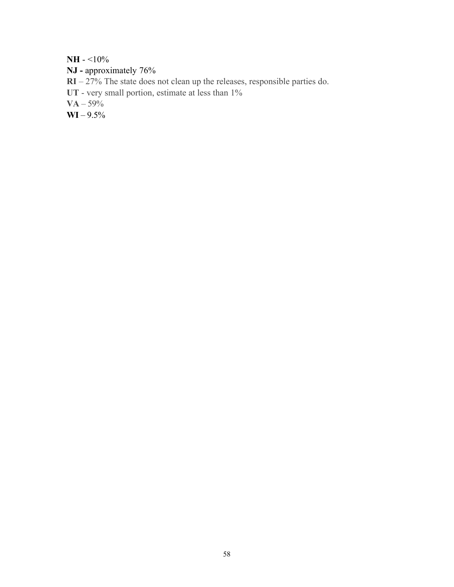$NH - 10%$ 

- NJ approximately 76%
- RI 27% The state does not clean up the releases, responsible parties do.
- UT very small portion, estimate at less than  $1\%$
- $VA 59%$
- $WI 9.5%$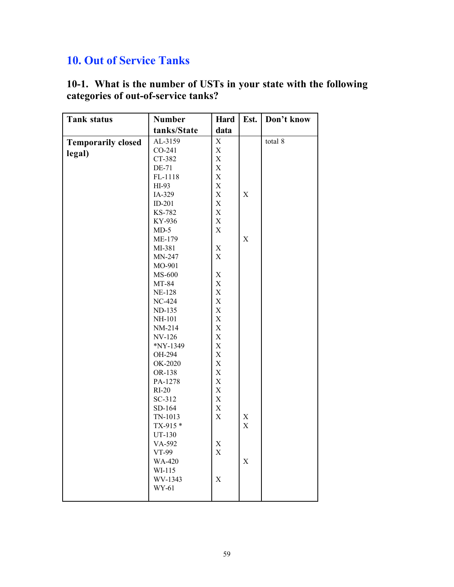# 10. Out of Service Tanks

| <b>Tank status</b>        | <b>Number</b>   | Hard        | Est.        | Don't know |
|---------------------------|-----------------|-------------|-------------|------------|
|                           | tanks/State     | data        |             |            |
| <b>Temporarily closed</b> | AL-3159         | X           |             | total 8    |
| legal)                    | CO-241          | X           |             |            |
|                           | CT-382          | X           |             |            |
|                           | DE-71           | $\mathbf X$ |             |            |
|                           | FL-1118         | $\mathbf X$ |             |            |
|                           | HI-93           | X           |             |            |
|                           | IA-329          | $\mathbf X$ | X           |            |
|                           | $ID-201$        | $\mathbf X$ |             |            |
|                           | KS-782          | $\mathbf X$ |             |            |
|                           | KY-936          | X           |             |            |
|                           | $MD-5$          | X           |             |            |
|                           | ME-179          |             | $\mathbf X$ |            |
|                           | MI-381          | X           |             |            |
|                           | MN-247          | X           |             |            |
|                           | MO-901          |             |             |            |
|                           | MS-600          | X           |             |            |
|                           | MT-84           | X           |             |            |
|                           | <b>NE-128</b>   | $\mathbf X$ |             |            |
|                           | NC-424          | X           |             |            |
|                           | ND-135          | X           |             |            |
|                           | NH-101          | X           |             |            |
|                           | NM-214          | X           |             |            |
|                           | NV-126          | X           |             |            |
|                           | *NY-1349        | X           |             |            |
|                           | OH-294          | X           |             |            |
|                           | OK-2020         | X           |             |            |
|                           | OR-138          | X           |             |            |
|                           | PA-1278         | $\mathbf X$ |             |            |
|                           | $RI-20$         | X           |             |            |
|                           | SC-312          | X           |             |            |
|                           | SD-164          | X           |             |            |
|                           | TN-1013         | X           | X           |            |
|                           | TX-915*         |             | X           |            |
|                           | UT-130          |             |             |            |
|                           | VA-592<br>VT-99 | X<br>X      |             |            |
|                           | WA-420          |             | X           |            |
|                           | WI-115          |             |             |            |
|                           | WV-1343         | X           |             |            |
|                           | WY-61           |             |             |            |
|                           |                 |             |             |            |

10-1. What is the number of USTs in your state with the following categories of out-of-service tanks?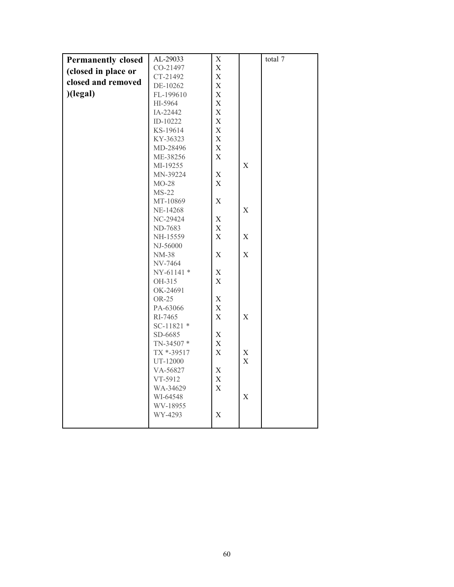| <b>Permanently closed</b> | AL-29033                | X                         |             | total 7 |
|---------------------------|-------------------------|---------------------------|-------------|---------|
| (closed in place or       | CO-21497                | $\mathbf X$               |             |         |
| closed and removed        | CT-21492                | $\mathbf X$               |             |         |
|                           | DE-10262                | $\boldsymbol{\mathrm{X}}$ |             |         |
| (legal)                   | FL-199610               | $\boldsymbol{\mathrm{X}}$ |             |         |
|                           | HI-5964                 | $\mathbf X$               |             |         |
|                           | IA-22442                | X                         |             |         |
|                           | ID-10222                | $\mathbf X$               |             |         |
|                           | KS-19614                | $\mathbf X$               |             |         |
|                           | KY-36323                | $\mathbf X$               |             |         |
|                           | MD-28496                | X                         |             |         |
|                           | ME-38256                | $\boldsymbol{\mathrm{X}}$ |             |         |
|                           | MI-19255                |                           | X           |         |
|                           | MN-39224                | X                         |             |         |
|                           | $MO-28$                 | $\mathbf X$               |             |         |
|                           | $MS-22$                 |                           |             |         |
|                           | MT-10869                | $\mathbf X$               |             |         |
|                           | NE-14268                |                           | $\mathbf X$ |         |
|                           | NC-29424                | X                         |             |         |
|                           | ND-7683                 | $\boldsymbol{\mathrm{X}}$ |             |         |
|                           | NH-15559                | $\mathbf X$               | $\mathbf X$ |         |
|                           | NJ-56000                |                           | $\mathbf X$ |         |
|                           | <b>NM-38</b><br>NV-7464 | X                         |             |         |
|                           | NY-61141 *              | $\mathbf X$               |             |         |
|                           | OH-315                  | $\mathbf X$               |             |         |
|                           | OK-24691                |                           |             |         |
|                           | OR-25                   | X                         |             |         |
|                           | PA-63066                | $\boldsymbol{\mathrm{X}}$ |             |         |
|                           | RI-7465                 | $\boldsymbol{\mathrm{X}}$ | X           |         |
|                           | SC-11821 *              |                           |             |         |
|                           | SD-6685                 | $\mathbf X$               |             |         |
|                           | TN-34507*               | $\mathbf X$               |             |         |
|                           | TX *-39517              | $\mathbf X$               | $\mathbf X$ |         |
|                           | UT-12000                |                           | $\mathbf X$ |         |
|                           | VA-56827                | Χ                         |             |         |
|                           | VT-5912                 | $\mathbf X$               |             |         |
|                           | WA-34629                | $\mathbf X$               |             |         |
|                           | WI-64548                |                           | X           |         |
|                           | WV-18955                |                           |             |         |
|                           | WY-4293                 | $\boldsymbol{\mathrm{X}}$ |             |         |
|                           |                         |                           |             |         |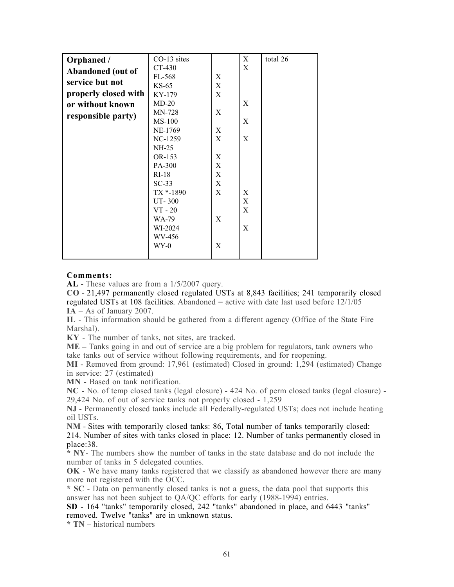| Orphaned /           | CO-13 sites   |             | X | total 26 |
|----------------------|---------------|-------------|---|----------|
| Abandoned (out of    | CT-430        |             | X |          |
|                      | FL-568        | X           |   |          |
| service but not      | $KS-65$       | X           |   |          |
| properly closed with | KY-179        | $\mathbf X$ |   |          |
| or without known     | $MD-20$       |             | X |          |
| responsible party)   | MN-728        | X           |   |          |
|                      | $MS-100$      |             | X |          |
|                      | NE-1769       | X           |   |          |
|                      | NC-1259       | X           | X |          |
|                      | NH-25         |             |   |          |
|                      | OR-153        | X           |   |          |
|                      | PA-300        | X           |   |          |
|                      | $RI-18$       | $\mathbf X$ |   |          |
|                      | $SC-33$       | X           |   |          |
|                      | TX *-1890     | X           | X |          |
|                      | <b>UT-300</b> |             | X |          |
|                      | $VT - 20$     |             | X |          |
|                      | WA-79         | X           |   |          |
|                      | WI-2024       |             | X |          |
|                      | WV-456        |             |   |          |
|                      | WY-0          | X           |   |          |
|                      |               |             |   |          |

### Comments:

AL - These values are from a  $1/5/2007$  query.

CO - 21,497 permanently closed regulated USTs at 8,843 facilities; 241 temporarily closed regulated USTs at 108 facilities. Abandoned  $=$  active with date last used before  $12/1/05$ IA – As of January 2007.

IL - This information should be gathered from a different agency (Office of the State Fire Marshal).

KY - The number of tanks, not sites, are tracked.

ME – Tanks going in and out of service are a big problem for regulators, tank owners who take tanks out of service without following requirements, and for reopening.

MI - Removed from ground: 17,961 (estimated) Closed in ground: 1,294 (estimated) Change in service: 27 (estimated)

MN - Based on tank notification.

NC - No. of temp closed tanks (legal closure) - 424 No. of perm closed tanks (legal closure) - 29,424 No. of out of service tanks not properly closed - 1,259

NJ - Permanently closed tanks include all Federally-regulated USTs; does not include heating oil USTs.

NM - Sites with temporarily closed tanks: 86, Total number of tanks temporarily closed: 214. Number of sites with tanks closed in place: 12. Number of tanks permanently closed in place:38.

 $*$  NY- The numbers show the number of tanks in the state database and do not include the number of tanks in 5 delegated counties.

OK - We have many tanks registered that we classify as abandoned however there are many more not registered with the OCC.

\* SC - Data on permanently closed tanks is not a guess, the data pool that supports this answer has not been subject to QA/QC efforts for early (1988-1994) entries.

SD - 164 "tanks" temporarily closed, 242 "tanks" abandoned in place, and 6443 "tanks" removed. Twelve "tanks" are in unknown status.

\* TN – historical numbers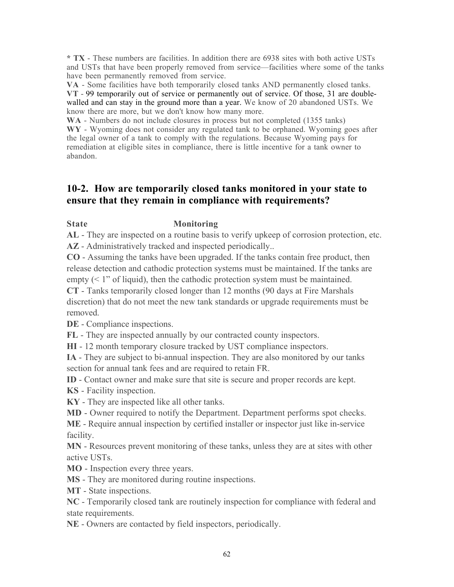\* TX - These numbers are facilities. In addition there are 6938 sites with both active USTs and USTs that have been properly removed from service—facilities where some of the tanks have been permanently removed from service.

VA - Some facilities have both temporarily closed tanks AND permanently closed tanks. VT - 99 temporarily out of service or permanently out of service. Of those, 31 are doublewalled and can stay in the ground more than a year. We know of 20 abandoned USTs. We know there are more, but we don't know how many more.

WA - Numbers do not include closures in process but not completed (1355 tanks) WY - Wyoming does not consider any regulated tank to be orphaned. Wyoming goes after the legal owner of a tank to comply with the regulations. Because Wyoming pays for remediation at eligible sites in compliance, there is little incentive for a tank owner to abandon.

### 10-2. How are temporarily closed tanks monitored in your state to ensure that they remain in compliance with requirements?

### State **Monitoring**

AL - They are inspected on a routine basis to verify upkeep of corrosion protection, etc. AZ - Administratively tracked and inspected periodically...

CO - Assuming the tanks have been upgraded. If the tanks contain free product, then release detection and cathodic protection systems must be maintained. If the tanks are empty  $(< 1$ " of liquid), then the cathodic protection system must be maintained.

CT - Tanks temporarily closed longer than 12 months (90 days at Fire Marshals discretion) that do not meet the new tank standards or upgrade requirements must be removed.

DE - Compliance inspections.

FL - They are inspected annually by our contracted county inspectors.

HI - 12 month temporary closure tracked by UST compliance inspectors.

IA - They are subject to bi-annual inspection. They are also monitored by our tanks section for annual tank fees and are required to retain FR.

ID - Contact owner and make sure that site is secure and proper records are kept.

KS - Facility inspection.

KY - They are inspected like all other tanks.

MD - Owner required to notify the Department. Department performs spot checks.

ME - Require annual inspection by certified installer or inspector just like in-service facility.

MN - Resources prevent monitoring of these tanks, unless they are at sites with other active USTs.

MO - Inspection every three years.

MS - They are monitored during routine inspections.

MT - State inspections.

NC - Temporarily closed tank are routinely inspection for compliance with federal and state requirements.

NE - Owners are contacted by field inspectors, periodically.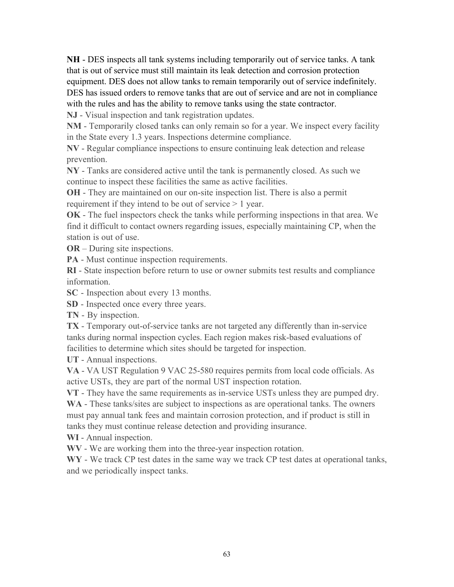NH - DES inspects all tank systems including temporarily out of service tanks. A tank that is out of service must still maintain its leak detection and corrosion protection equipment. DES does not allow tanks to remain temporarily out of service indefinitely. DES has issued orders to remove tanks that are out of service and are not in compliance with the rules and has the ability to remove tanks using the state contractor.

NJ - Visual inspection and tank registration updates.

NM - Temporarily closed tanks can only remain so for a year. We inspect every facility in the State every 1.3 years. Inspections determine compliance.

NV - Regular compliance inspections to ensure continuing leak detection and release prevention.

NY - Tanks are considered active until the tank is permanently closed. As such we continue to inspect these facilities the same as active facilities.

OH - They are maintained on our on-site inspection list. There is also a permit requirement if they intend to be out of service > 1 year.

OK - The fuel inspectors check the tanks while performing inspections in that area. We find it difficult to contact owners regarding issues, especially maintaining CP, when the station is out of use.

OR – During site inspections.

PA - Must continue inspection requirements.

RI - State inspection before return to use or owner submits test results and compliance information.

SC - Inspection about every 13 months.

SD - Inspected once every three years.

TN - By inspection.

TX - Temporary out-of-service tanks are not targeted any differently than in-service tanks during normal inspection cycles. Each region makes risk-based evaluations of facilities to determine which sites should be targeted for inspection.

UT - Annual inspections.

VA - VA UST Regulation 9 VAC 25-580 requires permits from local code officials. As active USTs, they are part of the normal UST inspection rotation.

VT - They have the same requirements as in-service USTs unless they are pumped dry. WA - These tanks/sites are subject to inspections as are operational tanks. The owners must pay annual tank fees and maintain corrosion protection, and if product is still in tanks they must continue release detection and providing insurance.

WI - Annual inspection.

WV - We are working them into the three-year inspection rotation.

WY - We track CP test dates in the same way we track CP test dates at operational tanks, and we periodically inspect tanks.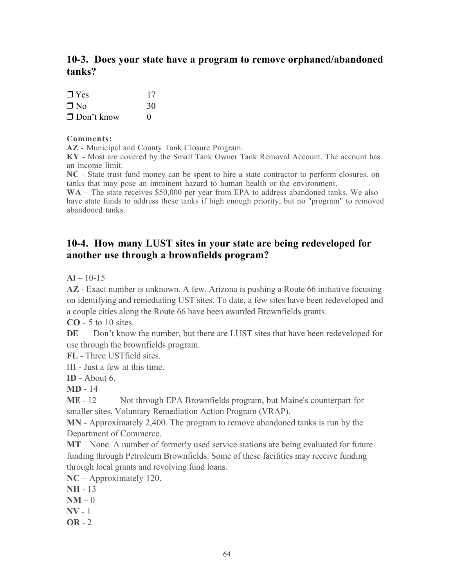### 10-3. Does your state have a program to remove orphaned/abandoned tanks?

| $\Box$ Yes        | 17                |
|-------------------|-------------------|
| $\Box$ No         | 30                |
| $\Box$ Don't know | $\mathbf{\Omega}$ |

### Comments:

AZ - Municipal and County Tank Closure Program.

KY - Most are covered by the Small Tank Owner Tank Removal Account. The account has an income limit.

NC - State trust fund money can be spent to hire a state contractor to perform closures. on tanks that may pose an imminent hazard to human health or the environment.

WA – The state receives \$50,000 per year from EPA to address abandoned tanks. We also have state funds to address these tanks if high enough priority, but no "program" to removed abandoned tanks.

### 10-4. How many LUST sites in your state are being redeveloped for another use through a brownfields program?

 $AI - 10-15$ 

AZ - Exact number is unknown. A few. Arizona is pushing a Route 66 initiative focusing on identifying and remediating UST sites. To date, a few sites have been redeveloped and a couple cities along the Route 66 have been awarded Brownfields grants.

 $CO - 5$  to 10 sites.

DE Don't know the number, but there are LUST sites that have been redeveloped for use through the brownfields program.

FL - Three USTfield sites.

HI - Just a few at this time.

 $ID -$  About 6.

MD - 14

ME - 12 Not through EPA Brownfields program, but Maine's counterpart for smaller sites, Voluntary Remediation Action Program (VRAP).

MN - Approximately 2,400. The program to remove abandoned tanks is run by the Department of Commerce.

MT – None. A number of formerly used service stations are being evaluated for future funding through Petroleum Brownfields. Some of these facilities may receive funding through local grants and revolving fund loans.

NC – Approximately 120.

- NH 13
- $NM 0$
- $\bf{NV}$  1
- $OR 2$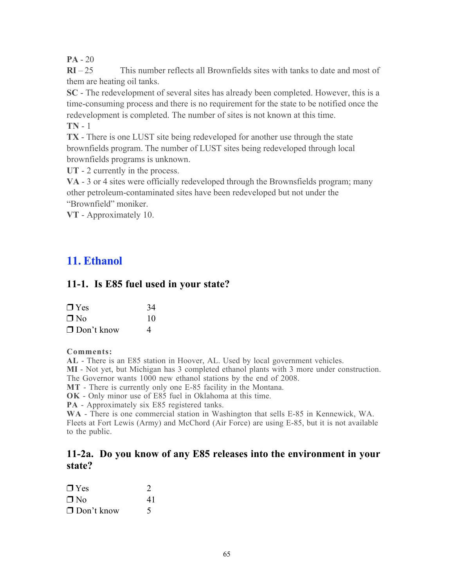$PA - 20$ 

 $RI - 25$  This number reflects all Brownfields sites with tanks to date and most of them are heating oil tanks.

SC - The redevelopment of several sites has already been completed. However, this is a time-consuming process and there is no requirement for the state to be notified once the redevelopment is completed. The number of sites is not known at this time. TN - 1

TX - There is one LUST site being redeveloped for another use through the state brownfields program. The number of LUST sites being redeveloped through local brownfields programs is unknown.

UT - 2 currently in the process.

VA - 3 or 4 sites were officially redeveloped through the Brownsfields program; many other petroleum-contaminated sites have been redeveloped but not under the "Brownfield" moniker.

VT - Approximately 10.

# 11. Ethanol

### 11-1. Is E85 fuel used in your state?

| $\Box$ Yes        | 34             |
|-------------------|----------------|
| $\Box$ No         | 10             |
| $\Box$ Don't know | $\overline{a}$ |

### Comments:

AL - There is an E85 station in Hoover, AL. Used by local government vehicles.

MI - Not yet, but Michigan has 3 completed ethanol plants with 3 more under construction.

The Governor wants 1000 new ethanol stations by the end of 2008.

MT - There is currently only one E-85 facility in the Montana.

OK - Only minor use of E85 fuel in Oklahoma at this time.

PA - Approximately six E85 registered tanks.

WA - There is one commercial station in Washington that sells E-85 in Kennewick, WA. Fleets at Fort Lewis (Army) and McChord (Air Force) are using E-85, but it is not available to the public.

### 11-2a. Do you know of any E85 releases into the environment in your state?

| $\Box$ Yes        | $\mathcal{D}$ |
|-------------------|---------------|
| $\Box$ No         | 41            |
| $\Box$ Don't know |               |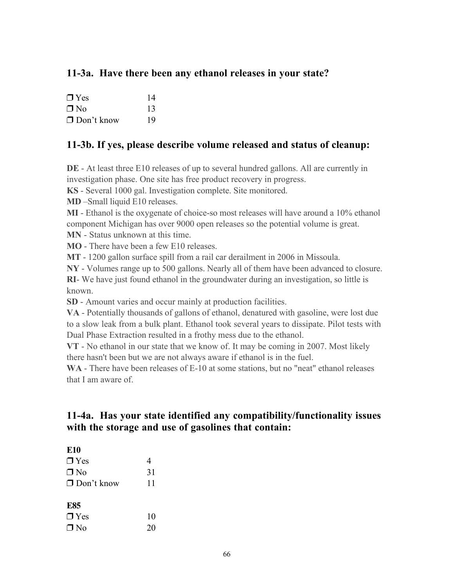# 11-3a. Have there been any ethanol releases in your state?

| $\Box$ Yes        | 14 |
|-------------------|----|
| $\Box$ No         | 13 |
| $\Box$ Don't know | 19 |

### 11-3b. If yes, please describe volume released and status of cleanup:

DE - At least three E10 releases of up to several hundred gallons. All are currently in investigation phase. One site has free product recovery in progress.

KS - Several 1000 gal. Investigation complete. Site monitored.

MD –Small liquid E10 releases.

MI - Ethanol is the oxygenate of choice-so most releases will have around a 10% ethanol component Michigan has over 9000 open releases so the potential volume is great.

MN - Status unknown at this time.

MO - There have been a few E10 releases.

MT - 1200 gallon surface spill from a rail car derailment in 2006 in Missoula.

NY - Volumes range up to 500 gallons. Nearly all of them have been advanced to closure.

RI- We have just found ethanol in the groundwater during an investigation, so little is known.

SD - Amount varies and occur mainly at production facilities.

VA - Potentially thousands of gallons of ethanol, denatured with gasoline, were lost due to a slow leak from a bulk plant. Ethanol took several years to dissipate. Pilot tests with Dual Phase Extraction resulted in a frothy mess due to the ethanol.

VT - No ethanol in our state that we know of. It may be coming in 2007. Most likely there hasn't been but we are not always aware if ethanol is in the fuel.

WA - There have been releases of E-10 at some stations, but no "neat" ethanol releases that I am aware of.

# 11-4a. Has your state identified any compatibility/functionality issues with the storage and use of gasolines that contain:

| <b>E10</b>        |    |
|-------------------|----|
| $\Box$ Yes        | 4  |
| $\Box$ No         | 31 |
| $\Box$ Don't know | 11 |
|                   |    |
| <b>E85</b>        |    |
| $\Box$ Yes        | 10 |
| $\Box$ No         | 20 |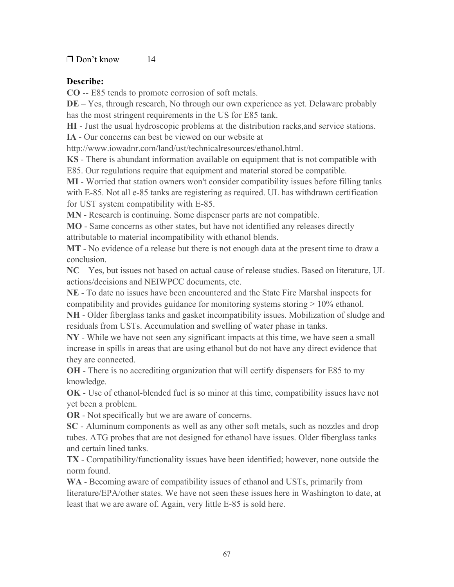### $\Box$  Don't know 14

### Describe:

CO -- E85 tends to promote corrosion of soft metals.

DE – Yes, through research, No through our own experience as yet. Delaware probably has the most stringent requirements in the US for E85 tank.

HI - Just the usual hydroscopic problems at the distribution racks,and service stations.

IA - Our concerns can best be viewed on our website at

http://www.iowadnr.com/land/ust/technicalresources/ethanol.html.

KS - There is abundant information available on equipment that is not compatible with

E85. Our regulations require that equipment and material stored be compatible.

MI - Worried that station owners won't consider compatibility issues before filling tanks with E-85. Not all e-85 tanks are registering as required. UL has withdrawn certification for UST system compatibility with E-85.

MN - Research is continuing. Some dispenser parts are not compatible.

MO - Same concerns as other states, but have not identified any releases directly attributable to material incompatibility with ethanol blends.

MT - No evidence of a release but there is not enough data at the present time to draw a conclusion.

NC – Yes, but issues not based on actual cause of release studies. Based on literature, UL actions/decisions and NEIWPCC documents, etc.

NE - To date no issues have been encountered and the State Fire Marshal inspects for compatibility and provides guidance for monitoring systems storing > 10% ethanol.

NH - Older fiberglass tanks and gasket incompatibility issues. Mobilization of sludge and residuals from USTs. Accumulation and swelling of water phase in tanks.

NY - While we have not seen any significant impacts at this time, we have seen a small increase in spills in areas that are using ethanol but do not have any direct evidence that they are connected.

OH - There is no accrediting organization that will certify dispensers for E85 to my knowledge.

OK - Use of ethanol-blended fuel is so minor at this time, compatibility issues have not yet been a problem.

OR - Not specifically but we are aware of concerns.

SC - Aluminum components as well as any other soft metals, such as nozzles and drop tubes. ATG probes that are not designed for ethanol have issues. Older fiberglass tanks and certain lined tanks.

TX - Compatibility/functionality issues have been identified; however, none outside the norm found.

WA - Becoming aware of compatibility issues of ethanol and USTs, primarily from literature/EPA/other states. We have not seen these issues here in Washington to date, at least that we are aware of. Again, very little E-85 is sold here.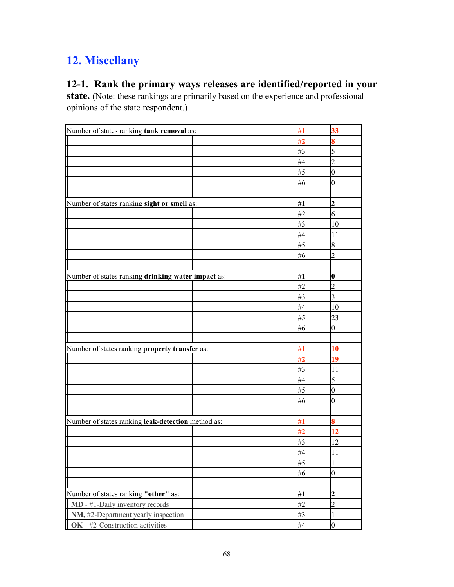# 12. Miscellany

# 12-1. Rank the primary ways releases are identified/reported in your

state. (Note: these rankings are primarily based on the experience and professional opinions of the state respondent.)

| Number of states ranking tank removal as:                | #1 | 33               |
|----------------------------------------------------------|----|------------------|
|                                                          | #2 | 8                |
|                                                          | #3 | 5                |
|                                                          | #4 | $\overline{c}$   |
|                                                          | #5 | $\boldsymbol{0}$ |
|                                                          | #6 | $\overline{0}$   |
|                                                          |    |                  |
| Number of states ranking sight or smell as:              | #1 | $\overline{2}$   |
|                                                          | #2 | 6                |
|                                                          | #3 | 10               |
|                                                          | #4 | 11               |
|                                                          | #5 | 8                |
|                                                          | #6 | $\overline{2}$   |
|                                                          |    |                  |
| Number of states ranking drinking water impact as:       | #1 | $\bf{0}$         |
|                                                          | #2 | $\overline{2}$   |
|                                                          | #3 | $\overline{3}$   |
|                                                          | #4 | 10               |
|                                                          | #5 | 23               |
|                                                          | #6 | $\boldsymbol{0}$ |
|                                                          |    |                  |
| Number of states ranking property transfer as:           | #1 | 10               |
|                                                          | #2 | 19               |
|                                                          | #3 | 11               |
|                                                          | #4 | 5                |
|                                                          | #5 | $\boldsymbol{0}$ |
|                                                          | #6 | $\boldsymbol{0}$ |
|                                                          |    |                  |
| Number of states ranking leak-detection method as:       | #1 | 8                |
|                                                          | #2 | 12               |
|                                                          | #3 | 12               |
|                                                          | #4 | 11               |
|                                                          | #5 | 1                |
| ╫                                                        | #6 | $\boldsymbol{0}$ |
|                                                          |    |                  |
| Number of states ranking "other" as:                     | #1 | $\overline{2}$   |
| MD - #1-Daily inventory records                          | #2 | $\overline{2}$   |
| $\overline{\text{NM}}$ , #2-Department yearly inspection | #3 | 1                |
| OK - #2-Construction activities                          | #4 | $\boldsymbol{0}$ |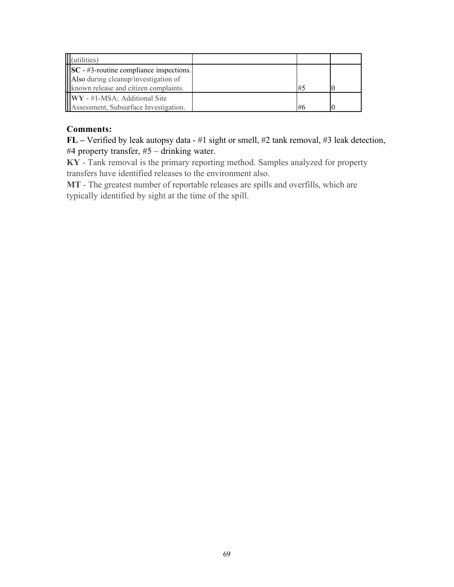| (utilities)                                                                                  |    |  |
|----------------------------------------------------------------------------------------------|----|--|
| $\left\vert \left\vert \mathbf{S}\mathbf{C}\right\vert$ - #3-routine compliance inspections. |    |  |
| Also during cleanup/investigation of                                                         |    |  |
| known release and citizen complaints.                                                        | #5 |  |
| <b>IIIWY</b> - #1-MSA; Additional Site                                                       |    |  |
| Assessment, Subsurface Investigation.                                                        | #6 |  |

### Comments:

FL – Verified by leak autopsy data - #1 sight or smell, #2 tank removal, #3 leak detection, #4 property transfer, #5 – drinking water.

KY - Tank removal is the primary reporting method. Samples analyzed for property transfers have identified releases to the environment also.

MT - The greatest number of reportable releases are spills and overfills, which are typically identified by sight at the time of the spill.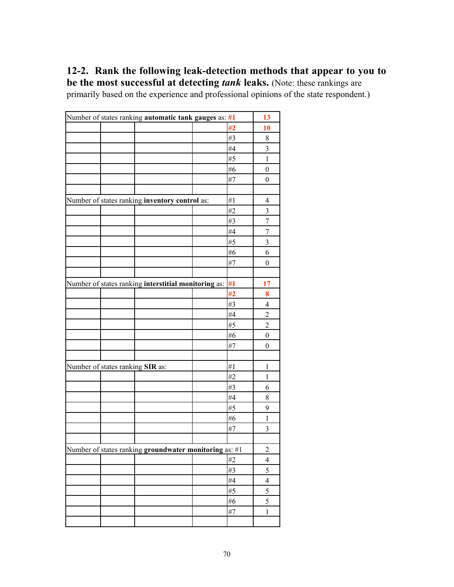# 12-2. Rank the following leak-detection methods that appear to you to

be the most successful at detecting *tank* leaks. (Note: these rankings are primarily based on the experience and professional opinions of the state respondent.)

| Number of states ranking automatic tank gauges as: #1      |    | 13               |
|------------------------------------------------------------|----|------------------|
|                                                            | #2 | 10               |
|                                                            | #3 | 8                |
|                                                            | #4 | 3                |
|                                                            | #5 | $\mathbf{1}$     |
|                                                            | #6 | $\boldsymbol{0}$ |
|                                                            | #7 | $\boldsymbol{0}$ |
|                                                            |    |                  |
| Number of states ranking inventory control as:             | #1 | 4                |
|                                                            | #2 | 3                |
|                                                            | #3 | $\boldsymbol{7}$ |
|                                                            | #4 | $\overline{7}$   |
|                                                            | #5 | 3                |
|                                                            | #6 | 6                |
|                                                            | #7 | $\boldsymbol{0}$ |
|                                                            |    |                  |
| Number of states ranking interstitial monitoring as: $\#1$ |    | 17               |
|                                                            | #2 | 8                |
|                                                            | #3 | 4                |
|                                                            | #4 | $\overline{c}$   |
|                                                            | #5 | $\overline{c}$   |
|                                                            | #6 | $\boldsymbol{0}$ |
|                                                            | #7 | $\boldsymbol{0}$ |
|                                                            |    |                  |
| Number of states ranking SIR as:                           | #1 | 1                |
|                                                            | #2 | $\mathbf{1}$     |
|                                                            | #3 | 6                |
|                                                            | #4 | 8                |
|                                                            | #5 | 9                |
|                                                            | #6 | $\,1$            |
|                                                            | #7 | 3                |
|                                                            |    |                  |
| Number of states ranking groundwater monitoring as: #1     |    | $\overline{c}$   |
|                                                            | #2 | $\overline{4}$   |
|                                                            | #3 | 5                |
|                                                            | #4 | $\overline{4}$   |
|                                                            | #5 | 5                |
|                                                            | #6 | 5                |
|                                                            | #7 | $\mathbf{1}$     |
|                                                            |    |                  |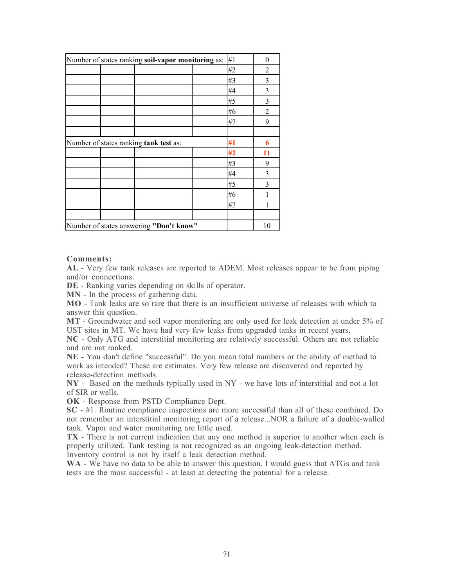| Number of states ranking soil-vapor monitoring as: | #1 | $\boldsymbol{0}$ |
|----------------------------------------------------|----|------------------|
|                                                    | #2 | 2                |
|                                                    | #3 | 3                |
|                                                    | #4 | 3                |
|                                                    | #5 | 3                |
|                                                    | #6 | 2                |
|                                                    | #7 | 9                |
|                                                    |    |                  |
| Number of states ranking tank test as:             | #1 | 6                |
|                                                    | #2 | 11               |
|                                                    | #3 | 9                |
|                                                    | #4 | 3                |
|                                                    | #5 | 3                |
|                                                    | #6 |                  |
|                                                    | #7 |                  |
|                                                    |    |                  |
| Number of states answering "Don't know"            |    | 10               |

#### Comments:

AL - Very few tank releases are reported to ADEM. Most releases appear to be from piping and/or connections.

DE - Ranking varies depending on skills of operator.

MN - In the process of gathering data.

MO - Tank leaks are so rare that there is an insufficient universe of releases with which to answer this question.

MT - Groundwater and soil vapor monitoring are only used for leak detection at under 5% of UST sites in MT. We have had very few leaks from upgraded tanks in recent years.

NC - Only ATG and interstitial monitoring are relatively successful. Others are not reliable and are not ranked.

NE - You don't define "successful". Do you mean total numbers or the ability of method to work as intended? These are estimates. Very few release are discovered and reported by release-detection methods.

NY - Based on the methods typically used in NY - we have lots of interstitial and not a lot of SIR or wells.

OK - Response from PSTD Compliance Dept.

SC - #1. Routine compliance inspections are more successful than all of these combined. Do not remember an interstitial monitoring report of a release...NOR a failure of a double-walled tank. Vapor and water monitoring are little used.

TX - There is not current indication that any one method is superior to another when each is properly utilized. Tank testing is not recognized as an ongoing leak-detection method. Inventory control is not by itself a leak detection method.

WA - We have no data to be able to answer this question. I would guess that ATGs and tank tests are the most successful - at least at detecting the potential for a release.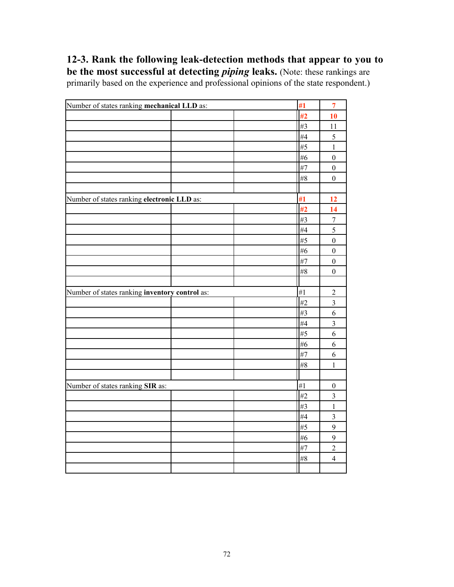12-3. Rank the following leak-detection methods that appear to you to be the most successful at detecting *piping* leaks. (Note: these rankings are primarily based on the experience and professional opinions of the state respondent.)

| Number of states ranking mechanical LLD as:    |  | #1    | $\overline{7}$          |
|------------------------------------------------|--|-------|-------------------------|
|                                                |  | #2    | 10                      |
|                                                |  | #3    | 11                      |
|                                                |  | #4    | 5                       |
|                                                |  | #5    | $\mathbf{1}$            |
|                                                |  | #6    | $\boldsymbol{0}$        |
|                                                |  | #7    | $\boldsymbol{0}$        |
|                                                |  | $\#8$ | $\boldsymbol{0}$        |
|                                                |  |       |                         |
| Number of states ranking electronic LLD as:    |  | #1    | 12                      |
|                                                |  | #2    | 14                      |
|                                                |  | #3    | $\overline{7}$          |
|                                                |  | #4    | 5                       |
|                                                |  | #5    | $\boldsymbol{0}$        |
|                                                |  | #6    | $\boldsymbol{0}$        |
|                                                |  | #7    | $\boldsymbol{0}$        |
|                                                |  | $\#8$ | $\boldsymbol{0}$        |
|                                                |  |       |                         |
| Number of states ranking inventory control as: |  | #1    | $\sqrt{2}$              |
|                                                |  |       |                         |
|                                                |  | #2    | $\overline{\mathbf{3}}$ |
|                                                |  | #3    | 6                       |
|                                                |  | #4    | $\overline{\mathbf{3}}$ |
|                                                |  | #5    | 6                       |
|                                                |  | #6    | 6                       |
|                                                |  | #7    | 6                       |
|                                                |  | #8    | $\mathbf{1}$            |
|                                                |  |       |                         |
| Number of states ranking SIR as:               |  | #1    | $\boldsymbol{0}$        |
|                                                |  | #2    | $\overline{\mathbf{3}}$ |
|                                                |  | #3    | $\,1$                   |
|                                                |  | #4    | $\overline{\mathbf{3}}$ |
|                                                |  | #5    | $\overline{9}$          |
|                                                |  | #6    | $\mathbf{9}$            |
|                                                |  | #7    | $\overline{c}$          |
|                                                |  | $\#8$ | $\overline{4}$          |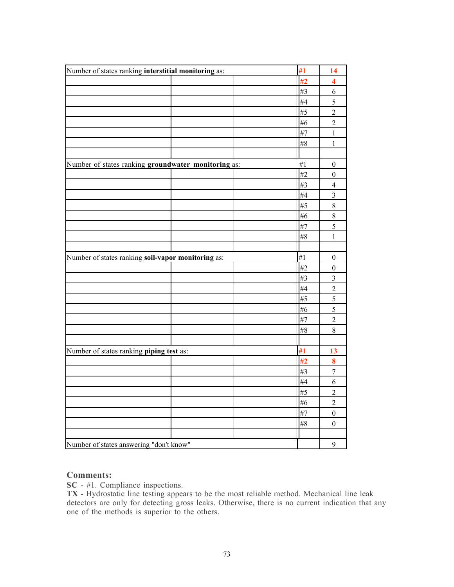| Number of states ranking interstitial monitoring as: |  | #1 | 14                      |
|------------------------------------------------------|--|----|-------------------------|
|                                                      |  | #2 | 4                       |
|                                                      |  | #3 | 6                       |
|                                                      |  | #4 | $\overline{5}$          |
|                                                      |  | #5 | $\overline{2}$          |
|                                                      |  | #6 | $\overline{c}$          |
|                                                      |  | #7 | $\mathbf{1}$            |
|                                                      |  | #8 | $\mathbf{1}$            |
|                                                      |  |    |                         |
| Number of states ranking groundwater monitoring as:  |  | #1 | $\boldsymbol{0}$        |
|                                                      |  | #2 | $\boldsymbol{0}$        |
|                                                      |  | #3 | $\overline{4}$          |
|                                                      |  | #4 | $\overline{\mathbf{3}}$ |
|                                                      |  | #5 | $\,$ $\,$               |
|                                                      |  | #6 | 8                       |
|                                                      |  | #7 | 5                       |
|                                                      |  | #8 | $\mathbf{1}$            |
|                                                      |  |    |                         |
| Number of states ranking soil-vapor monitoring as:   |  | #1 | $\boldsymbol{0}$        |
|                                                      |  | #2 | $\boldsymbol{0}$        |
|                                                      |  | #3 | $\mathfrak{Z}$          |
|                                                      |  | #4 | $\overline{c}$          |
|                                                      |  | #5 | 5                       |
|                                                      |  | #6 | 5                       |
|                                                      |  | #7 | $\overline{c}$          |
|                                                      |  | #8 | 8                       |
|                                                      |  |    |                         |
| Number of states ranking piping test as:             |  | #1 | 13                      |
|                                                      |  | #2 | 8                       |
|                                                      |  | #3 | $\overline{7}$          |
|                                                      |  | #4 | 6                       |
|                                                      |  | #5 | $\overline{c}$          |
|                                                      |  | #6 | $\overline{c}$          |
|                                                      |  | #7 | $\boldsymbol{0}$        |
|                                                      |  | #8 | $\boldsymbol{0}$        |
|                                                      |  |    |                         |
| Number of states answering "don't know"              |  |    | 9                       |

#### Comments:

SC - #1. Compliance inspections.

TX - Hydrostatic line testing appears to be the most reliable method. Mechanical line leak detectors are only for detecting gross leaks. Otherwise, there is no current indication that any one of the methods is superior to the others.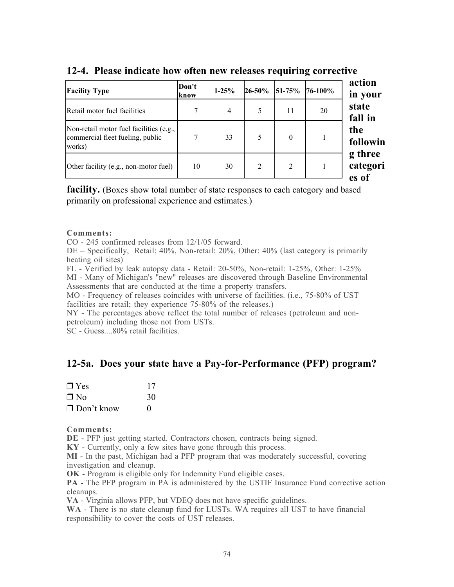| <b>Facility Type</b>                                                                  | Don't<br>know | $1 - 25%$ | 26-50%         | 51-75%         | 76-100% |
|---------------------------------------------------------------------------------------|---------------|-----------|----------------|----------------|---------|
| Retail motor fuel facilities                                                          | 7             | 4         | 5              | 11             | 20      |
| Non-retail motor fuel facilities (e.g.,<br>commercial fleet fueling, public<br>works) | 7             | 33        | 5              | $\theta$       |         |
| Other facility (e.g., non-motor fuel)                                                 | 10            | 30        | $\overline{2}$ | $\overline{2}$ |         |

#### 12-4. Please indicate how often new releases requiring corrective

**facility.** (Boxes show total number of state responses to each category and based primarily on professional experience and estimates.)

#### Comments:

CO - 245 confirmed releases from 12/1/05 forward.

DE – Specifically, Retail: 40%, Non-retail: 20%, Other: 40% (last category is primarily heating oil sites)

FL - Verified by leak autopsy data - Retail: 20-50%, Non-retail: 1-25%, Other: 1-25%

MI - Many of Michigan's "new" releases are discovered through Baseline Environmental Assessments that are conducted at the time a property transfers.

MO - Frequency of releases coincides with universe of facilities. (i.e., 75-80% of UST facilities are retail; they experience 75-80% of the releases.)

NY - The percentages above reflect the total number of releases (petroleum and nonpetroleum) including those not from USTs.

SC - Guess....80% retail facilities.

### 12-5a. Does your state have a Pay-for-Performance (PFP) program?

| $\Box$ Yes        | 17           |
|-------------------|--------------|
| $\Box$ No         | 30           |
| $\Box$ Don't know | $\mathbf{0}$ |

Comments:

DE - PFP just getting started. Contractors chosen, contracts being signed.

KY - Currently, only a few sites have gone through this process.

MI - In the past, Michigan had a PFP program that was moderately successful, covering investigation and cleanup.

OK - Program is eligible only for Indemnity Fund eligible cases.

PA - The PFP program in PA is administered by the USTIF Insurance Fund corrective action cleanups.

VA - Virginia allows PFP, but VDEQ does not have specific guidelines.

WA - There is no state cleanup fund for LUSTs. WA requires all UST to have financial responsibility to cover the costs of UST releases.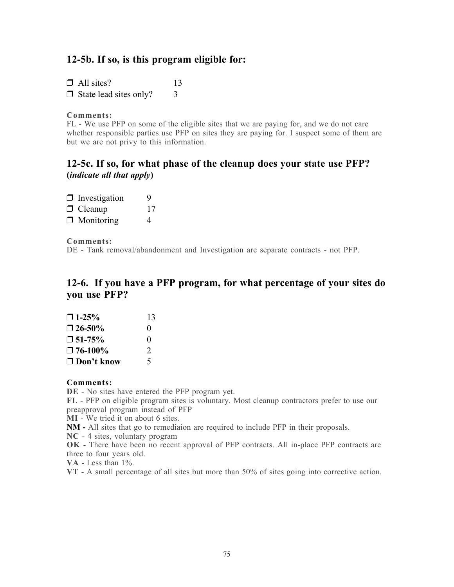### 12-5b. If so, is this program eligible for:

 $\Box$  All sites? 13  $\Box$  State lead sites only?  $\Box$  3

#### Comments:

FL - We use PFP on some of the eligible sites that we are paying for, and we do not care whether responsible parties use PFP on sites they are paying for. I suspect some of them are but we are not privy to this information.

### 12-5c. If so, for what phase of the cleanup does your state use PFP? (*indicate all that apply*)

| $\Box$ Investigation | 9  |
|----------------------|----|
| $\Box$ Cleanup       | 17 |
| $\Box$ Monitoring    | 4  |

#### Comments:

DE - Tank removal/abandonment and Investigation are separate contracts - not PFP.

### 12-6. If you have a PFP program, for what percentage of your sites do you use PFP?

| $\bigcap$ 1-25%   | 13                          |
|-------------------|-----------------------------|
| $\square$ 26-50%  | $\mathbf{\Omega}$           |
| $\square$ 51-75%  | $\Omega$                    |
| $\square$ 76-100% | $\mathcal{D}_{\mathcal{L}}$ |
| $\Box$ Don't know | 5                           |

#### Comments:

DE - No sites have entered the PFP program yet.

FL - PFP on eligible program sites is voluntary. Most cleanup contractors prefer to use our preapproval program instead of PFP

MI - We tried it on about 6 sites.

NM - All sites that go to remediaion are required to include PFP in their proposals.

NC - 4 sites, voluntary program

OK - There have been no recent approval of PFP contracts. All in-place PFP contracts are three to four years old.

VA - Less than 1%.

VT - A small percentage of all sites but more than 50% of sites going into corrective action.